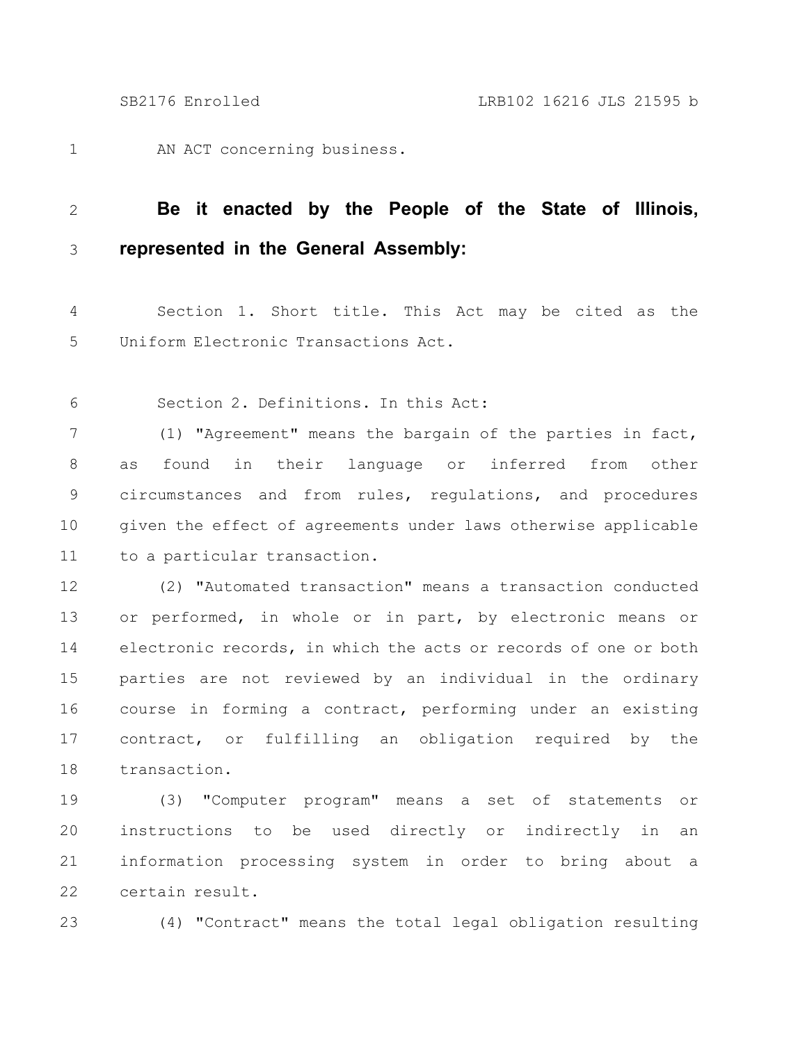AN ACT concerning business. 1

## **Be it enacted by the People of the State of Illinois, represented in the General Assembly:** 2 3

Section 1. Short title. This Act may be cited as the Uniform Electronic Transactions Act. 4 5

Section 2. Definitions. In this Act: 6

(1) "Agreement" means the bargain of the parties in fact, as found in their language or inferred from other circumstances and from rules, regulations, and procedures given the effect of agreements under laws otherwise applicable to a particular transaction. 7 8 9 10 11

(2) "Automated transaction" means a transaction conducted or performed, in whole or in part, by electronic means or electronic records, in which the acts or records of one or both parties are not reviewed by an individual in the ordinary course in forming a contract, performing under an existing contract, or fulfilling an obligation required by the transaction. 12 13 14 15 16 17 18

(3) "Computer program" means a set of statements or instructions to be used directly or indirectly in an information processing system in order to bring about a certain result. 19 20 21 22

23

(4) "Contract" means the total legal obligation resulting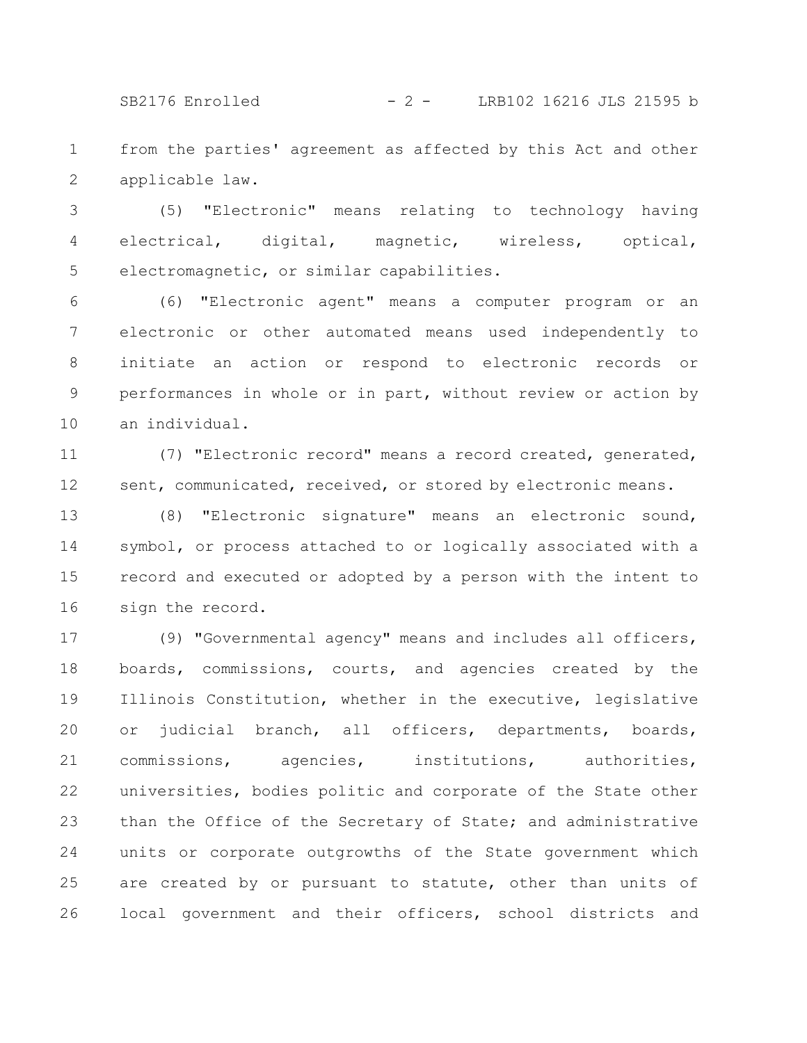SB2176 Enrolled - 2 - LRB102 16216 JLS 21595 b

from the parties' agreement as affected by this Act and other applicable law. 1 2

(5) "Electronic" means relating to technology having electrical, digital, magnetic, wireless, optical, electromagnetic, or similar capabilities. 3 4 5

(6) "Electronic agent" means a computer program or an electronic or other automated means used independently to initiate an action or respond to electronic records or performances in whole or in part, without review or action by an individual. 6 7 8 9 10

(7) "Electronic record" means a record created, generated, sent, communicated, received, or stored by electronic means. 11 12

(8) "Electronic signature" means an electronic sound, symbol, or process attached to or logically associated with a record and executed or adopted by a person with the intent to sign the record. 13 14 15 16

(9) "Governmental agency" means and includes all officers, boards, commissions, courts, and agencies created by the Illinois Constitution, whether in the executive, legislative or judicial branch, all officers, departments, boards, commissions, agencies, institutions, authorities, universities, bodies politic and corporate of the State other than the Office of the Secretary of State; and administrative units or corporate outgrowths of the State government which are created by or pursuant to statute, other than units of local government and their officers, school districts and 17 18 19 20 21 22 23 24 25 26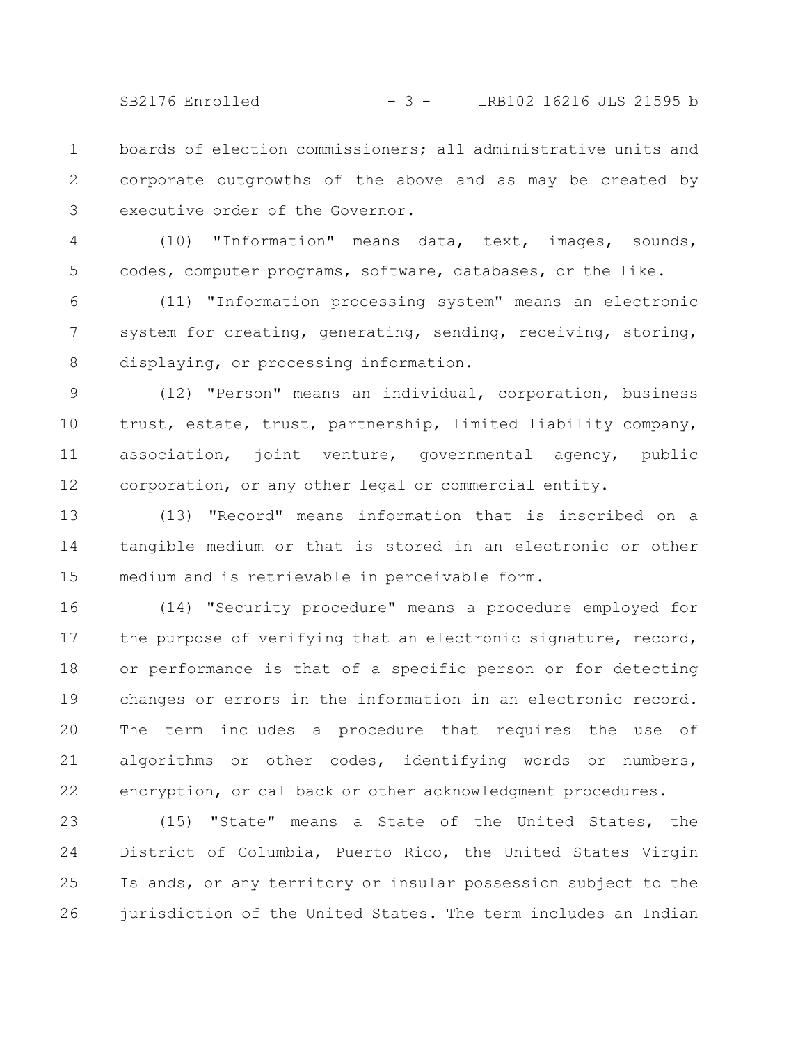SB2176 Enrolled - 3 - LRB102 16216 JLS 21595 b

boards of election commissioners; all administrative units and corporate outgrowths of the above and as may be created by executive order of the Governor. 1 2 3

(10) "Information" means data, text, images, sounds, codes, computer programs, software, databases, or the like. 4 5

(11) "Information processing system" means an electronic system for creating, generating, sending, receiving, storing, displaying, or processing information. 6 7 8

(12) "Person" means an individual, corporation, business trust, estate, trust, partnership, limited liability company, association, joint venture, governmental agency, public corporation, or any other legal or commercial entity. 9 10 11 12

(13) "Record" means information that is inscribed on a tangible medium or that is stored in an electronic or other medium and is retrievable in perceivable form. 13 14 15

(14) "Security procedure" means a procedure employed for the purpose of verifying that an electronic signature, record, or performance is that of a specific person or for detecting changes or errors in the information in an electronic record. The term includes a procedure that requires the use of algorithms or other codes, identifying words or numbers, encryption, or callback or other acknowledgment procedures. 16 17 18 19 20 21 22

(15) "State" means a State of the United States, the District of Columbia, Puerto Rico, the United States Virgin Islands, or any territory or insular possession subject to the jurisdiction of the United States. The term includes an Indian 23 24 25 26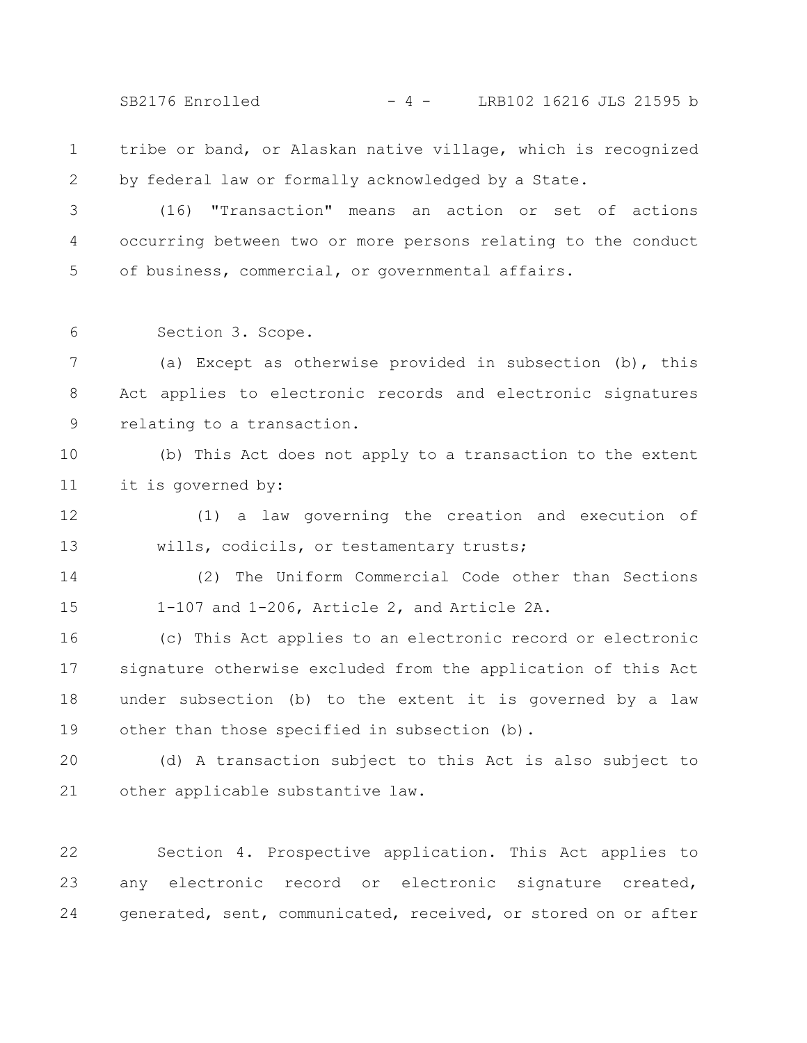SB2176 Enrolled - 4 - LRB102 16216 JLS 21595 b

tribe or band, or Alaskan native village, which is recognized by federal law or formally acknowledged by a State. 1 2

(16) "Transaction" means an action or set of actions occurring between two or more persons relating to the conduct of business, commercial, or governmental affairs. 3 4 5

Section 3. Scope. 6

(a) Except as otherwise provided in subsection (b), this Act applies to electronic records and electronic signatures relating to a transaction. 7 8 9

(b) This Act does not apply to a transaction to the extent it is governed by: 10 11

(1) a law governing the creation and execution of wills, codicils, or testamentary trusts; 12 13

(2) The Uniform Commercial Code other than Sections 1-107 and 1-206, Article 2, and Article 2A. 14 15

(c) This Act applies to an electronic record or electronic signature otherwise excluded from the application of this Act under subsection (b) to the extent it is governed by a law other than those specified in subsection (b). 16 17 18 19

(d) A transaction subject to this Act is also subject to other applicable substantive law. 20 21

Section 4. Prospective application. This Act applies to any electronic record or electronic signature created, generated, sent, communicated, received, or stored on or after 22 23 24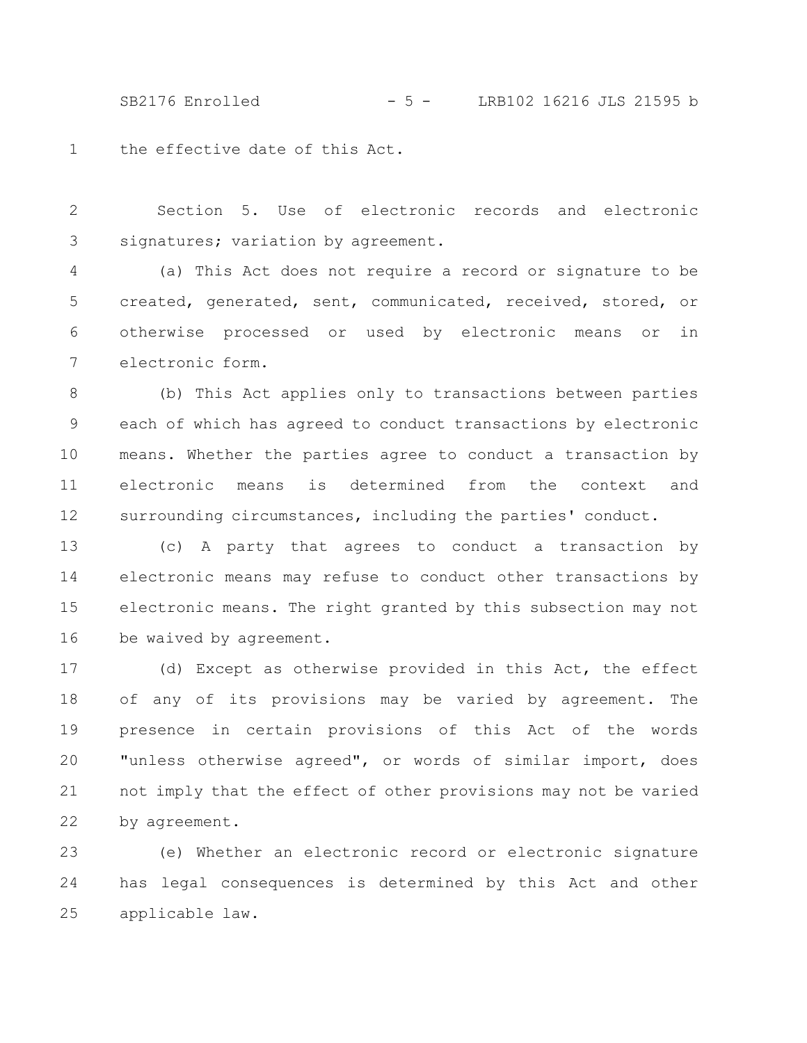SB2176 Enrolled - 5 - LRB102 16216 JLS 21595 b

the effective date of this Act. 1

Section 5. Use of electronic records and electronic signatures; variation by agreement. 2 3

(a) This Act does not require a record or signature to be created, generated, sent, communicated, received, stored, or otherwise processed or used by electronic means or in electronic form. 4 5 6 7

(b) This Act applies only to transactions between parties each of which has agreed to conduct transactions by electronic means. Whether the parties agree to conduct a transaction by electronic means is determined from the context and surrounding circumstances, including the parties' conduct. 8 9 10 11 12

(c) A party that agrees to conduct a transaction by electronic means may refuse to conduct other transactions by electronic means. The right granted by this subsection may not be waived by agreement. 13 14 15 16

(d) Except as otherwise provided in this Act, the effect of any of its provisions may be varied by agreement. The presence in certain provisions of this Act of the words "unless otherwise agreed", or words of similar import, does not imply that the effect of other provisions may not be varied by agreement. 17 18 19 20 21 22

(e) Whether an electronic record or electronic signature has legal consequences is determined by this Act and other applicable law. 23 24 25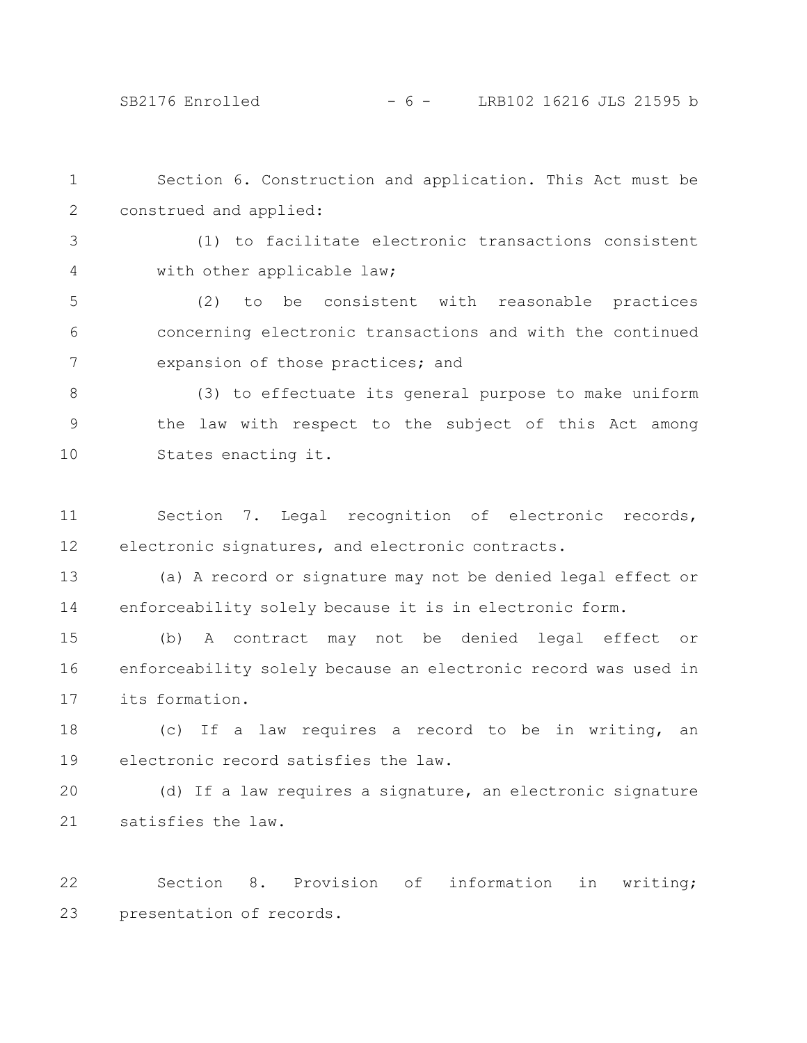Section 6. Construction and application. This Act must be construed and applied: (1) to facilitate electronic transactions consistent with other applicable law; (2) to be consistent with reasonable practices concerning electronic transactions and with the continued expansion of those practices; and (3) to effectuate its general purpose to make uniform the law with respect to the subject of this Act among States enacting it. Section 7. Legal recognition of electronic records, electronic signatures, and electronic contracts. (a) A record or signature may not be denied legal effect or enforceability solely because it is in electronic form. (b) A contract may not be denied legal effect or enforceability solely because an electronic record was used in its formation. (c) If a law requires a record to be in writing, an electronic record satisfies the law. (d) If a law requires a signature, an electronic signature satisfies the law. 1 2 3 4 5 6 7 8 9 10 11 12 13 14 15 16 17 18 19 20 21

Section 8. Provision of information in writing; presentation of records. 22 23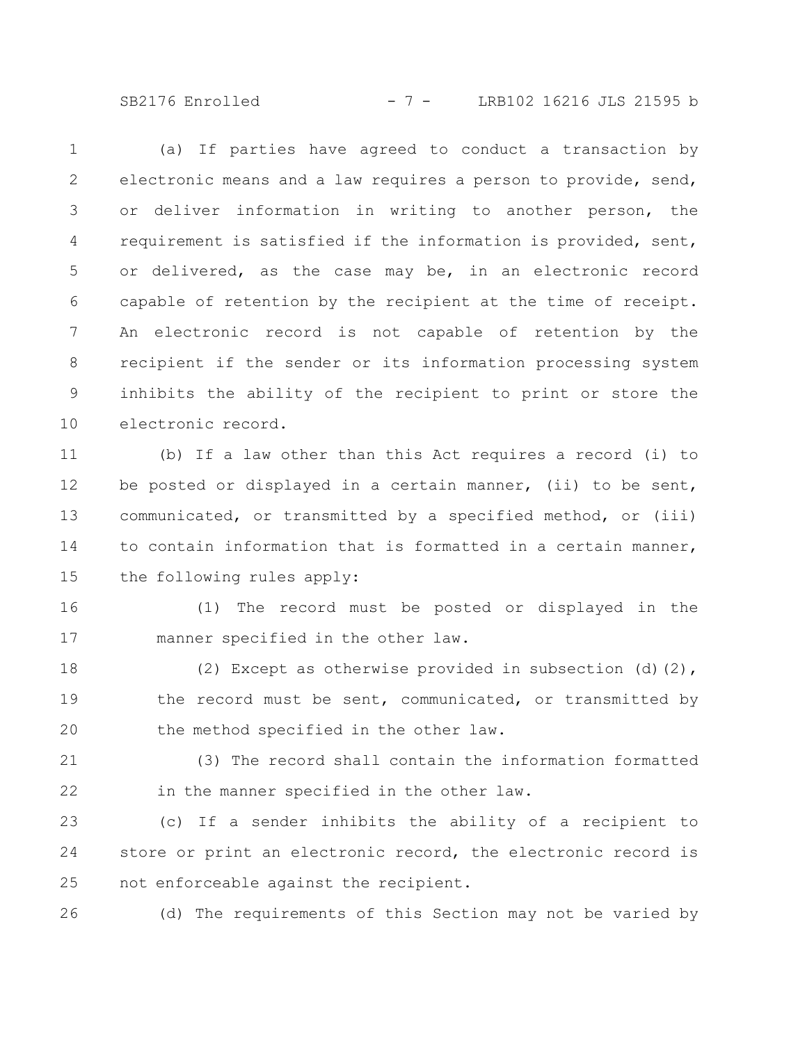SB2176 Enrolled - 7 - LRB102 16216 JLS 21595 b

(a) If parties have agreed to conduct a transaction by electronic means and a law requires a person to provide, send, or deliver information in writing to another person, the requirement is satisfied if the information is provided, sent, or delivered, as the case may be, in an electronic record capable of retention by the recipient at the time of receipt. An electronic record is not capable of retention by the recipient if the sender or its information processing system inhibits the ability of the recipient to print or store the electronic record. 1 2 3 4 5 6 7 8 9 10

(b) If a law other than this Act requires a record (i) to be posted or displayed in a certain manner, (ii) to be sent, communicated, or transmitted by a specified method, or (iii) to contain information that is formatted in a certain manner, the following rules apply: 11 12 13 14 15

16

17

(1) The record must be posted or displayed in the manner specified in the other law.

(2) Except as otherwise provided in subsection (d)(2), the record must be sent, communicated, or transmitted by the method specified in the other law. 18 19 20

(3) The record shall contain the information formatted in the manner specified in the other law. 21 22

(c) If a sender inhibits the ability of a recipient to store or print an electronic record, the electronic record is not enforceable against the recipient. 23 24 25

26

(d) The requirements of this Section may not be varied by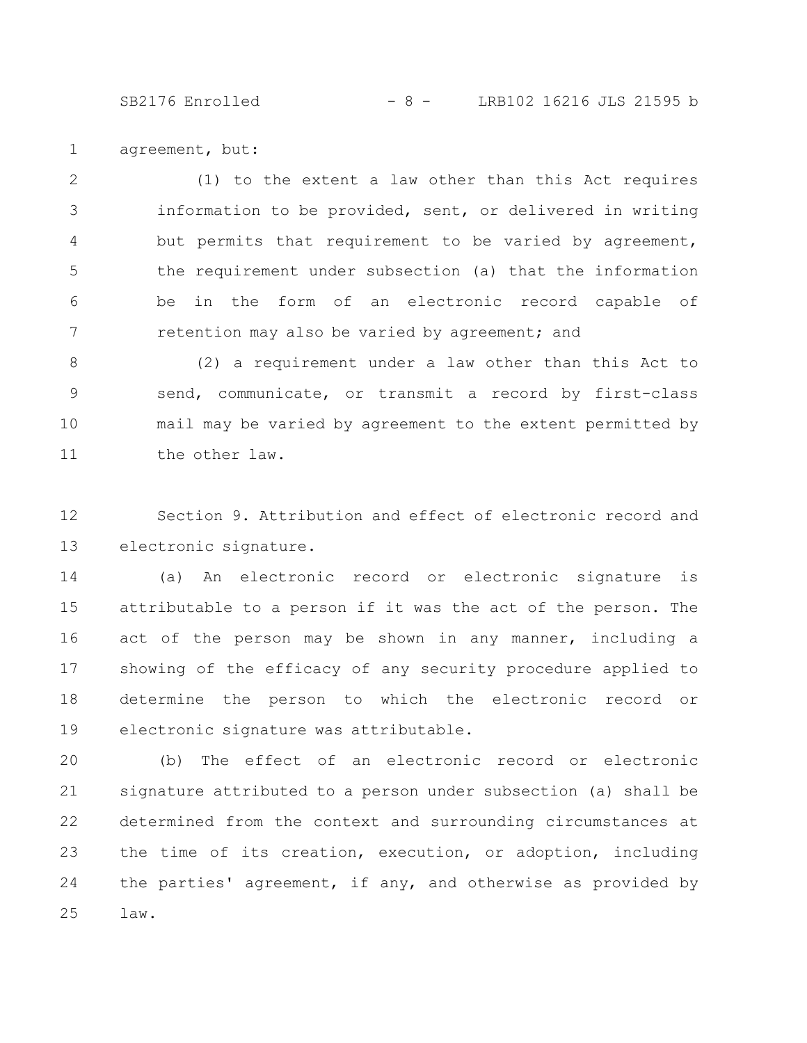SB2176 Enrolled - 8 - LRB102 16216 JLS 21595 b

agreement, but: 1

(1) to the extent a law other than this Act requires information to be provided, sent, or delivered in writing but permits that requirement to be varied by agreement, the requirement under subsection (a) that the information be in the form of an electronic record capable of retention may also be varied by agreement; and 2 3 4 5 6 7

(2) a requirement under a law other than this Act to send, communicate, or transmit a record by first-class mail may be varied by agreement to the extent permitted by the other law. 8 9 10 11

Section 9. Attribution and effect of electronic record and electronic signature. 12 13

(a) An electronic record or electronic signature is attributable to a person if it was the act of the person. The act of the person may be shown in any manner, including a showing of the efficacy of any security procedure applied to determine the person to which the electronic record or electronic signature was attributable. 14 15 16 17 18 19

(b) The effect of an electronic record or electronic signature attributed to a person under subsection (a) shall be determined from the context and surrounding circumstances at the time of its creation, execution, or adoption, including the parties' agreement, if any, and otherwise as provided by law. 20 21 22 23 24 25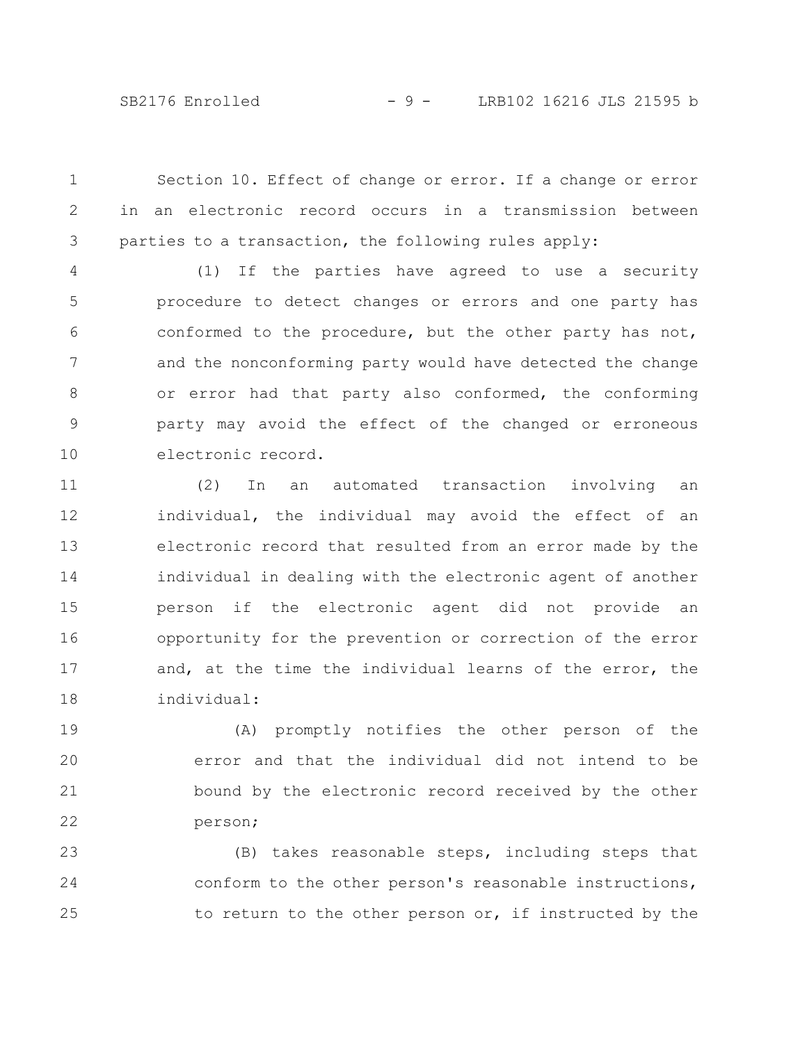SB2176 Enrolled - 9 - LRB102 16216 JLS 21595 b

Section 10. Effect of change or error. If a change or error in an electronic record occurs in a transmission between parties to a transaction, the following rules apply: 1 2 3

(1) If the parties have agreed to use a security procedure to detect changes or errors and one party has conformed to the procedure, but the other party has not, and the nonconforming party would have detected the change or error had that party also conformed, the conforming party may avoid the effect of the changed or erroneous electronic record. 4 5 6 7 8 9 10

(2) In an automated transaction involving an individual, the individual may avoid the effect of an electronic record that resulted from an error made by the individual in dealing with the electronic agent of another person if the electronic agent did not provide an opportunity for the prevention or correction of the error and, at the time the individual learns of the error, the individual: 11 12 13 14 15 16 17 18

(A) promptly notifies the other person of the error and that the individual did not intend to be bound by the electronic record received by the other person; 19 20 21 22

(B) takes reasonable steps, including steps that conform to the other person's reasonable instructions, to return to the other person or, if instructed by the 23 24 25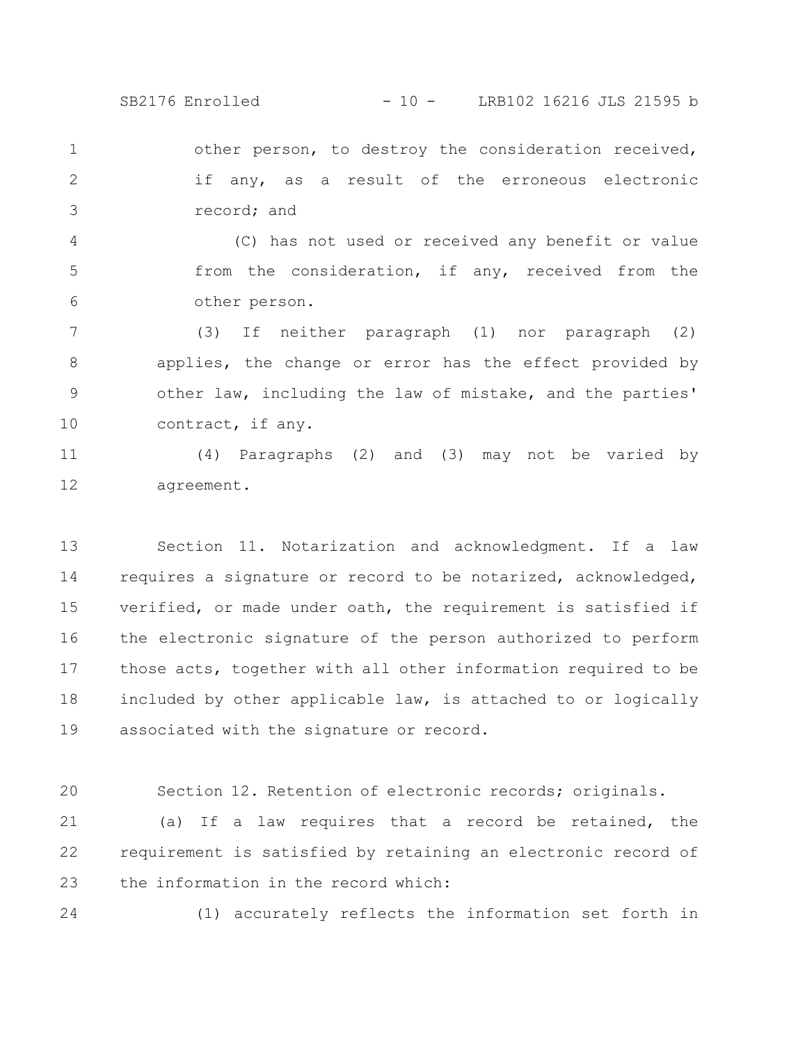SB2176 Enrolled - 10 - LRB102 16216 JLS 21595 b

other person, to destroy the consideration received, if any, as a result of the erroneous electronic record; and 1 2 3

(C) has not used or received any benefit or value from the consideration, if any, received from the other person. 4 5 6

(3) If neither paragraph (1) nor paragraph (2) applies, the change or error has the effect provided by other law, including the law of mistake, and the parties' contract, if any. 7 8 9 10

(4) Paragraphs (2) and (3) may not be varied by agreement. 11 12

Section 11. Notarization and acknowledgment. If a law requires a signature or record to be notarized, acknowledged, verified, or made under oath, the requirement is satisfied if the electronic signature of the person authorized to perform those acts, together with all other information required to be included by other applicable law, is attached to or logically associated with the signature or record. 13 14 15 16 17 18 19

Section 12. Retention of electronic records; originals. 20

(a) If a law requires that a record be retained, the requirement is satisfied by retaining an electronic record of the information in the record which: 21 22 23

24

(1) accurately reflects the information set forth in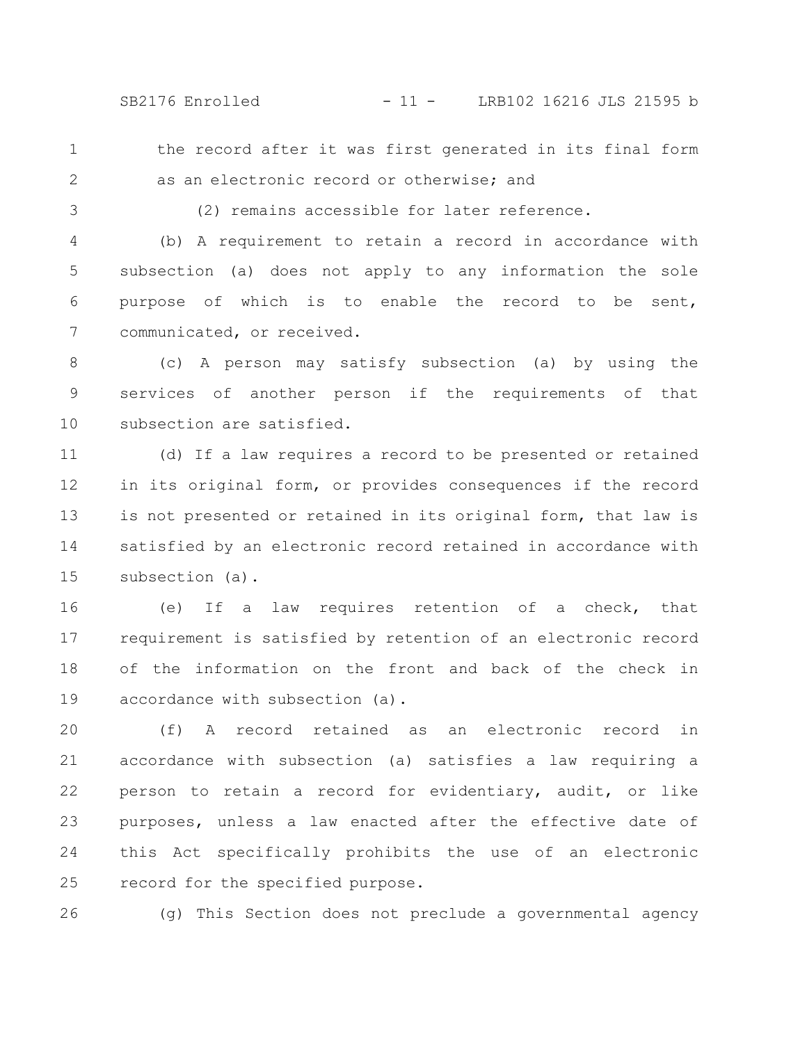SB2176 Enrolled - 11 - LRB102 16216 JLS 21595 b

the record after it was first generated in its final form

2

3

1

(2) remains accessible for later reference.

as an electronic record or otherwise; and

(b) A requirement to retain a record in accordance with subsection (a) does not apply to any information the sole purpose of which is to enable the record to be sent, communicated, or received. 4 5 6 7

(c) A person may satisfy subsection (a) by using the services of another person if the requirements of that subsection are satisfied. 8 9 10

(d) If a law requires a record to be presented or retained in its original form, or provides consequences if the record is not presented or retained in its original form, that law is satisfied by an electronic record retained in accordance with subsection (a). 11 12 13 14 15

(e) If a law requires retention of a check, that requirement is satisfied by retention of an electronic record of the information on the front and back of the check in accordance with subsection (a). 16 17 18 19

(f) A record retained as an electronic record in accordance with subsection (a) satisfies a law requiring a person to retain a record for evidentiary, audit, or like purposes, unless a law enacted after the effective date of this Act specifically prohibits the use of an electronic record for the specified purpose. 20 21 22 23 24 25

26

(g) This Section does not preclude a governmental agency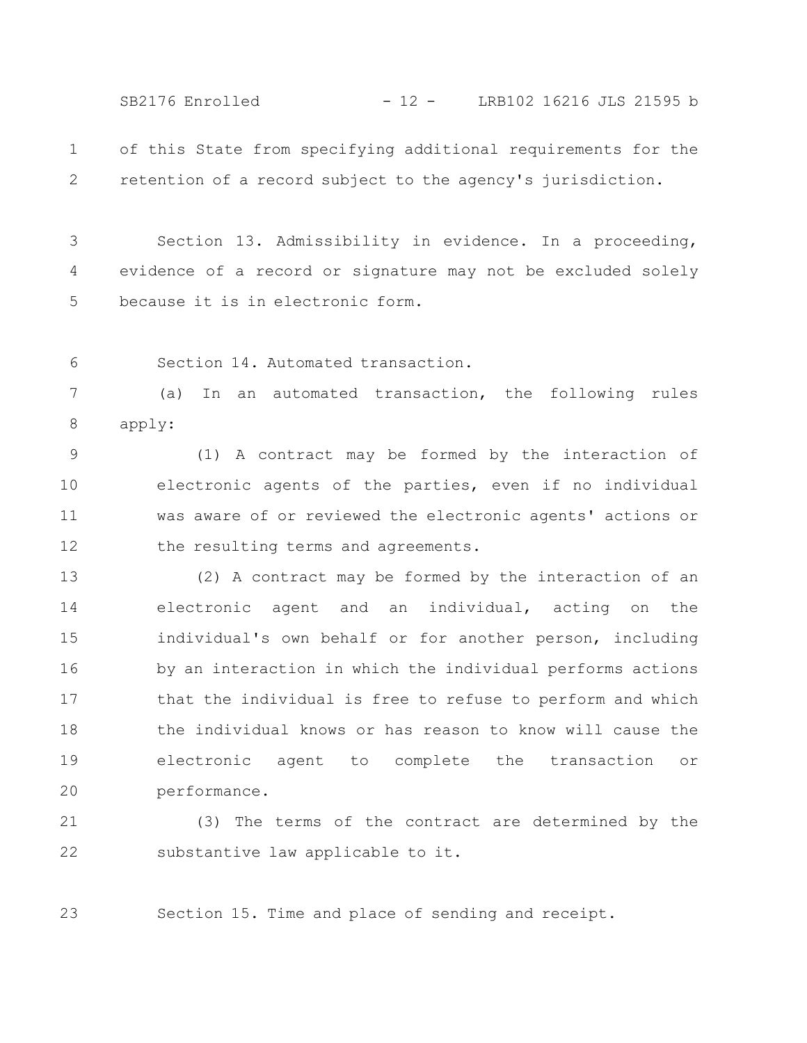SB2176 Enrolled - 12 - LRB102 16216 JLS 21595 b

of this State from specifying additional requirements for the retention of a record subject to the agency's jurisdiction. 1 2

Section 13. Admissibility in evidence. In a proceeding, evidence of a record or signature may not be excluded solely because it is in electronic form. 3 4 5

Section 14. Automated transaction. 6

(a) In an automated transaction, the following rules apply: 7 8

(1) A contract may be formed by the interaction of electronic agents of the parties, even if no individual was aware of or reviewed the electronic agents' actions or the resulting terms and agreements. 9 10 11 12

(2) A contract may be formed by the interaction of an electronic agent and an individual, acting on the individual's own behalf or for another person, including by an interaction in which the individual performs actions that the individual is free to refuse to perform and which the individual knows or has reason to know will cause the electronic agent to complete the transaction or performance. 13 14 15 16 17 18 19 20

(3) The terms of the contract are determined by the substantive law applicable to it. 21 22

Section 15. Time and place of sending and receipt. 23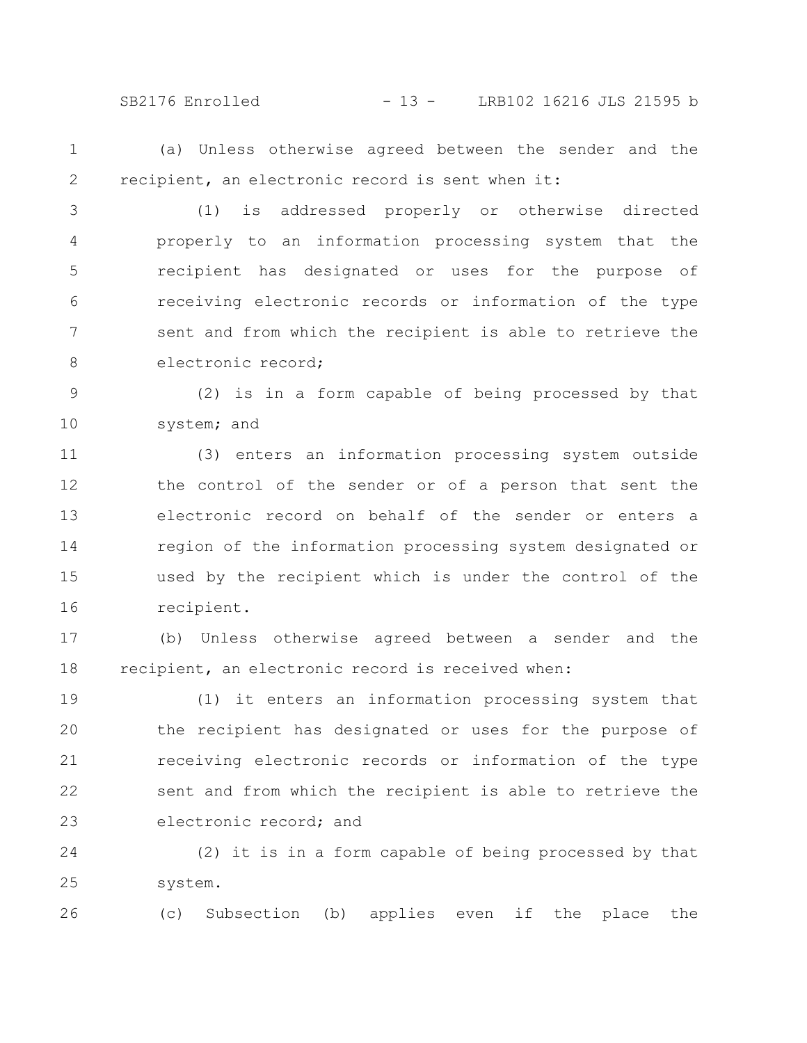SB2176 Enrolled - 13 - LRB102 16216 JLS 21595 b

1 2

(a) Unless otherwise agreed between the sender and the recipient, an electronic record is sent when it:

(1) is addressed properly or otherwise directed properly to an information processing system that the recipient has designated or uses for the purpose of receiving electronic records or information of the type sent and from which the recipient is able to retrieve the electronic record; 3 4 5 6 7 8

(2) is in a form capable of being processed by that system; and 9 10

(3) enters an information processing system outside the control of the sender or of a person that sent the electronic record on behalf of the sender or enters a region of the information processing system designated or used by the recipient which is under the control of the recipient. 11 12 13 14 15 16

(b) Unless otherwise agreed between a sender and the recipient, an electronic record is received when: 17 18

(1) it enters an information processing system that the recipient has designated or uses for the purpose of receiving electronic records or information of the type sent and from which the recipient is able to retrieve the electronic record; and 19 20 21 22 23

(2) it is in a form capable of being processed by that system. 24 25

(c) Subsection (b) applies even if the place the 26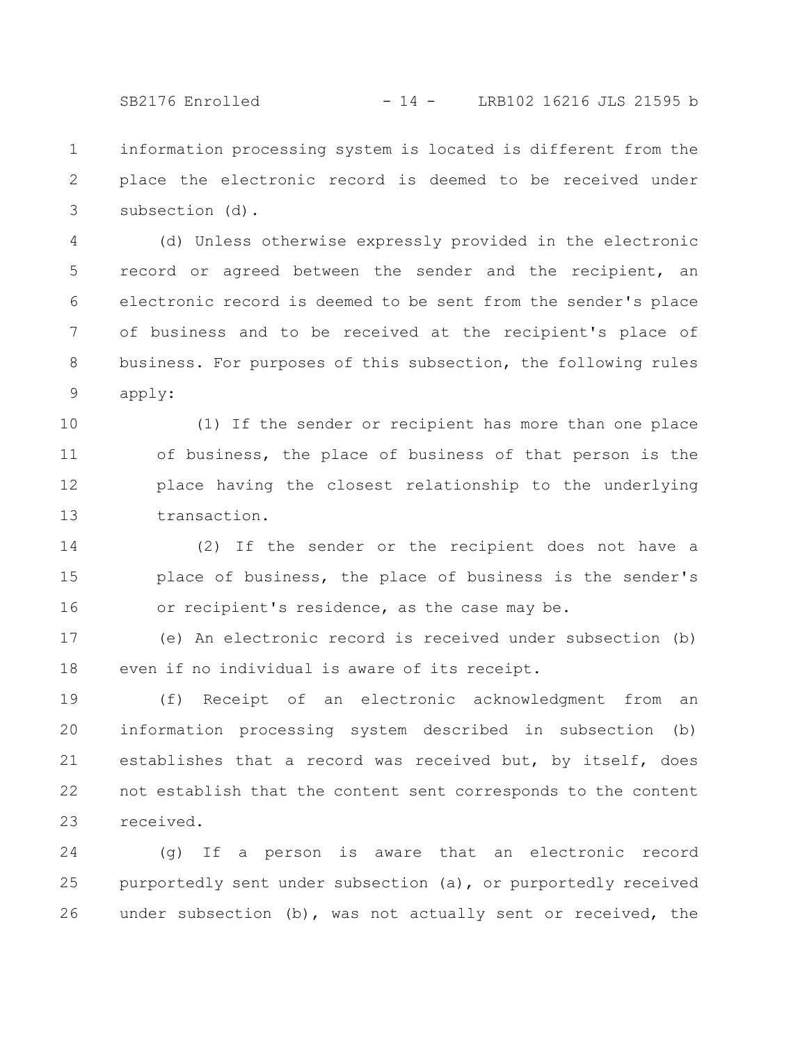SB2176 Enrolled - 14 - LRB102 16216 JLS 21595 b

information processing system is located is different from the place the electronic record is deemed to be received under subsection (d). 1 2 3

(d) Unless otherwise expressly provided in the electronic record or agreed between the sender and the recipient, an electronic record is deemed to be sent from the sender's place of business and to be received at the recipient's place of business. For purposes of this subsection, the following rules apply: 4 5 6 7 8 9

(1) If the sender or recipient has more than one place of business, the place of business of that person is the place having the closest relationship to the underlying transaction. 10 11 12 13

(2) If the sender or the recipient does not have a place of business, the place of business is the sender's or recipient's residence, as the case may be. 14 15 16

(e) An electronic record is received under subsection (b) even if no individual is aware of its receipt. 17 18

(f) Receipt of an electronic acknowledgment from an information processing system described in subsection (b) establishes that a record was received but, by itself, does not establish that the content sent corresponds to the content received. 19 20 21 22 23

(g) If a person is aware that an electronic record purportedly sent under subsection (a), or purportedly received under subsection (b), was not actually sent or received, the 24 25 26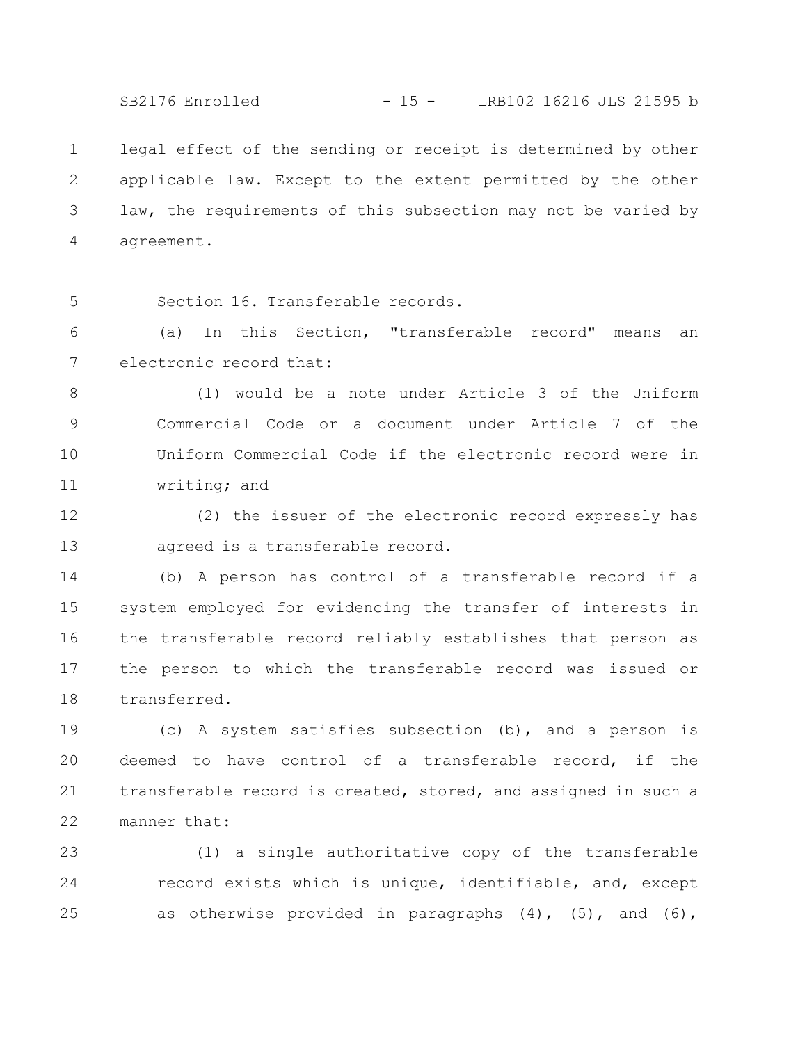SB2176 Enrolled - 15 - LRB102 16216 JLS 21595 b

legal effect of the sending or receipt is determined by other applicable law. Except to the extent permitted by the other law, the requirements of this subsection may not be varied by agreement. 1 2 3 4

Section 16. Transferable records. 5

(a) In this Section, "transferable record" means an electronic record that: 6 7

(1) would be a note under Article 3 of the Uniform Commercial Code or a document under Article 7 of the Uniform Commercial Code if the electronic record were in writing; and 8 9 10 11

(2) the issuer of the electronic record expressly has agreed is a transferable record. 12 13

(b) A person has control of a transferable record if a system employed for evidencing the transfer of interests in the transferable record reliably establishes that person as the person to which the transferable record was issued or transferred. 14 15 16 17 18

(c) A system satisfies subsection (b), and a person is deemed to have control of a transferable record, if the transferable record is created, stored, and assigned in such a manner that: 19 20 21 22

(1) a single authoritative copy of the transferable record exists which is unique, identifiable, and, except as otherwise provided in paragraphs  $(4)$ ,  $(5)$ , and  $(6)$ , 23 24 25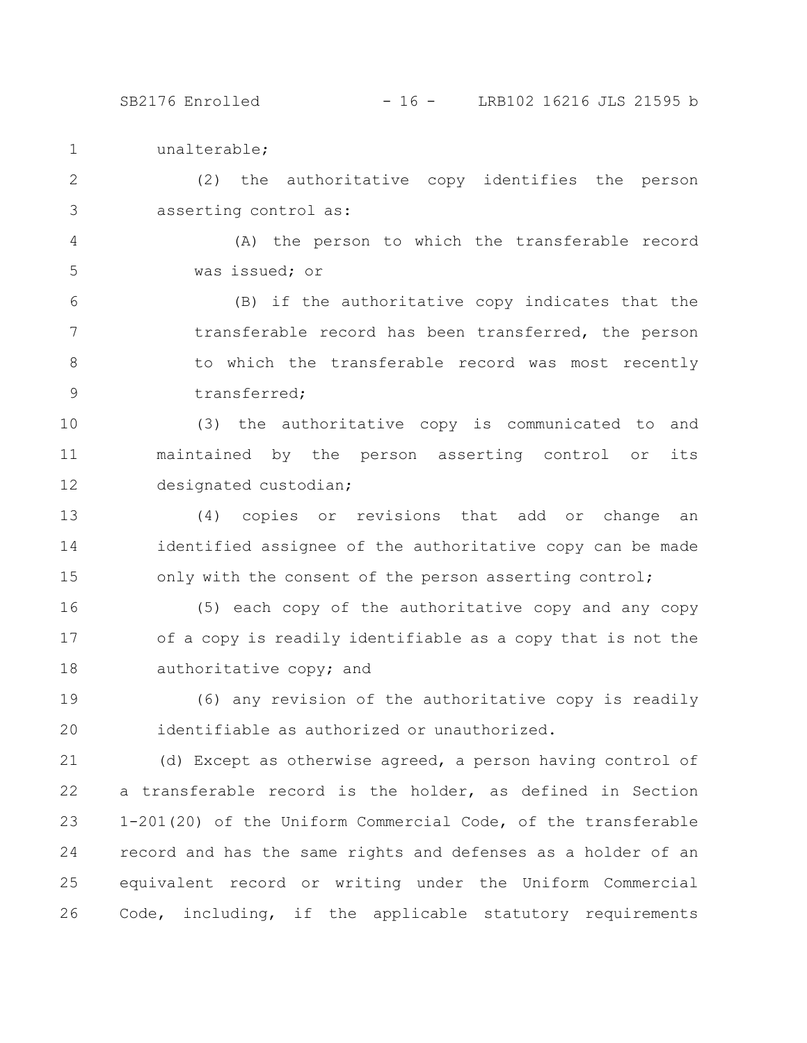unalterable; 1

(2) the authoritative copy identifies the person asserting control as: 2 3

(A) the person to which the transferable record was issued; or 4 5

(B) if the authoritative copy indicates that the transferable record has been transferred, the person to which the transferable record was most recently transferred; 6 7 8 9

(3) the authoritative copy is communicated to and maintained by the person asserting control or its designated custodian; 10 11 12

(4) copies or revisions that add or change an identified assignee of the authoritative copy can be made only with the consent of the person asserting control; 13 14 15

(5) each copy of the authoritative copy and any copy of a copy is readily identifiable as a copy that is not the authoritative copy; and 16 17 18

(6) any revision of the authoritative copy is readily identifiable as authorized or unauthorized. 19 20

(d) Except as otherwise agreed, a person having control of a transferable record is the holder, as defined in Section 1-201(20) of the Uniform Commercial Code, of the transferable record and has the same rights and defenses as a holder of an equivalent record or writing under the Uniform Commercial Code, including, if the applicable statutory requirements 21 22 23 24 25 26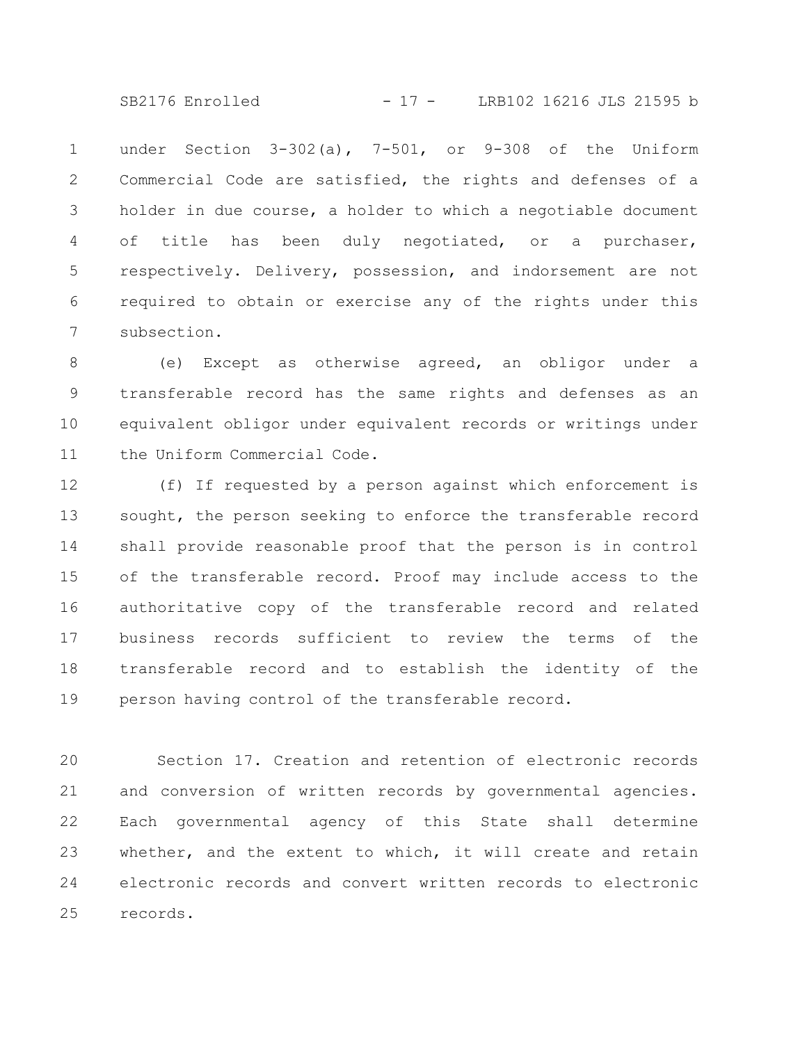SB2176 Enrolled - 17 - LRB102 16216 JLS 21595 b

under Section 3-302(a), 7-501, or 9-308 of the Uniform Commercial Code are satisfied, the rights and defenses of a holder in due course, a holder to which a negotiable document of title has been duly negotiated, or a purchaser, respectively. Delivery, possession, and indorsement are not required to obtain or exercise any of the rights under this subsection. 1 2 3 4 5 6 7

(e) Except as otherwise agreed, an obligor under a transferable record has the same rights and defenses as an equivalent obligor under equivalent records or writings under the Uniform Commercial Code. 8 9 10 11

(f) If requested by a person against which enforcement is sought, the person seeking to enforce the transferable record shall provide reasonable proof that the person is in control of the transferable record. Proof may include access to the authoritative copy of the transferable record and related business records sufficient to review the terms of the transferable record and to establish the identity of the person having control of the transferable record. 12 13 14 15 16 17 18 19

Section 17. Creation and retention of electronic records and conversion of written records by governmental agencies. Each governmental agency of this State shall determine whether, and the extent to which, it will create and retain electronic records and convert written records to electronic records. 20 21 22 23 24 25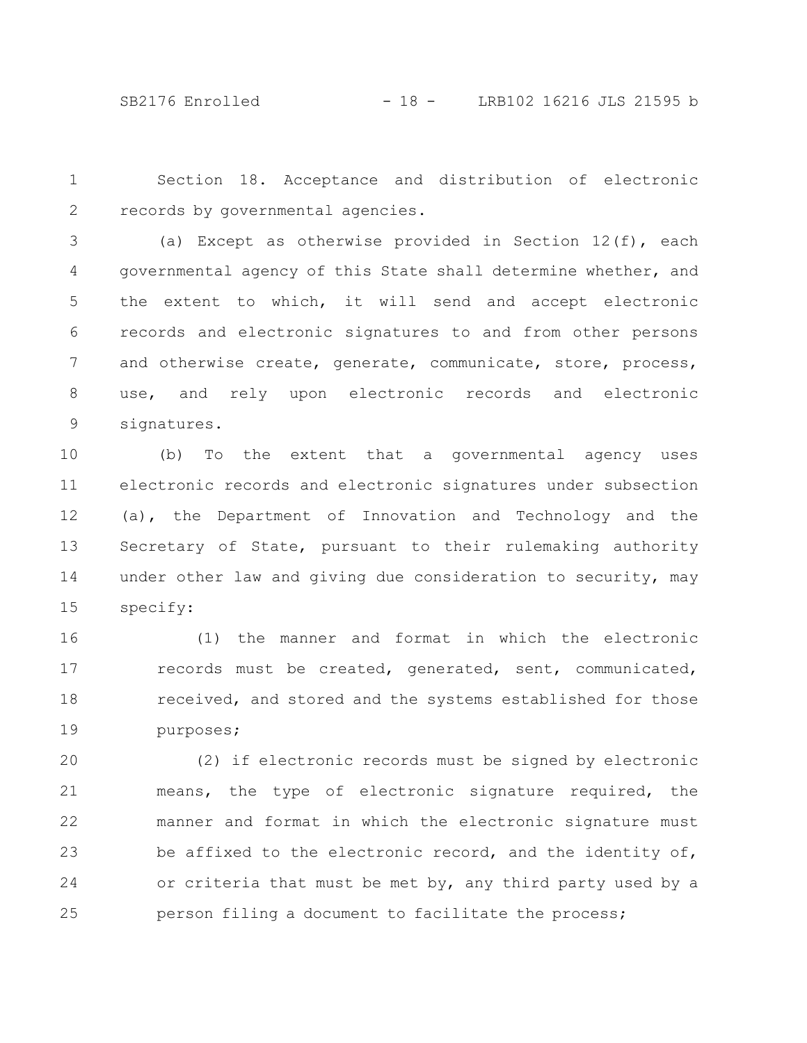SB2176 Enrolled - 18 - LRB102 16216 JLS 21595 b

Section 18. Acceptance and distribution of electronic records by governmental agencies. 1 2

(a) Except as otherwise provided in Section  $12(f)$ , each governmental agency of this State shall determine whether, and the extent to which, it will send and accept electronic records and electronic signatures to and from other persons and otherwise create, generate, communicate, store, process, use, and rely upon electronic records and electronic signatures. 3 4 5 6 7 8 9

(b) To the extent that a governmental agency uses electronic records and electronic signatures under subsection (a), the Department of Innovation and Technology and the Secretary of State, pursuant to their rulemaking authority under other law and giving due consideration to security, may specify: 10 11 12 13 14 15

(1) the manner and format in which the electronic records must be created, generated, sent, communicated, received, and stored and the systems established for those purposes; 16 17 18 19

(2) if electronic records must be signed by electronic means, the type of electronic signature required, the manner and format in which the electronic signature must be affixed to the electronic record, and the identity of, or criteria that must be met by, any third party used by a person filing a document to facilitate the process; 20 21 22 23 24 25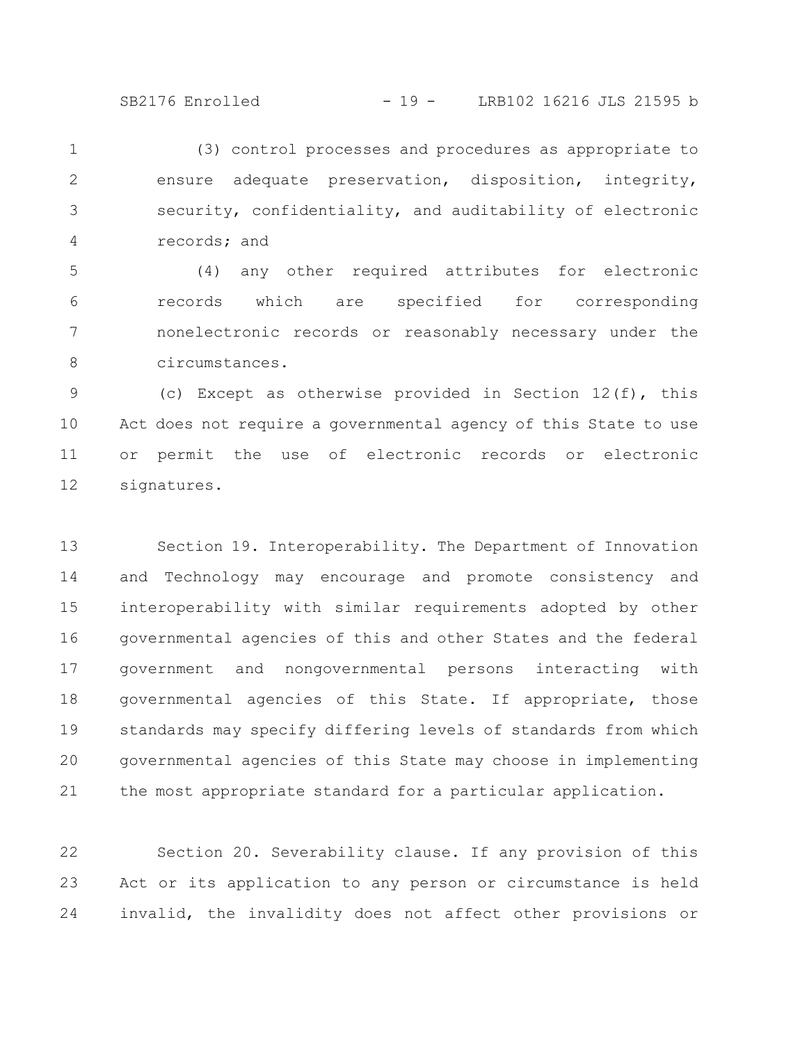SB2176 Enrolled - 19 - LRB102 16216 JLS 21595 b

(3) control processes and procedures as appropriate to ensure adequate preservation, disposition, integrity, security, confidentiality, and auditability of electronic records; and 1 2 3 4

(4) any other required attributes for electronic records which are specified for corresponding nonelectronic records or reasonably necessary under the circumstances. 5 6 7 8

(c) Except as otherwise provided in Section 12(f), this Act does not require a governmental agency of this State to use or permit the use of electronic records or electronic signatures. 9 10 11 12

Section 19. Interoperability. The Department of Innovation and Technology may encourage and promote consistency and interoperability with similar requirements adopted by other governmental agencies of this and other States and the federal government and nongovernmental persons interacting with governmental agencies of this State. If appropriate, those standards may specify differing levels of standards from which governmental agencies of this State may choose in implementing the most appropriate standard for a particular application. 13 14 15 16 17 18 19 20 21

Section 20. Severability clause. If any provision of this Act or its application to any person or circumstance is held invalid, the invalidity does not affect other provisions or 22 23 24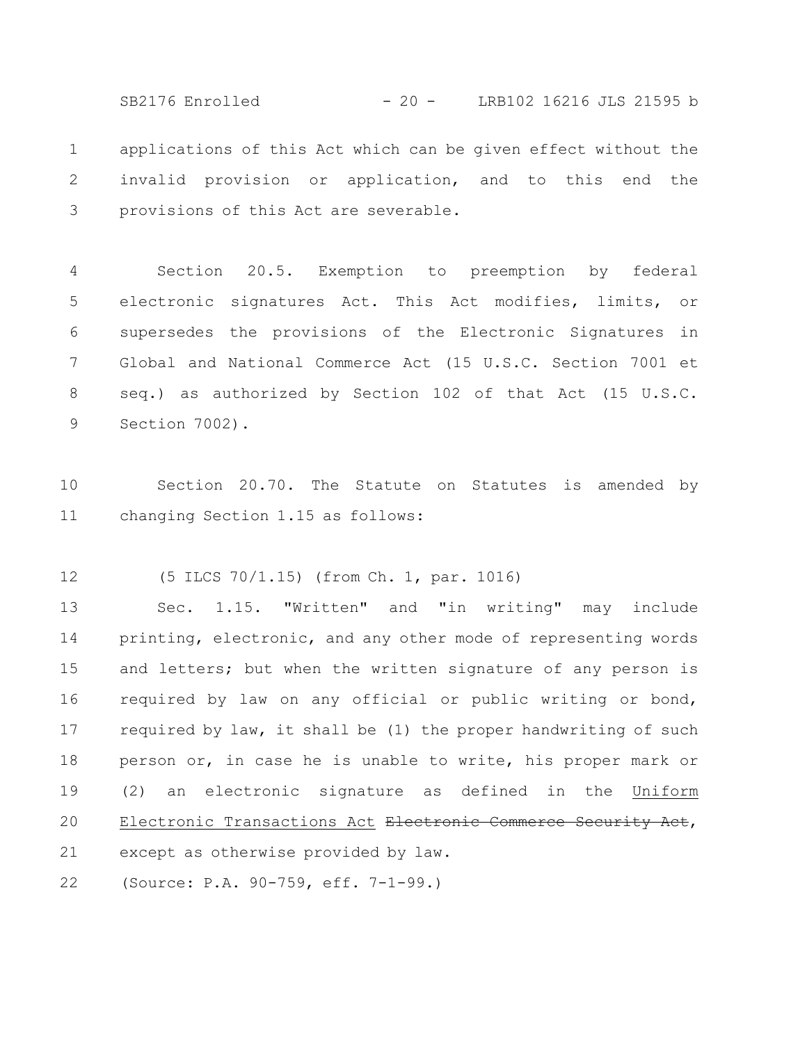applications of this Act which can be given effect without the invalid provision or application, and to this end the provisions of this Act are severable. 1 2 3 SB2176 Enrolled - 20 - LRB102 16216 JLS 21595 b

Section 20.5. Exemption to preemption by federal electronic signatures Act. This Act modifies, limits, or supersedes the provisions of the Electronic Signatures in Global and National Commerce Act (15 U.S.C. Section 7001 et seq.) as authorized by Section 102 of that Act (15 U.S.C. Section 7002). 4 5 6 7 8 9

Section 20.70. The Statute on Statutes is amended by changing Section 1.15 as follows: 10 11

(5 ILCS 70/1.15) (from Ch. 1, par. 1016) 12

Sec. 1.15. "Written" and "in writing" may include printing, electronic, and any other mode of representing words and letters; but when the written signature of any person is required by law on any official or public writing or bond, required by law, it shall be (1) the proper handwriting of such person or, in case he is unable to write, his proper mark or (2) an electronic signature as defined in the Uniform Electronic Transactions Act <del>Electronic Commerce Security Act</del>, except as otherwise provided by law. 13 14 15 16 17 18 19 20 21

(Source: P.A. 90-759, eff. 7-1-99.) 22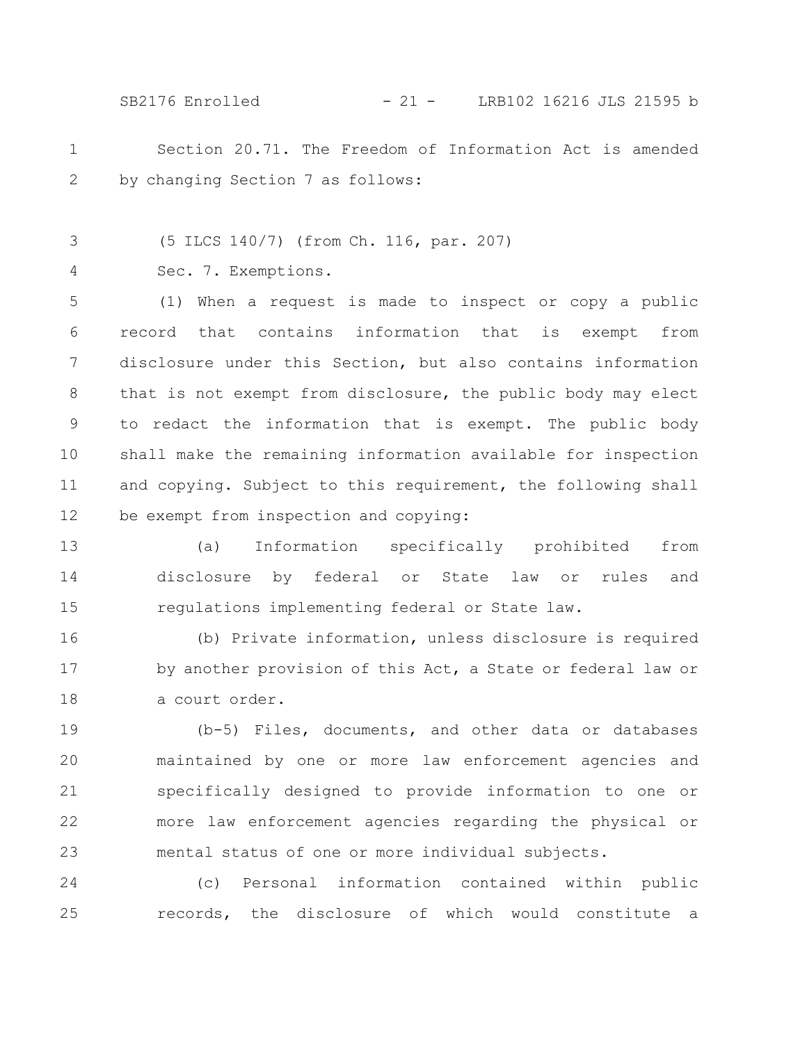SB2176 Enrolled - 21 - LRB102 16216 JLS 21595 b

- Section 20.71. The Freedom of Information Act is amended by changing Section 7 as follows: 1 2
- (5 ILCS 140/7) (from Ch. 116, par. 207) 3
	- Sec. 7. Exemptions.

4

(1) When a request is made to inspect or copy a public record that contains information that is exempt from disclosure under this Section, but also contains information that is not exempt from disclosure, the public body may elect to redact the information that is exempt. The public body shall make the remaining information available for inspection and copying. Subject to this requirement, the following shall be exempt from inspection and copying: 5 6 7 8 9 10 11 12

(a) Information specifically prohibited from disclosure by federal or State law or rules and regulations implementing federal or State law. 13 14 15

(b) Private information, unless disclosure is required by another provision of this Act, a State or federal law or a court order. 16 17 18

(b-5) Files, documents, and other data or databases maintained by one or more law enforcement agencies and specifically designed to provide information to one or more law enforcement agencies regarding the physical or mental status of one or more individual subjects. 19 20 21 22 23

(c) Personal information contained within public records, the disclosure of which would constitute a 24 25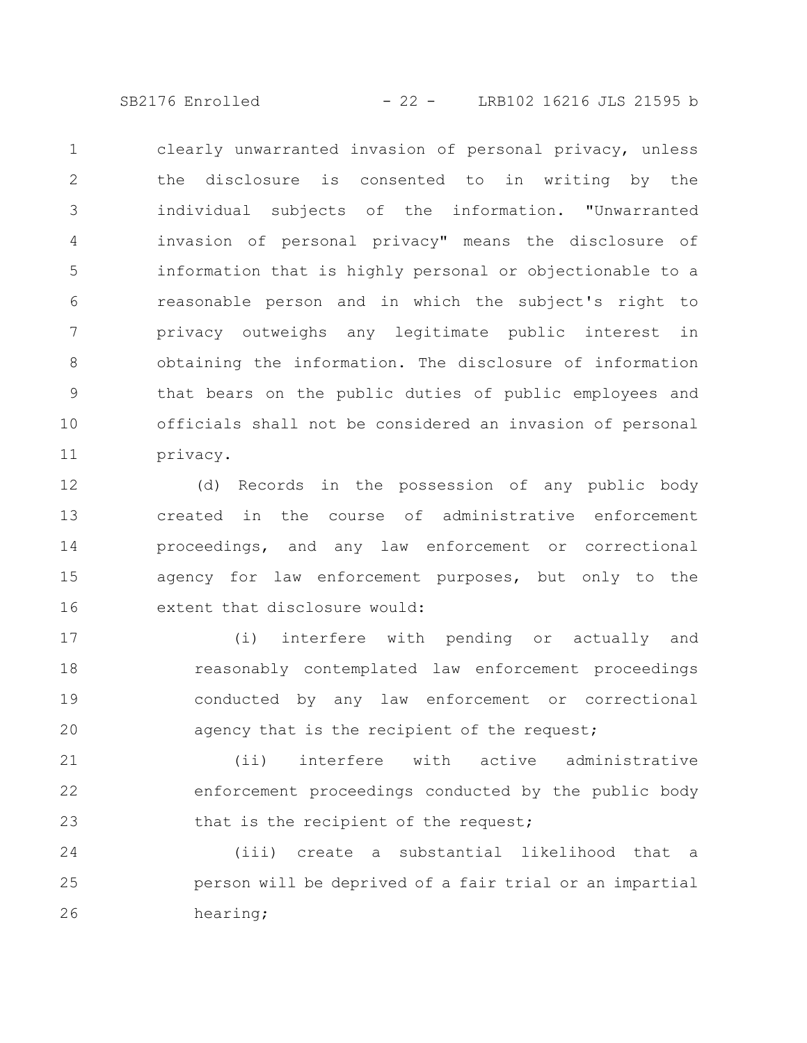SB2176 Enrolled - 22 - LRB102 16216 JLS 21595 b

clearly unwarranted invasion of personal privacy, unless the disclosure is consented to in writing by the individual subjects of the information. "Unwarranted invasion of personal privacy" means the disclosure of information that is highly personal or objectionable to a reasonable person and in which the subject's right to privacy outweighs any legitimate public interest in obtaining the information. The disclosure of information that bears on the public duties of public employees and officials shall not be considered an invasion of personal privacy. 1 2 3 4 5 6 7 8 9 10 11

(d) Records in the possession of any public body created in the course of administrative enforcement proceedings, and any law enforcement or correctional agency for law enforcement purposes, but only to the extent that disclosure would: 12 13 14 15 16

(i) interfere with pending or actually and reasonably contemplated law enforcement proceedings conducted by any law enforcement or correctional agency that is the recipient of the request; 17 18 19 20

(ii) interfere with active administrative enforcement proceedings conducted by the public body that is the recipient of the request; 21 22 23

(iii) create a substantial likelihood that a person will be deprived of a fair trial or an impartial hearing; 24 25 26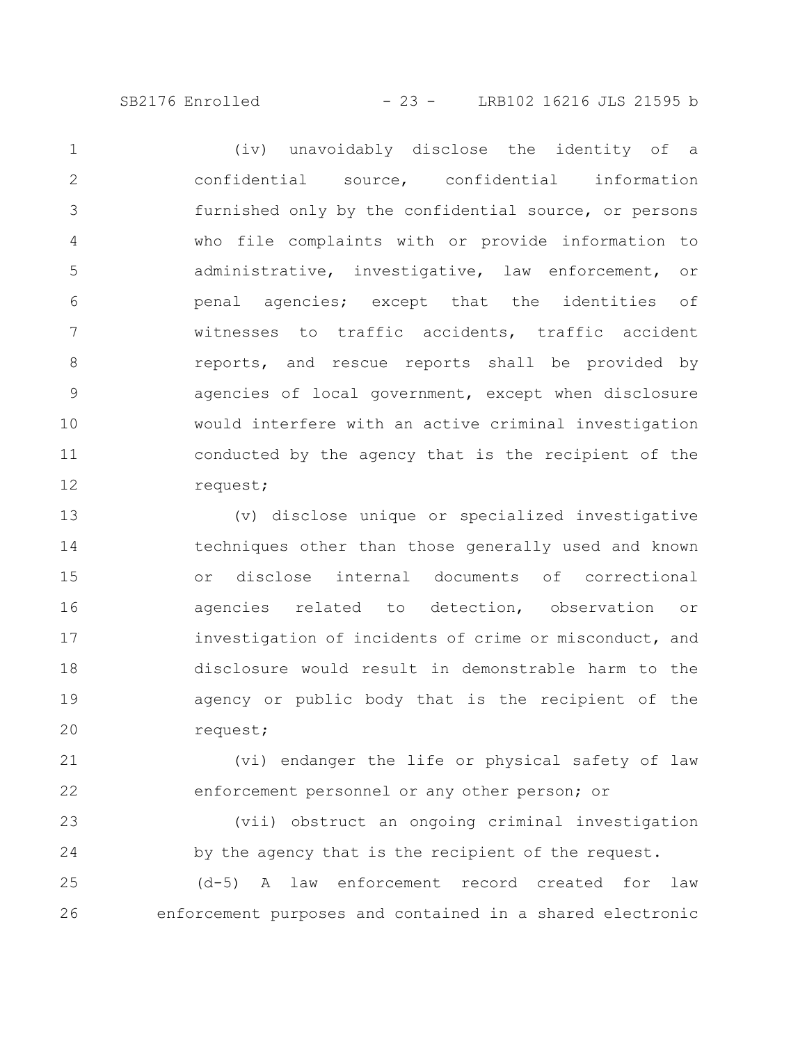SB2176 Enrolled - 23 - LRB102 16216 JLS 21595 b

(iv) unavoidably disclose the identity of a confidential source, confidential information furnished only by the confidential source, or persons who file complaints with or provide information to administrative, investigative, law enforcement, or penal agencies; except that the identities of witnesses to traffic accidents, traffic accident reports, and rescue reports shall be provided by agencies of local government, except when disclosure would interfere with an active criminal investigation conducted by the agency that is the recipient of the request; 1 2 3 4 5 6 7 8 9 10 11 12

(v) disclose unique or specialized investigative techniques other than those generally used and known or disclose internal documents of correctional agencies related to detection, observation or investigation of incidents of crime or misconduct, and disclosure would result in demonstrable harm to the agency or public body that is the recipient of the request; 13 14 15 16 17 18 19 20

(vi) endanger the life or physical safety of law enforcement personnel or any other person; or 21 22

(vii) obstruct an ongoing criminal investigation by the agency that is the recipient of the request. 23 24

(d-5) A law enforcement record created for law enforcement purposes and contained in a shared electronic 25 26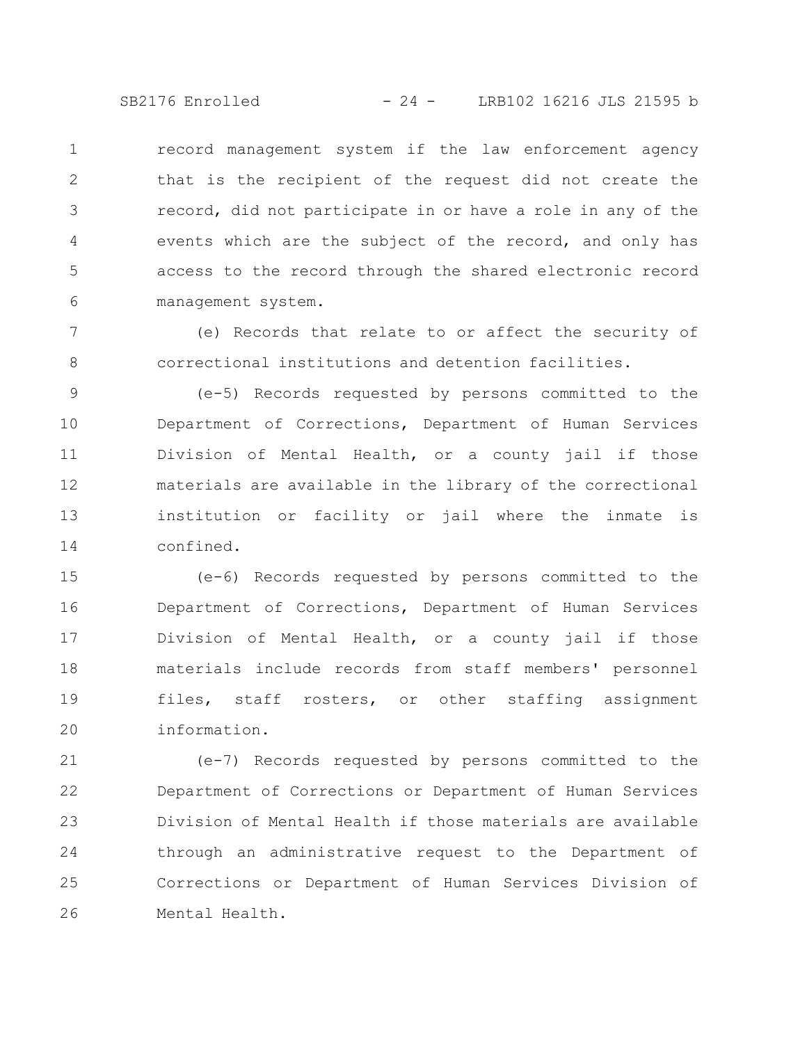SB2176 Enrolled - 24 - LRB102 16216 JLS 21595 b

record management system if the law enforcement agency that is the recipient of the request did not create the record, did not participate in or have a role in any of the events which are the subject of the record, and only has access to the record through the shared electronic record management system. 1 2 3 4 5 6

(e) Records that relate to or affect the security of correctional institutions and detention facilities. 7 8

(e-5) Records requested by persons committed to the Department of Corrections, Department of Human Services Division of Mental Health, or a county jail if those materials are available in the library of the correctional institution or facility or jail where the inmate is confined. 9 10 11 12 13 14

(e-6) Records requested by persons committed to the Department of Corrections, Department of Human Services Division of Mental Health, or a county jail if those materials include records from staff members' personnel files, staff rosters, or other staffing assignment information. 15 16 17 18 19 20

(e-7) Records requested by persons committed to the Department of Corrections or Department of Human Services Division of Mental Health if those materials are available through an administrative request to the Department of Corrections or Department of Human Services Division of Mental Health. 21 22 23 24 25 26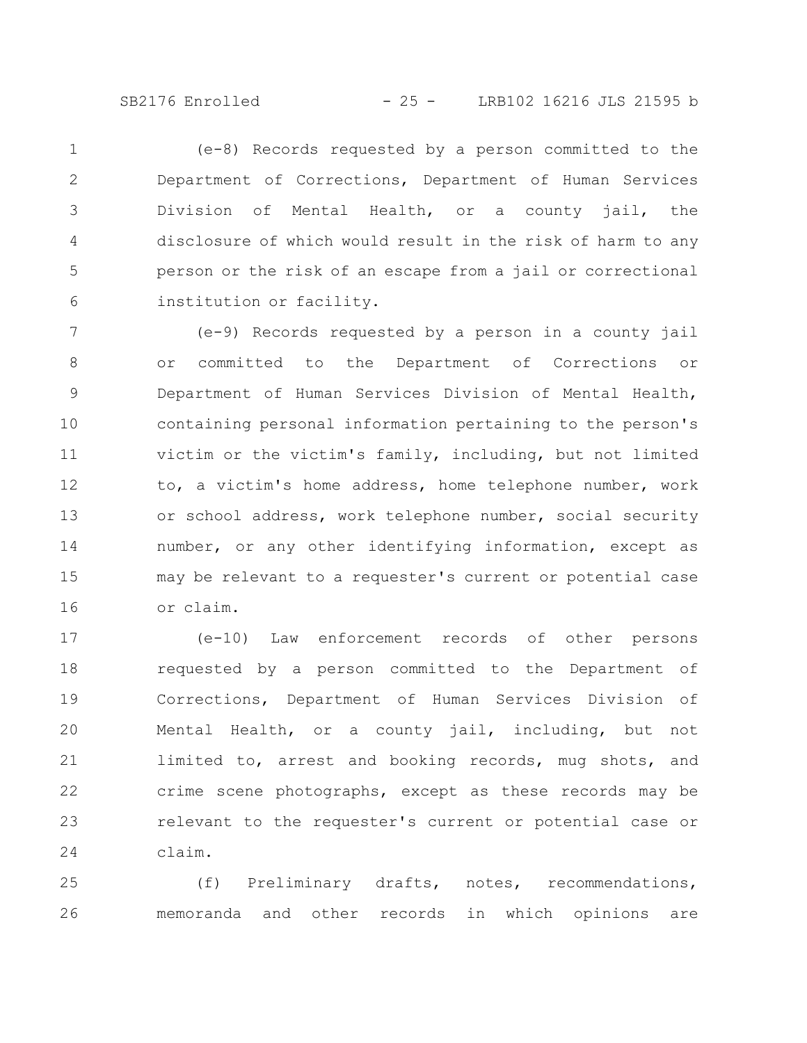SB2176 Enrolled - 25 - LRB102 16216 JLS 21595 b

(e-8) Records requested by a person committed to the Department of Corrections, Department of Human Services Division of Mental Health, or a county jail, the disclosure of which would result in the risk of harm to any person or the risk of an escape from a jail or correctional institution or facility. 1 2 3 4 5 6

(e-9) Records requested by a person in a county jail or committed to the Department of Corrections or Department of Human Services Division of Mental Health, containing personal information pertaining to the person's victim or the victim's family, including, but not limited to, a victim's home address, home telephone number, work or school address, work telephone number, social security number, or any other identifying information, except as may be relevant to a requester's current or potential case or claim. 7 8 9 10 11 12 13 14 15 16

(e-10) Law enforcement records of other persons requested by a person committed to the Department of Corrections, Department of Human Services Division of Mental Health, or a county jail, including, but not limited to, arrest and booking records, mug shots, and crime scene photographs, except as these records may be relevant to the requester's current or potential case or claim. 17 18 19 20 21 22 23 24

(f) Preliminary drafts, notes, recommendations, memoranda and other records in which opinions are 25 26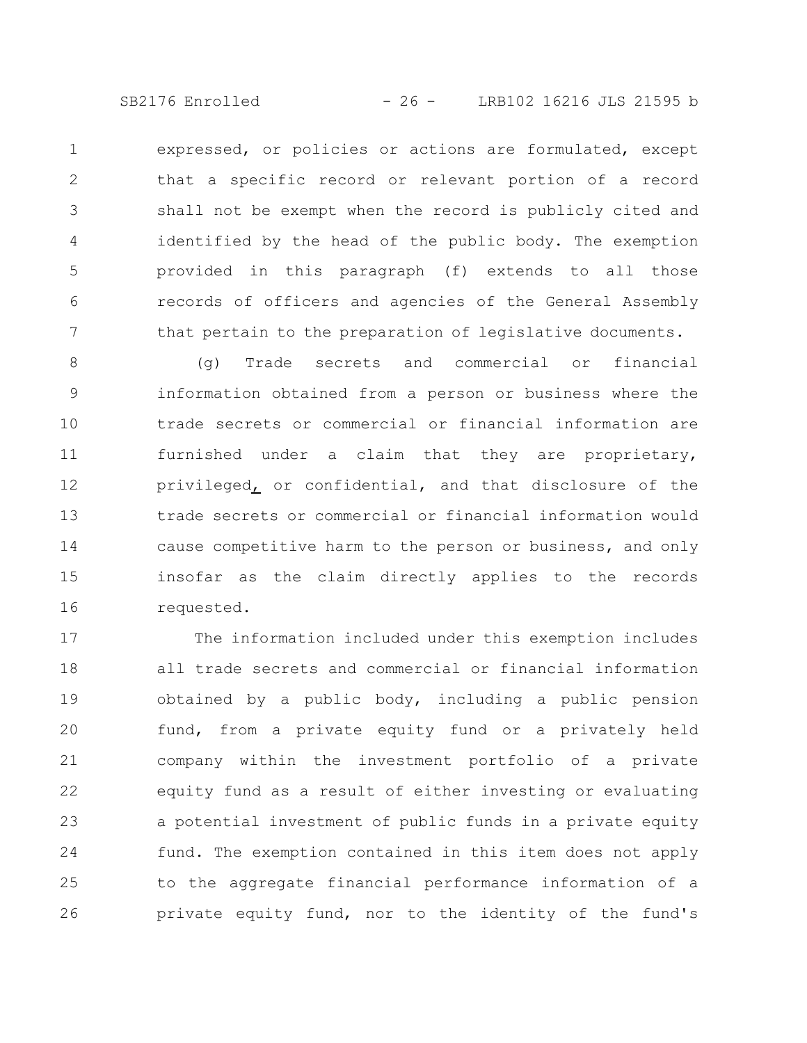SB2176 Enrolled - 26 - LRB102 16216 JLS 21595 b

expressed, or policies or actions are formulated, except that a specific record or relevant portion of a record shall not be exempt when the record is publicly cited and identified by the head of the public body. The exemption provided in this paragraph (f) extends to all those records of officers and agencies of the General Assembly that pertain to the preparation of legislative documents. 1 2 3 4 5 6 7

(g) Trade secrets and commercial or financial information obtained from a person or business where the trade secrets or commercial or financial information are furnished under a claim that they are proprietary, privileged, or confidential, and that disclosure of the trade secrets or commercial or financial information would cause competitive harm to the person or business, and only insofar as the claim directly applies to the records requested. 8 9 10 11 12 13 14 15 16

The information included under this exemption includes all trade secrets and commercial or financial information obtained by a public body, including a public pension fund, from a private equity fund or a privately held company within the investment portfolio of a private equity fund as a result of either investing or evaluating a potential investment of public funds in a private equity fund. The exemption contained in this item does not apply to the aggregate financial performance information of a private equity fund, nor to the identity of the fund's 17 18 19 20 21 22 23 24 25 26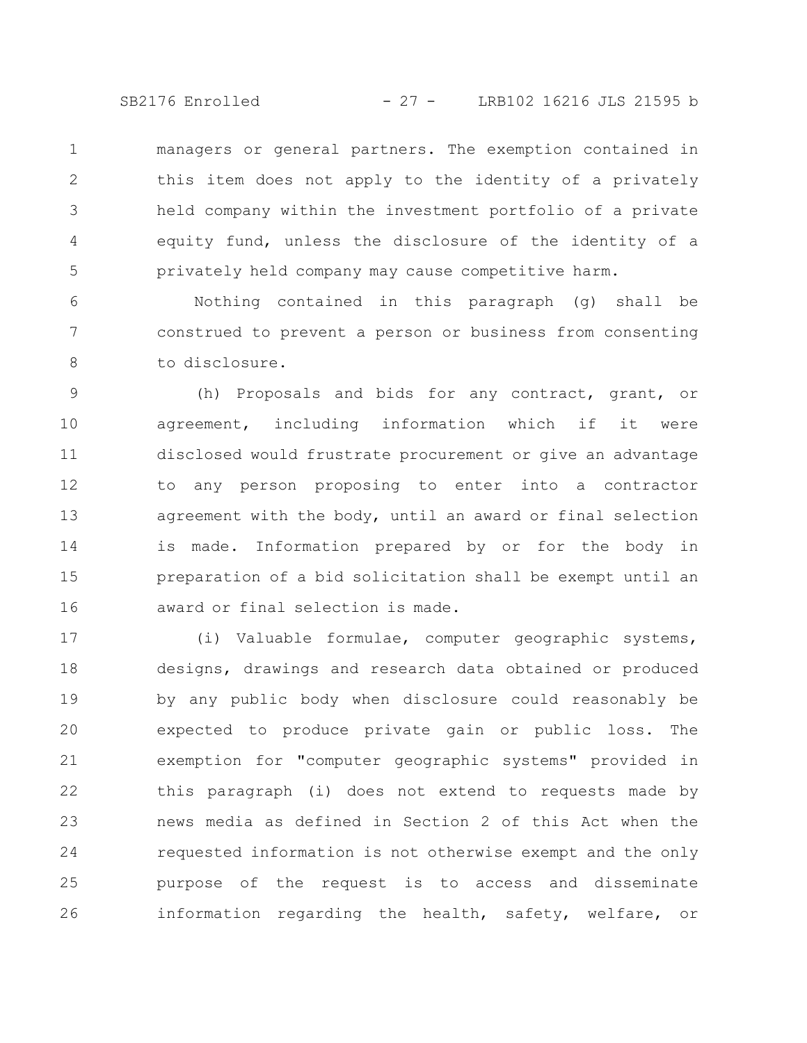SB2176 Enrolled - 27 - LRB102 16216 JLS 21595 b

managers or general partners. The exemption contained in this item does not apply to the identity of a privately held company within the investment portfolio of a private equity fund, unless the disclosure of the identity of a privately held company may cause competitive harm. 1 2 3 4 5

Nothing contained in this paragraph (g) shall be construed to prevent a person or business from consenting to disclosure. 6 7 8

(h) Proposals and bids for any contract, grant, or agreement, including information which if it were disclosed would frustrate procurement or give an advantage to any person proposing to enter into a contractor agreement with the body, until an award or final selection is made. Information prepared by or for the body in preparation of a bid solicitation shall be exempt until an award or final selection is made. 9 10 11 12 13 14 15 16

(i) Valuable formulae, computer geographic systems, designs, drawings and research data obtained or produced by any public body when disclosure could reasonably be expected to produce private gain or public loss. The exemption for "computer geographic systems" provided in this paragraph (i) does not extend to requests made by news media as defined in Section 2 of this Act when the requested information is not otherwise exempt and the only purpose of the request is to access and disseminate information regarding the health, safety, welfare, or 17 18 19 20 21 22 23 24 25 26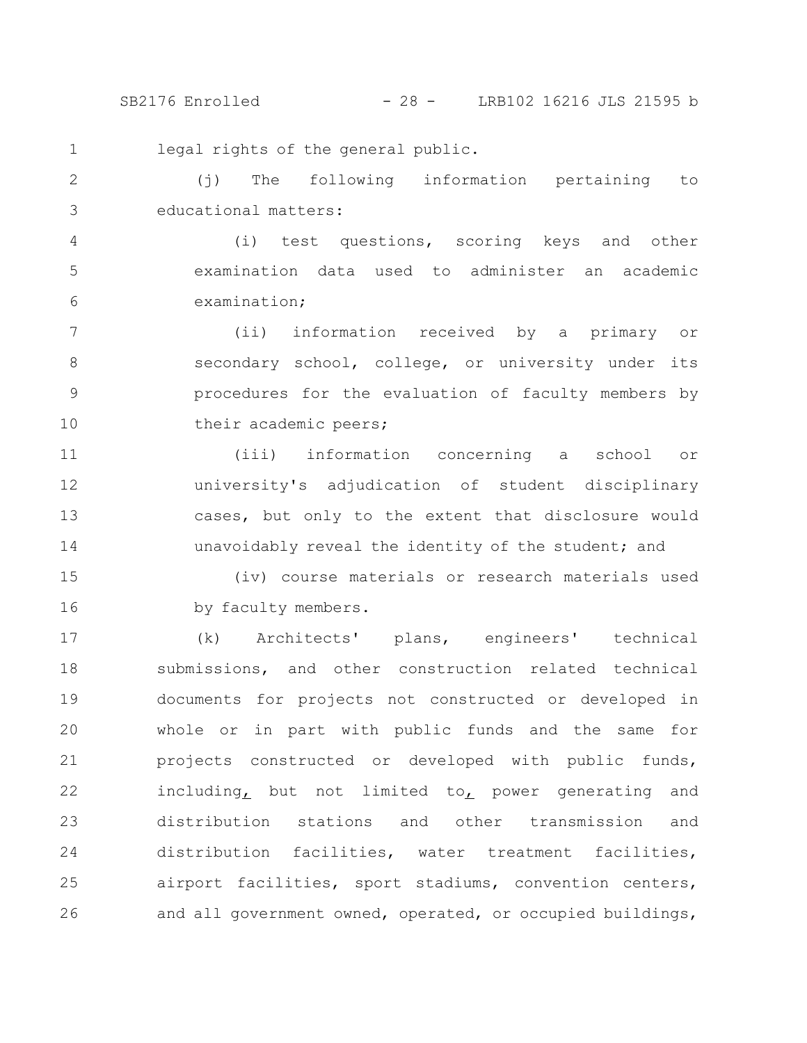SB2176 Enrolled - 28 - LRB102 16216 JLS 21595 b

legal rights of the general public. 1

(j) The following information pertaining to educational matters: 2 3

(i) test questions, scoring keys and other examination data used to administer an academic examination; 4 5 6

(ii) information received by a primary or secondary school, college, or university under its procedures for the evaluation of faculty members by their academic peers; 7 8 9 10

(iii) information concerning a school or university's adjudication of student disciplinary cases, but only to the extent that disclosure would unavoidably reveal the identity of the student; and 11 12 13 14

(iv) course materials or research materials used by faculty members. 15 16

(k) Architects' plans, engineers' technical submissions, and other construction related technical documents for projects not constructed or developed in whole or in part with public funds and the same for projects constructed or developed with public funds, including, but not limited to, power generating and distribution stations and other transmission and distribution facilities, water treatment facilities, airport facilities, sport stadiums, convention centers, and all government owned, operated, or occupied buildings, 17 18 19 20 21 22 23 24 25 26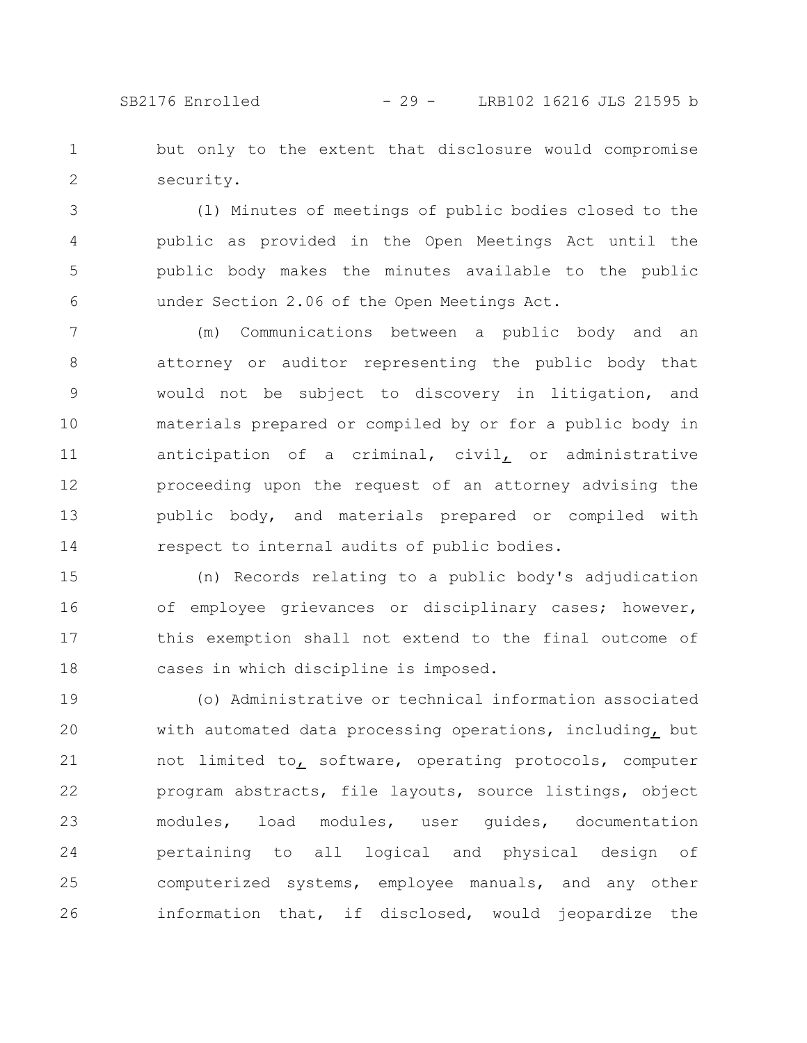## SB2176 Enrolled - 29 - LRB102 16216 JLS 21595 b

but only to the extent that disclosure would compromise security. 1 2

(l) Minutes of meetings of public bodies closed to the public as provided in the Open Meetings Act until the public body makes the minutes available to the public under Section 2.06 of the Open Meetings Act. 3 4 5 6

(m) Communications between a public body and an attorney or auditor representing the public body that would not be subject to discovery in litigation, and materials prepared or compiled by or for a public body in anticipation of a criminal, civil, or administrative proceeding upon the request of an attorney advising the public body, and materials prepared or compiled with respect to internal audits of public bodies. 7 8 9 10 11 12 13 14

(n) Records relating to a public body's adjudication of employee grievances or disciplinary cases; however, this exemption shall not extend to the final outcome of cases in which discipline is imposed. 15 16 17 18

(o) Administrative or technical information associated with automated data processing operations, including, but not limited to, software, operating protocols, computer program abstracts, file layouts, source listings, object modules, load modules, user guides, documentation pertaining to all logical and physical design of computerized systems, employee manuals, and any other information that, if disclosed, would jeopardize the 19 20 21 22 23 24 25 26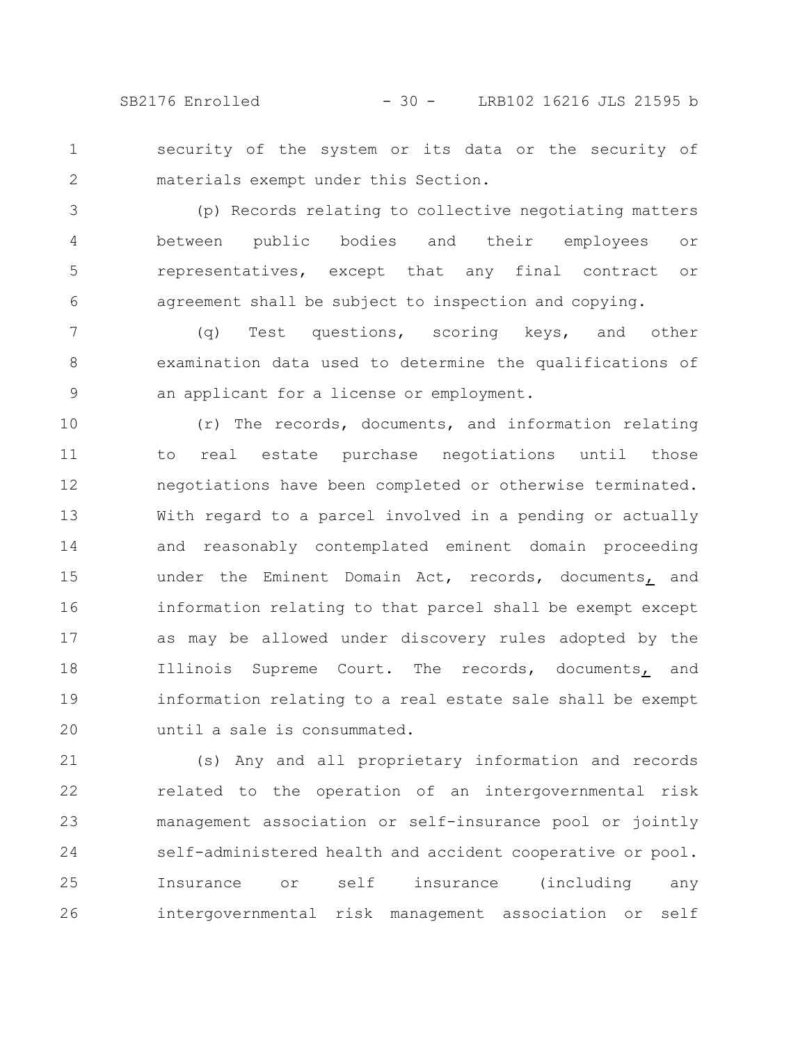SB2176 Enrolled - 30 - LRB102 16216 JLS 21595 b

security of the system or its data or the security of materials exempt under this Section. 1 2

(p) Records relating to collective negotiating matters between public bodies and their employees or representatives, except that any final contract or agreement shall be subject to inspection and copying. 3 4 5 6

(q) Test questions, scoring keys, and other examination data used to determine the qualifications of an applicant for a license or employment. 7 8 9

(r) The records, documents, and information relating to real estate purchase negotiations until those negotiations have been completed or otherwise terminated. With regard to a parcel involved in a pending or actually and reasonably contemplated eminent domain proceeding under the Eminent Domain Act, records, documents, and information relating to that parcel shall be exempt except as may be allowed under discovery rules adopted by the Illinois Supreme Court. The records, documents, and information relating to a real estate sale shall be exempt until a sale is consummated. 10 11 12 13 14 15 16 17 18 19 20

(s) Any and all proprietary information and records related to the operation of an intergovernmental risk management association or self-insurance pool or jointly self-administered health and accident cooperative or pool. Insurance or self insurance (including any intergovernmental risk management association or self 21 22 23 24 25 26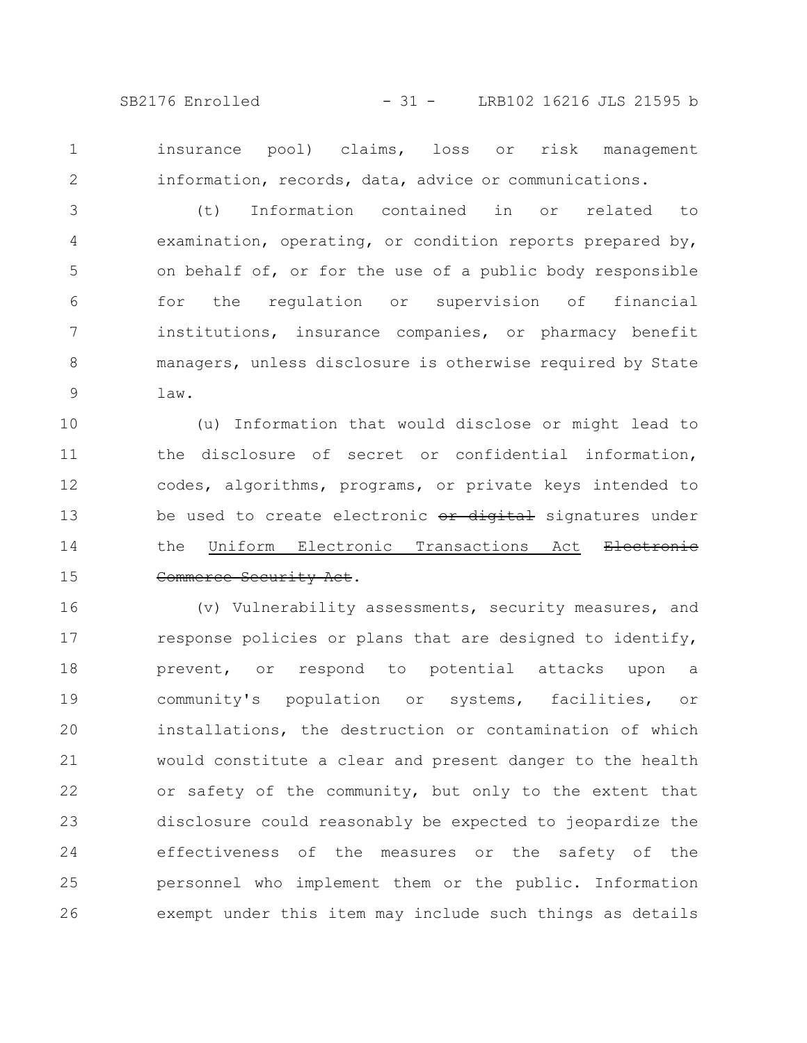SB2176 Enrolled - 31 - LRB102 16216 JLS 21595 b

1 2 insurance pool) claims, loss or risk management information, records, data, advice or communications.

(t) Information contained in or related to examination, operating, or condition reports prepared by, on behalf of, or for the use of a public body responsible for the regulation or supervision of financial institutions, insurance companies, or pharmacy benefit managers, unless disclosure is otherwise required by State law. 3 4 5 6 7 8 9

(u) Information that would disclose or might lead to the disclosure of secret or confidential information, codes, algorithms, programs, or private keys intended to be used to create electronic or digital signatures under the Uniform Electronic Transactions Act Electronic Commerce Security Act. 10 11 12 13 14 15

(v) Vulnerability assessments, security measures, and response policies or plans that are designed to identify, prevent, or respond to potential attacks upon a community's population or systems, facilities, or installations, the destruction or contamination of which would constitute a clear and present danger to the health or safety of the community, but only to the extent that disclosure could reasonably be expected to jeopardize the effectiveness of the measures or the safety of the personnel who implement them or the public. Information exempt under this item may include such things as details 16 17 18 19 20 21 22 23 24 25 26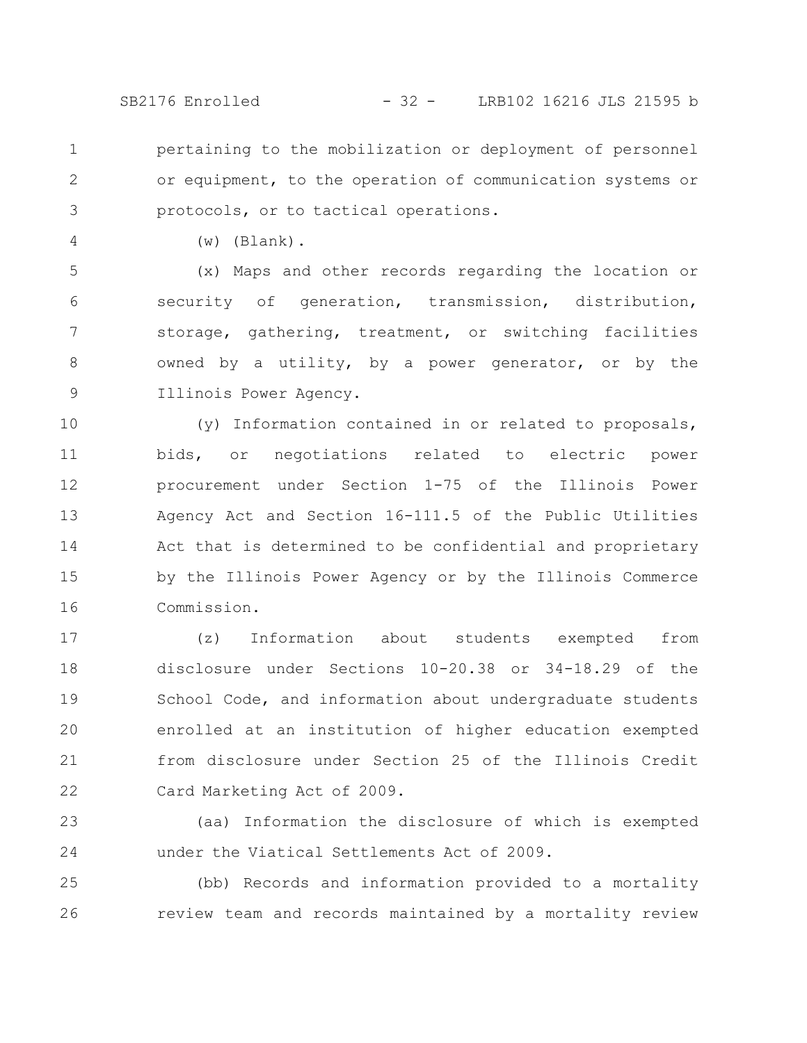SB2176 Enrolled - 32 - LRB102 16216 JLS 21595 b

pertaining to the mobilization or deployment of personnel or equipment, to the operation of communication systems or protocols, or to tactical operations. 1 2 3

4

(w) (Blank).

(x) Maps and other records regarding the location or security of generation, transmission, distribution, storage, gathering, treatment, or switching facilities owned by a utility, by a power generator, or by the Illinois Power Agency. 5 6 7 8 9

(y) Information contained in or related to proposals, bids, or negotiations related to electric power procurement under Section 1-75 of the Illinois Power Agency Act and Section 16-111.5 of the Public Utilities Act that is determined to be confidential and proprietary by the Illinois Power Agency or by the Illinois Commerce Commission. 10 11 12 13 14 15 16

(z) Information about students exempted from disclosure under Sections 10-20.38 or 34-18.29 of the School Code, and information about undergraduate students enrolled at an institution of higher education exempted from disclosure under Section 25 of the Illinois Credit Card Marketing Act of 2009. 17 18 19 20 21 22

(aa) Information the disclosure of which is exempted under the Viatical Settlements Act of 2009. 23 24

(bb) Records and information provided to a mortality review team and records maintained by a mortality review 25 26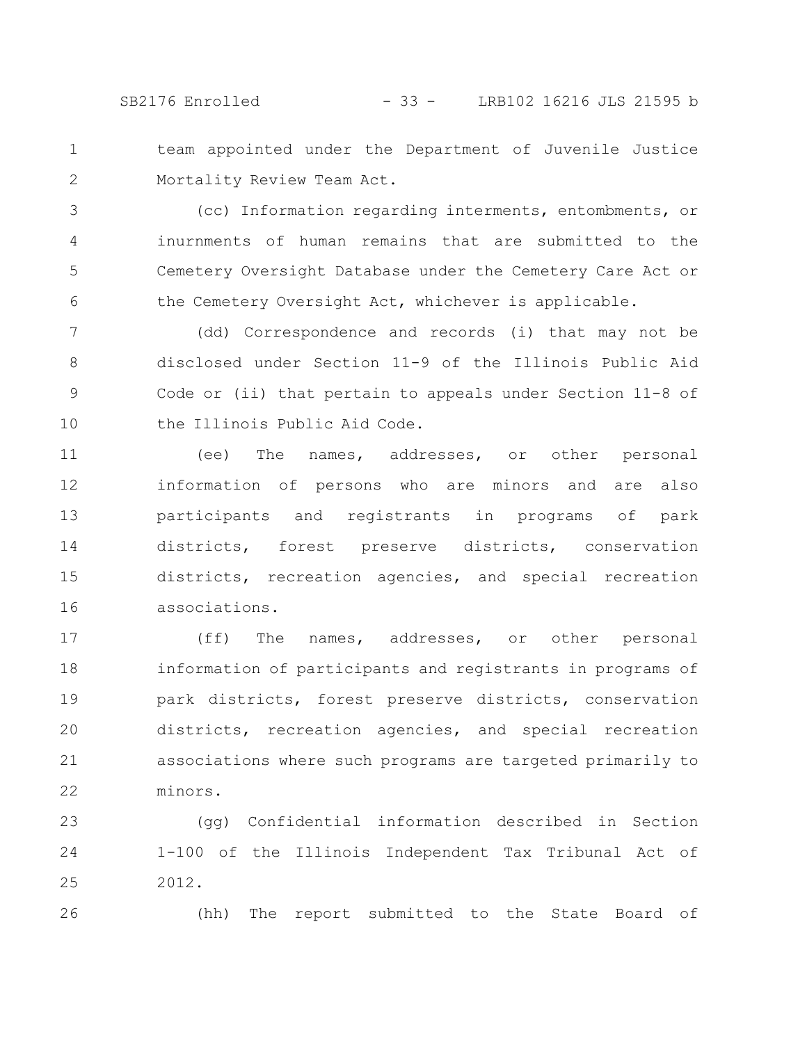team appointed under the Department of Juvenile Justice Mortality Review Team Act. 1 2

(cc) Information regarding interments, entombments, or inurnments of human remains that are submitted to the Cemetery Oversight Database under the Cemetery Care Act or the Cemetery Oversight Act, whichever is applicable. 3 4 5 6

(dd) Correspondence and records (i) that may not be disclosed under Section 11-9 of the Illinois Public Aid Code or (ii) that pertain to appeals under Section 11-8 of the Illinois Public Aid Code. 7 8 9 10

(ee) The names, addresses, or other personal information of persons who are minors and are also participants and registrants in programs of park districts, forest preserve districts, conservation districts, recreation agencies, and special recreation associations. 11 12 13 14 15 16

(ff) The names, addresses, or other personal information of participants and registrants in programs of park districts, forest preserve districts, conservation districts, recreation agencies, and special recreation associations where such programs are targeted primarily to minors. 17 18 19 20 21 22

(gg) Confidential information described in Section 1-100 of the Illinois Independent Tax Tribunal Act of 2012. 23 24 25

26

(hh) The report submitted to the State Board of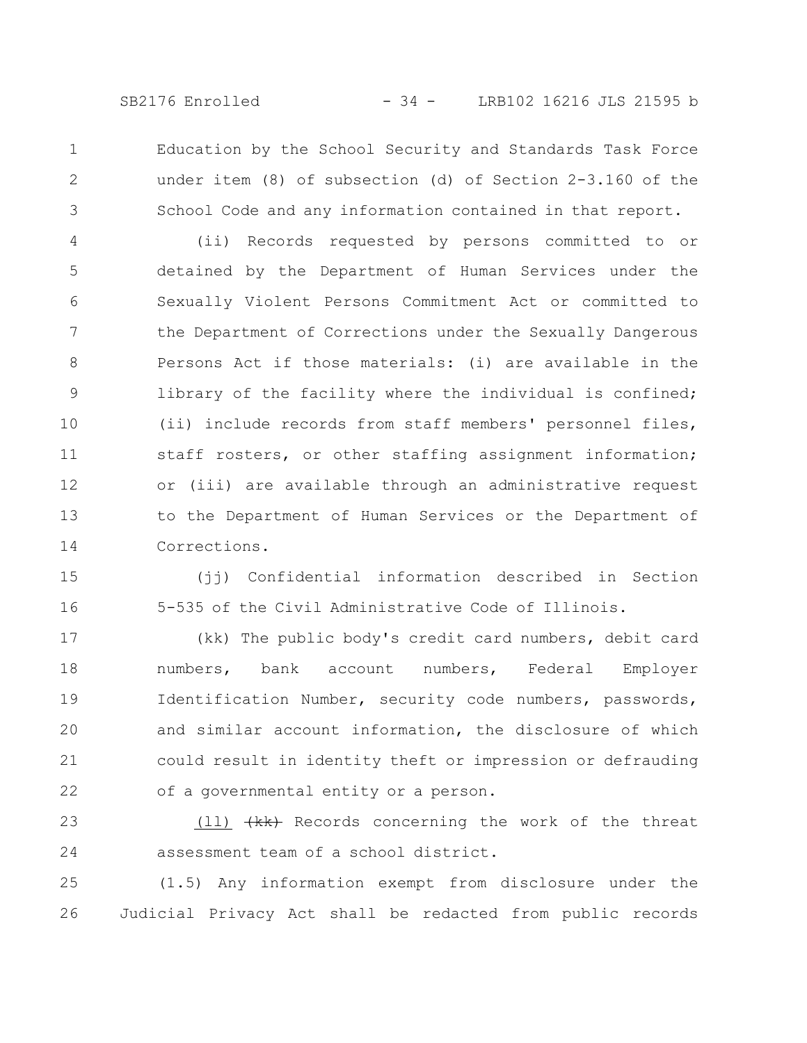SB2176 Enrolled - 34 - LRB102 16216 JLS 21595 b

Education by the School Security and Standards Task Force under item (8) of subsection (d) of Section 2-3.160 of the School Code and any information contained in that report. 1 2 3

(ii) Records requested by persons committed to or detained by the Department of Human Services under the Sexually Violent Persons Commitment Act or committed to the Department of Corrections under the Sexually Dangerous Persons Act if those materials: (i) are available in the library of the facility where the individual is confined; (ii) include records from staff members' personnel files, staff rosters, or other staffing assignment information; or (iii) are available through an administrative request to the Department of Human Services or the Department of Corrections. 4 5 6 7 8 9 10 11 12 13 14

(jj) Confidential information described in Section 5-535 of the Civil Administrative Code of Illinois. 15 16

(kk) The public body's credit card numbers, debit card numbers, bank account numbers, Federal Employer Identification Number, security code numbers, passwords, and similar account information, the disclosure of which could result in identity theft or impression or defrauding of a governmental entity or a person. 17 18 19 20 21 22

(11) (kk) Records concerning the work of the threat assessment team of a school district. 23 24

(1.5) Any information exempt from disclosure under the Judicial Privacy Act shall be redacted from public records 25 26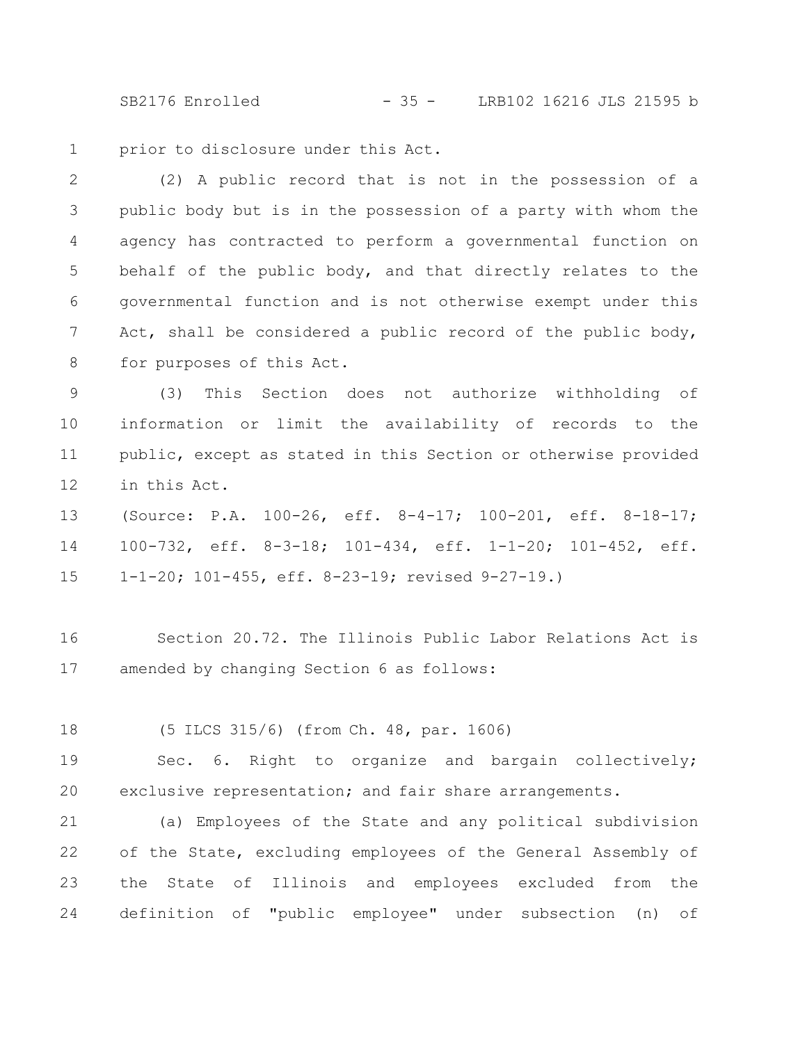SB2176 Enrolled - 35 - LRB102 16216 JLS 21595 b

prior to disclosure under this Act. 1

(2) A public record that is not in the possession of a public body but is in the possession of a party with whom the agency has contracted to perform a governmental function on behalf of the public body, and that directly relates to the governmental function and is not otherwise exempt under this Act, shall be considered a public record of the public body, for purposes of this Act. 2 3 4 5 6 7 8

(3) This Section does not authorize withholding of information or limit the availability of records to the public, except as stated in this Section or otherwise provided in this Act. 9 10 11 12

(Source: P.A. 100-26, eff. 8-4-17; 100-201, eff. 8-18-17; 100-732, eff. 8-3-18; 101-434, eff. 1-1-20; 101-452, eff. 1-1-20; 101-455, eff. 8-23-19; revised 9-27-19.) 13 14 15

Section 20.72. The Illinois Public Labor Relations Act is amended by changing Section 6 as follows: 16 17

(5 ILCS 315/6) (from Ch. 48, par. 1606) 18

Sec. 6. Right to organize and bargain collectively; exclusive representation; and fair share arrangements. 19 20

(a) Employees of the State and any political subdivision of the State, excluding employees of the General Assembly of the State of Illinois and employees excluded from the definition of "public employee" under subsection (n) of 21 22 23 24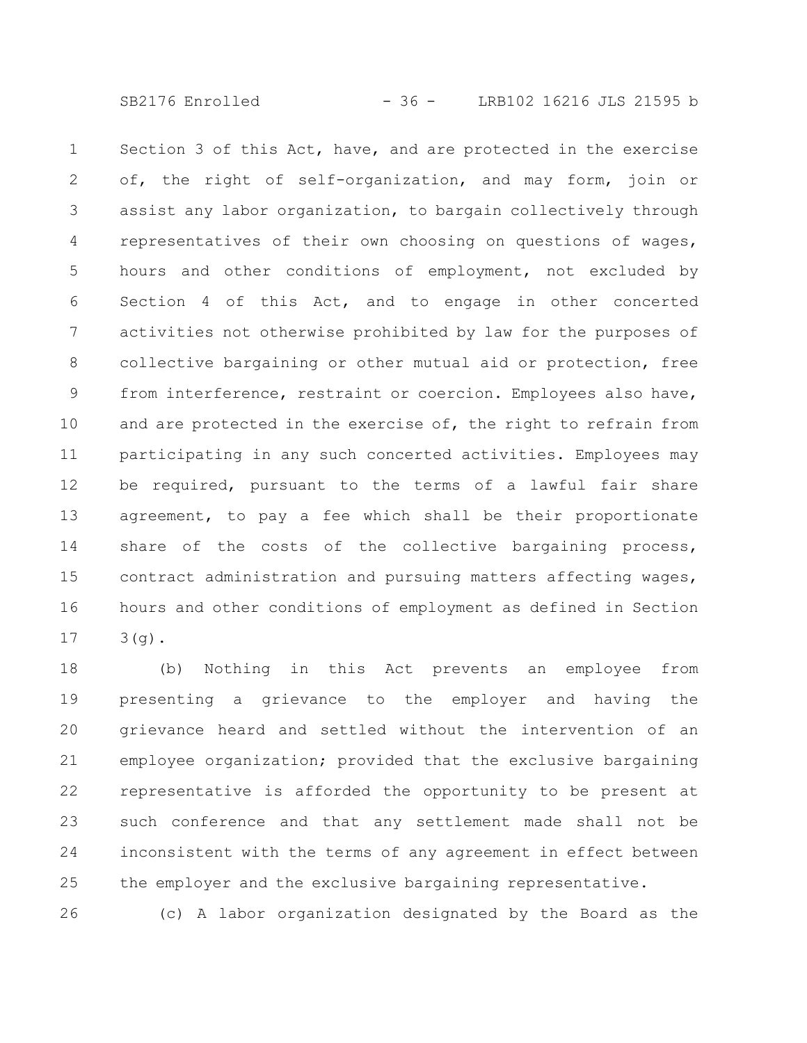SB2176 Enrolled - 36 - LRB102 16216 JLS 21595 b

Section 3 of this Act, have, and are protected in the exercise of, the right of self-organization, and may form, join or assist any labor organization, to bargain collectively through representatives of their own choosing on questions of wages, hours and other conditions of employment, not excluded by Section 4 of this Act, and to engage in other concerted activities not otherwise prohibited by law for the purposes of collective bargaining or other mutual aid or protection, free from interference, restraint or coercion. Employees also have, and are protected in the exercise of, the right to refrain from participating in any such concerted activities. Employees may be required, pursuant to the terms of a lawful fair share agreement, to pay a fee which shall be their proportionate share of the costs of the collective bargaining process, contract administration and pursuing matters affecting wages, hours and other conditions of employment as defined in Section  $3(q)$ . 1 2 3 4 5 6 7 8 9 10 11 12 13 14 15 16 17

(b) Nothing in this Act prevents an employee from presenting a grievance to the employer and having the grievance heard and settled without the intervention of an employee organization; provided that the exclusive bargaining representative is afforded the opportunity to be present at such conference and that any settlement made shall not be inconsistent with the terms of any agreement in effect between the employer and the exclusive bargaining representative. 18 19 20 21 22 23 24 25

(c) A labor organization designated by the Board as the 26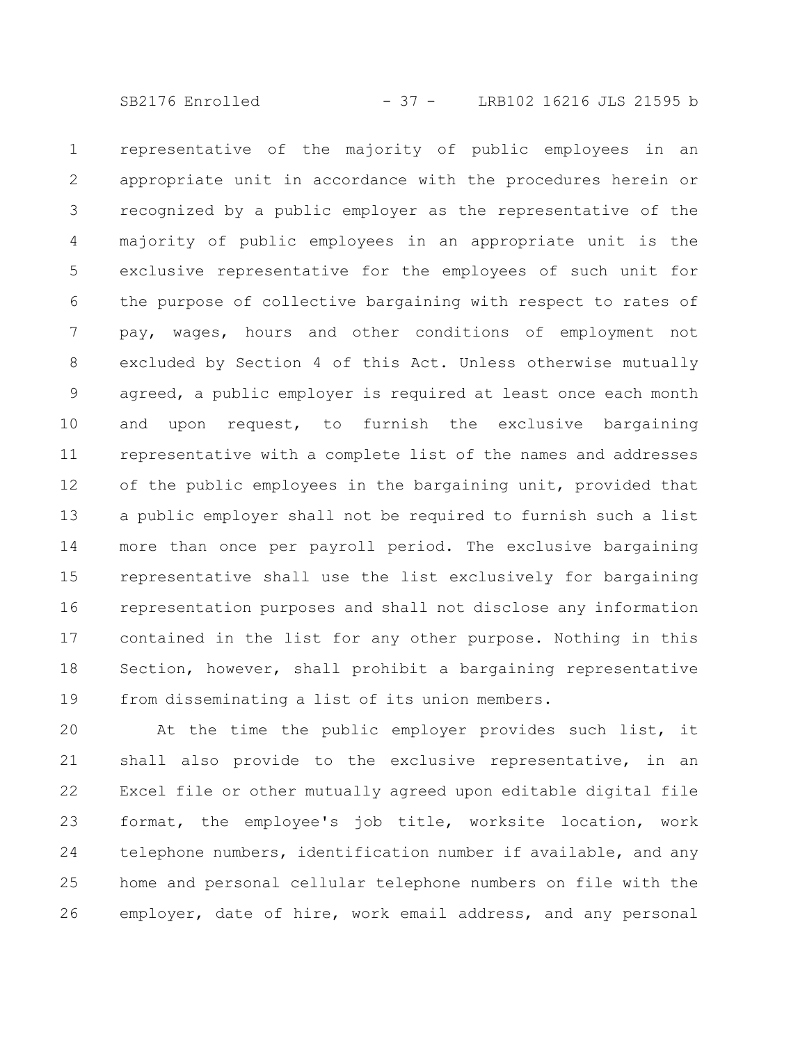representative of the majority of public employees in an appropriate unit in accordance with the procedures herein or recognized by a public employer as the representative of the majority of public employees in an appropriate unit is the exclusive representative for the employees of such unit for the purpose of collective bargaining with respect to rates of pay, wages, hours and other conditions of employment not excluded by Section 4 of this Act. Unless otherwise mutually agreed, a public employer is required at least once each month and upon request, to furnish the exclusive bargaining representative with a complete list of the names and addresses of the public employees in the bargaining unit, provided that a public employer shall not be required to furnish such a list more than once per payroll period. The exclusive bargaining representative shall use the list exclusively for bargaining representation purposes and shall not disclose any information contained in the list for any other purpose. Nothing in this Section, however, shall prohibit a bargaining representative from disseminating a list of its union members. 1 2 3 4 5 6 7 8 9 10 11 12 13 14 15 16 17 18 19

At the time the public employer provides such list, it shall also provide to the exclusive representative, in an Excel file or other mutually agreed upon editable digital file format, the employee's job title, worksite location, work telephone numbers, identification number if available, and any home and personal cellular telephone numbers on file with the employer, date of hire, work email address, and any personal 20 21 22 23 24 25 26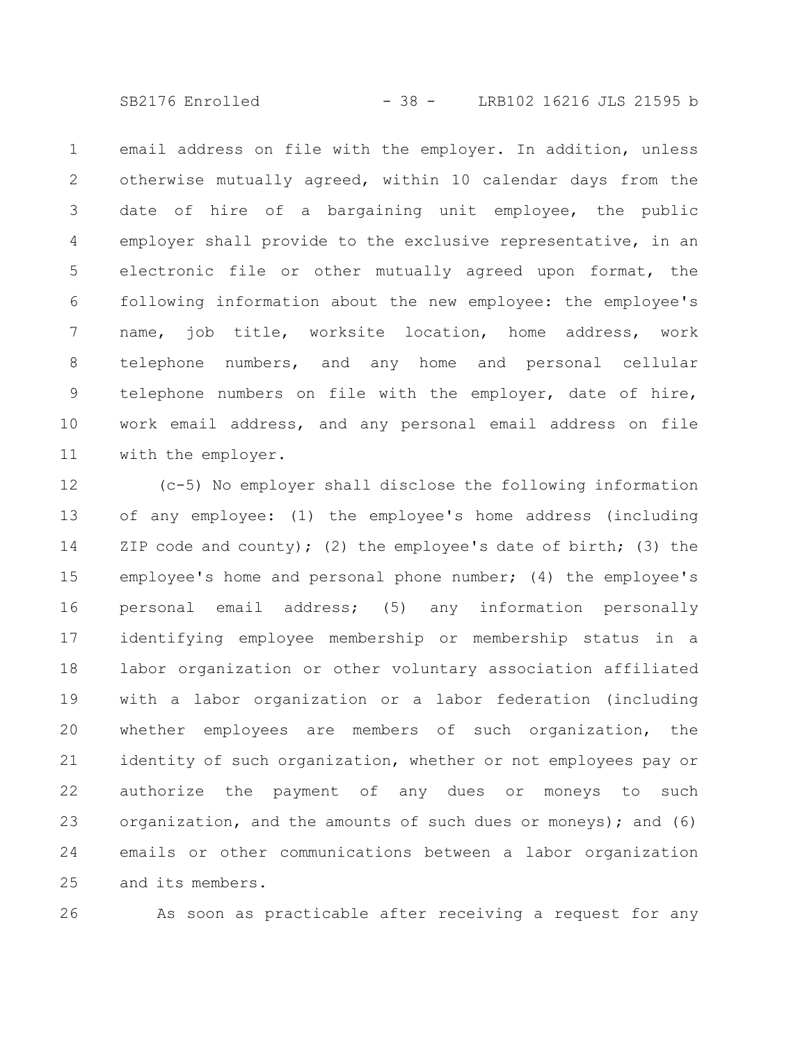SB2176 Enrolled - 38 - LRB102 16216 JLS 21595 b

email address on file with the employer. In addition, unless otherwise mutually agreed, within 10 calendar days from the date of hire of a bargaining unit employee, the public employer shall provide to the exclusive representative, in an electronic file or other mutually agreed upon format, the following information about the new employee: the employee's name, job title, worksite location, home address, work telephone numbers, and any home and personal cellular telephone numbers on file with the employer, date of hire, work email address, and any personal email address on file with the employer. 1 2 3 4 5 6 7 8 9 10 11

(c-5) No employer shall disclose the following information of any employee: (1) the employee's home address (including ZIP code and county); (2) the employee's date of birth; (3) the employee's home and personal phone number; (4) the employee's personal email address; (5) any information personally identifying employee membership or membership status in a labor organization or other voluntary association affiliated with a labor organization or a labor federation (including whether employees are members of such organization, the identity of such organization, whether or not employees pay or authorize the payment of any dues or moneys to such organization, and the amounts of such dues or moneys); and (6) emails or other communications between a labor organization and its members. 12 13 14 15 16 17 18 19 20 21 22 23 24 25

26

As soon as practicable after receiving a request for any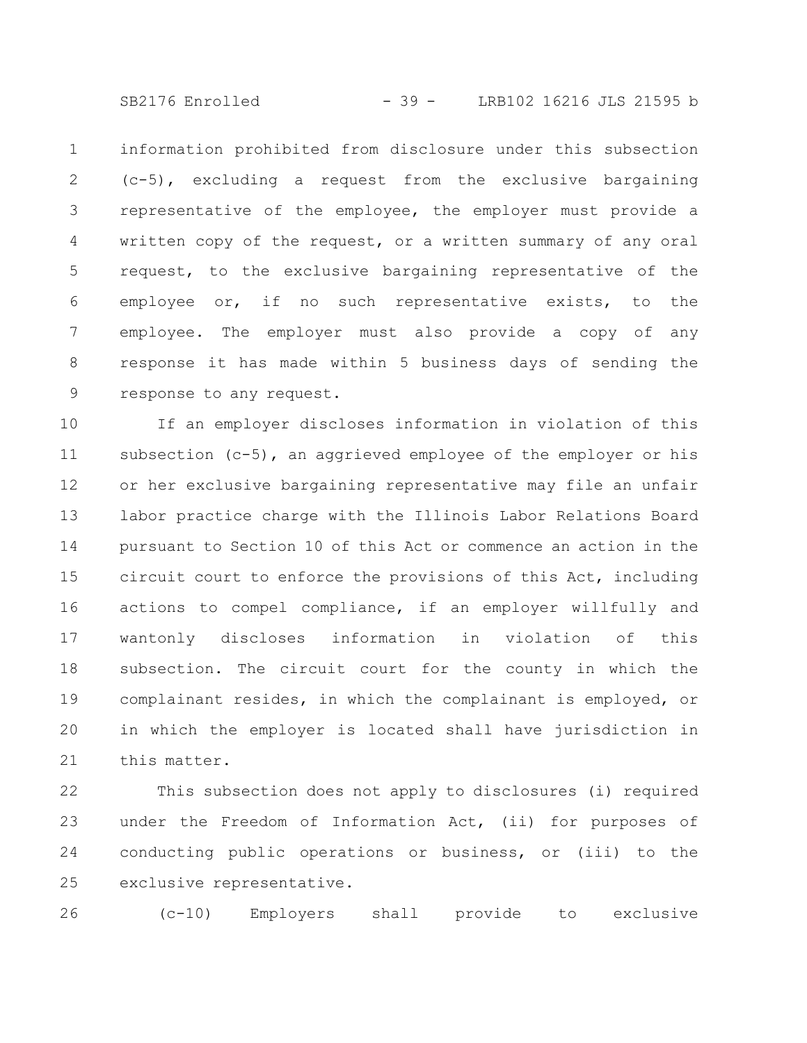SB2176 Enrolled - 39 - LRB102 16216 JLS 21595 b

information prohibited from disclosure under this subsection (c-5), excluding a request from the exclusive bargaining representative of the employee, the employer must provide a written copy of the request, or a written summary of any oral request, to the exclusive bargaining representative of the employee or, if no such representative exists, to the employee. The employer must also provide a copy of any response it has made within 5 business days of sending the response to any request. 1 2 3 4 5 6 7 8 9

If an employer discloses information in violation of this subsection (c-5), an aggrieved employee of the employer or his or her exclusive bargaining representative may file an unfair labor practice charge with the Illinois Labor Relations Board pursuant to Section 10 of this Act or commence an action in the circuit court to enforce the provisions of this Act, including actions to compel compliance, if an employer willfully and wantonly discloses information in violation of this subsection. The circuit court for the county in which the complainant resides, in which the complainant is employed, or in which the employer is located shall have jurisdiction in this matter. 10 11 12 13 14 15 16 17 18 19 20 21

This subsection does not apply to disclosures (i) required under the Freedom of Information Act, (ii) for purposes of conducting public operations or business, or (iii) to the exclusive representative. 22 23 24 25

(c-10) Employers shall provide to exclusive 26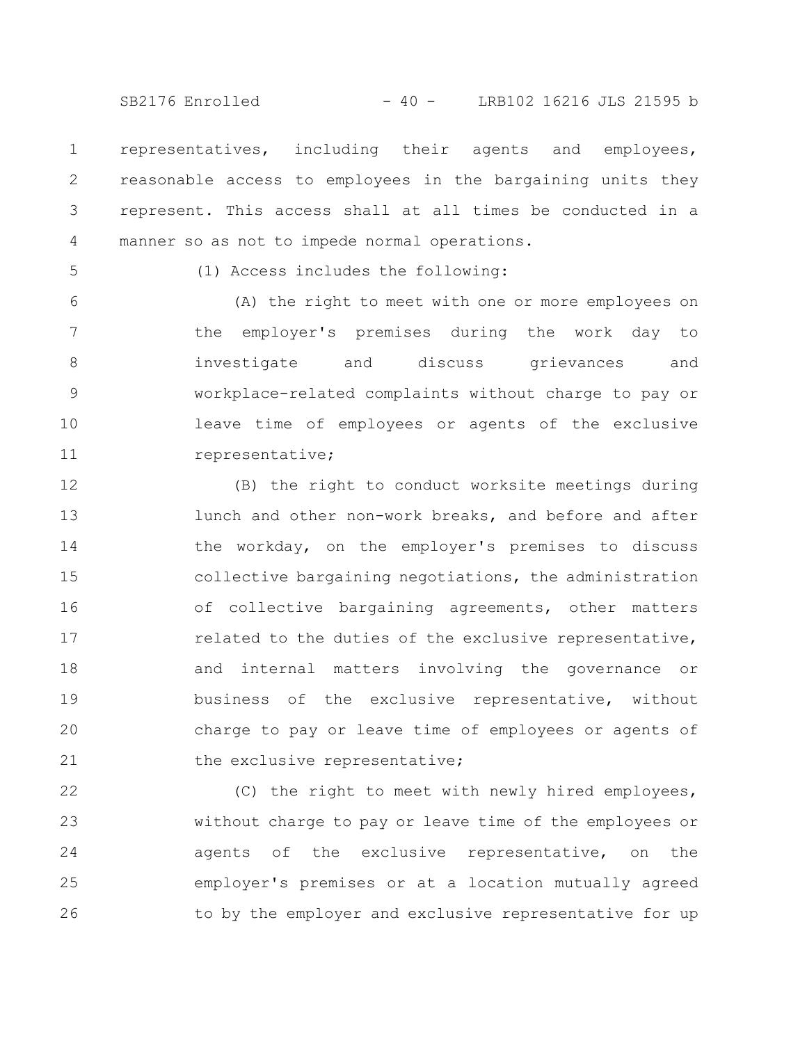SB2176 Enrolled - 40 - LRB102 16216 JLS 21595 b

representatives, including their agents and employees, reasonable access to employees in the bargaining units they represent. This access shall at all times be conducted in a manner so as not to impede normal operations. 1 2 3 4

5

(1) Access includes the following:

(A) the right to meet with one or more employees on the employer's premises during the work day to investigate and discuss grievances and workplace-related complaints without charge to pay or leave time of employees or agents of the exclusive representative; 6 7 8 9 10 11

(B) the right to conduct worksite meetings during lunch and other non-work breaks, and before and after the workday, on the employer's premises to discuss collective bargaining negotiations, the administration of collective bargaining agreements, other matters related to the duties of the exclusive representative, and internal matters involving the governance or business of the exclusive representative, without charge to pay or leave time of employees or agents of the exclusive representative; 12 13 14 15 16 17 18 19 20 21

(C) the right to meet with newly hired employees, without charge to pay or leave time of the employees or agents of the exclusive representative, on the employer's premises or at a location mutually agreed to by the employer and exclusive representative for up 22 23 24 25 26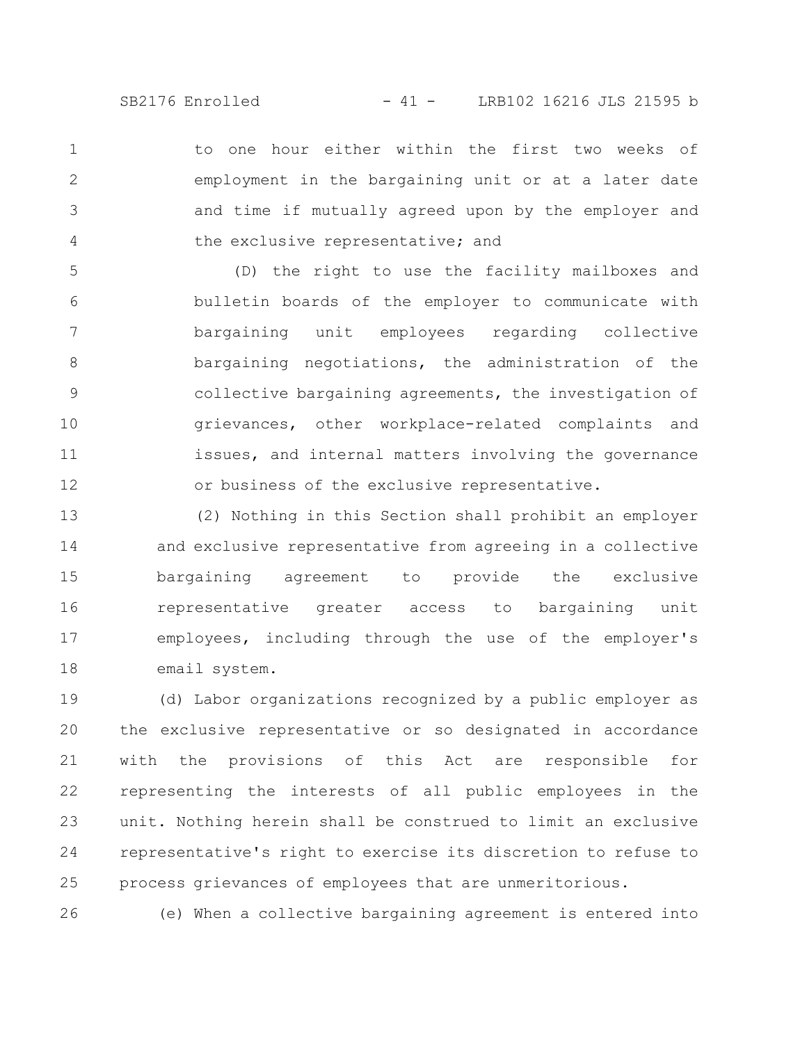to one hour either within the first two weeks of employment in the bargaining unit or at a later date and time if mutually agreed upon by the employer and the exclusive representative; and 1 2 3 4

(D) the right to use the facility mailboxes and bulletin boards of the employer to communicate with bargaining unit employees regarding collective bargaining negotiations, the administration of the collective bargaining agreements, the investigation of grievances, other workplace-related complaints and issues, and internal matters involving the governance or business of the exclusive representative. 5 6 7 8 9 10 11 12

(2) Nothing in this Section shall prohibit an employer and exclusive representative from agreeing in a collective bargaining agreement to provide the exclusive representative greater access to bargaining unit employees, including through the use of the employer's email system. 13 14 15 16 17 18

(d) Labor organizations recognized by a public employer as the exclusive representative or so designated in accordance with the provisions of this Act are responsible for representing the interests of all public employees in the unit. Nothing herein shall be construed to limit an exclusive representative's right to exercise its discretion to refuse to process grievances of employees that are unmeritorious. 19 20 21 22 23 24 25

(e) When a collective bargaining agreement is entered into 26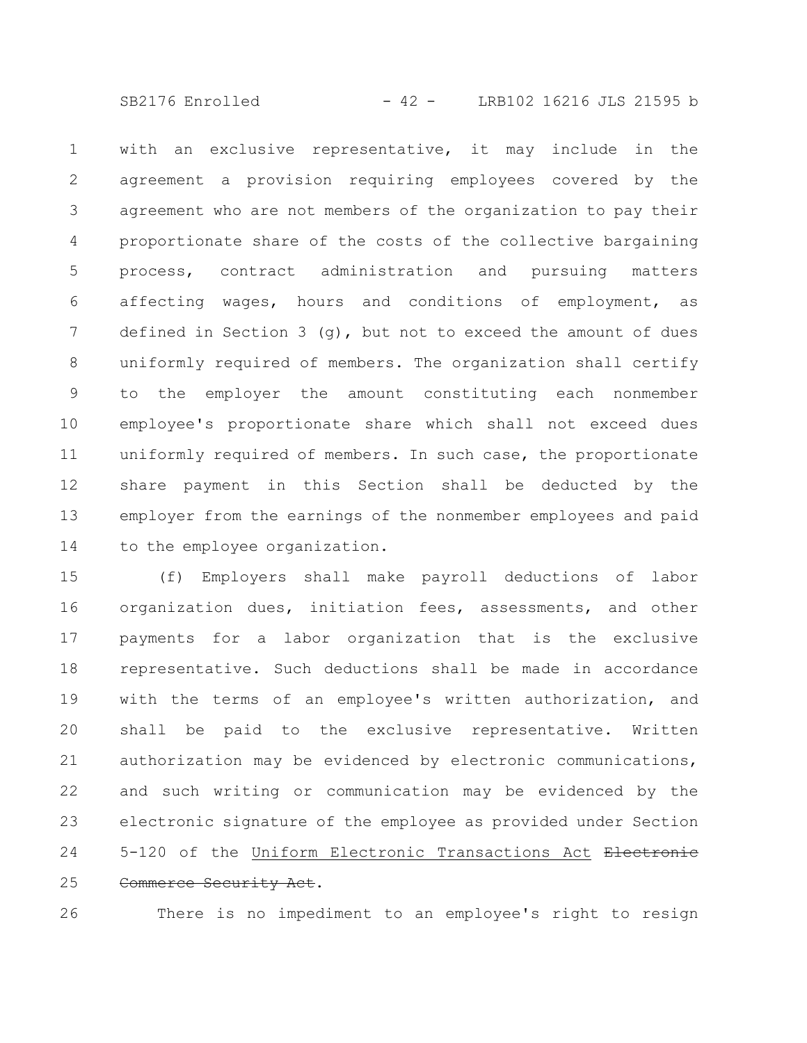SB2176 Enrolled - 42 - LRB102 16216 JLS 21595 b

with an exclusive representative, it may include in the agreement a provision requiring employees covered by the agreement who are not members of the organization to pay their proportionate share of the costs of the collective bargaining process, contract administration and pursuing matters affecting wages, hours and conditions of employment, as defined in Section 3  $(q)$ , but not to exceed the amount of dues uniformly required of members. The organization shall certify to the employer the amount constituting each nonmember employee's proportionate share which shall not exceed dues uniformly required of members. In such case, the proportionate share payment in this Section shall be deducted by the employer from the earnings of the nonmember employees and paid to the employee organization. 1 2 3 4 5 6 7 8 9 10 11 12 13 14

(f) Employers shall make payroll deductions of labor organization dues, initiation fees, assessments, and other payments for a labor organization that is the exclusive representative. Such deductions shall be made in accordance with the terms of an employee's written authorization, and shall be paid to the exclusive representative. Written authorization may be evidenced by electronic communications, and such writing or communication may be evidenced by the electronic signature of the employee as provided under Section 5-120 of the Uniform Electronic Transactions Act Electronic Commerce Security Act. 15 16 17 18 19 20 21 22 23 24 25

There is no impediment to an employee's right to resign 26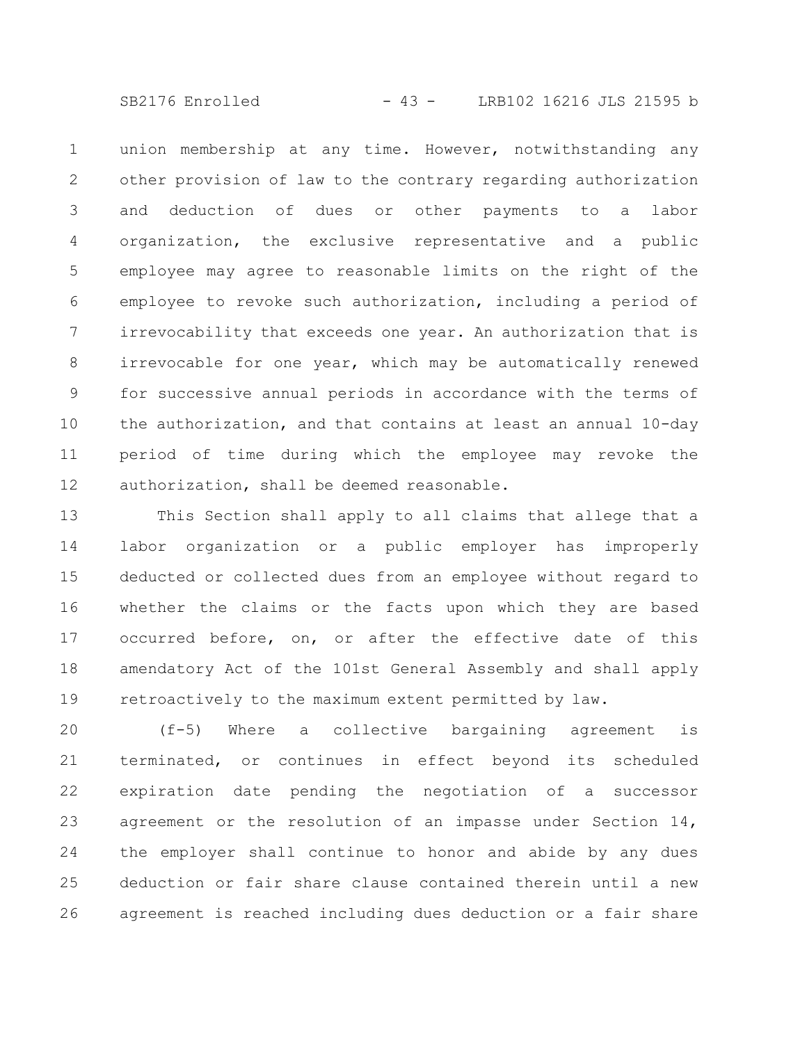SB2176 Enrolled - 43 - LRB102 16216 JLS 21595 b

union membership at any time. However, notwithstanding any other provision of law to the contrary regarding authorization and deduction of dues or other payments to a labor organization, the exclusive representative and a public employee may agree to reasonable limits on the right of the employee to revoke such authorization, including a period of irrevocability that exceeds one year. An authorization that is irrevocable for one year, which may be automatically renewed for successive annual periods in accordance with the terms of the authorization, and that contains at least an annual 10-day period of time during which the employee may revoke the authorization, shall be deemed reasonable. 1 2 3 4 5 6 7 8 9 10 11 12

This Section shall apply to all claims that allege that a labor organization or a public employer has improperly deducted or collected dues from an employee without regard to whether the claims or the facts upon which they are based occurred before, on, or after the effective date of this amendatory Act of the 101st General Assembly and shall apply retroactively to the maximum extent permitted by law. 13 14 15 16 17 18 19

(f-5) Where a collective bargaining agreement is terminated, or continues in effect beyond its scheduled expiration date pending the negotiation of a successor agreement or the resolution of an impasse under Section 14, the employer shall continue to honor and abide by any dues deduction or fair share clause contained therein until a new agreement is reached including dues deduction or a fair share 20 21 22 23 24 25 26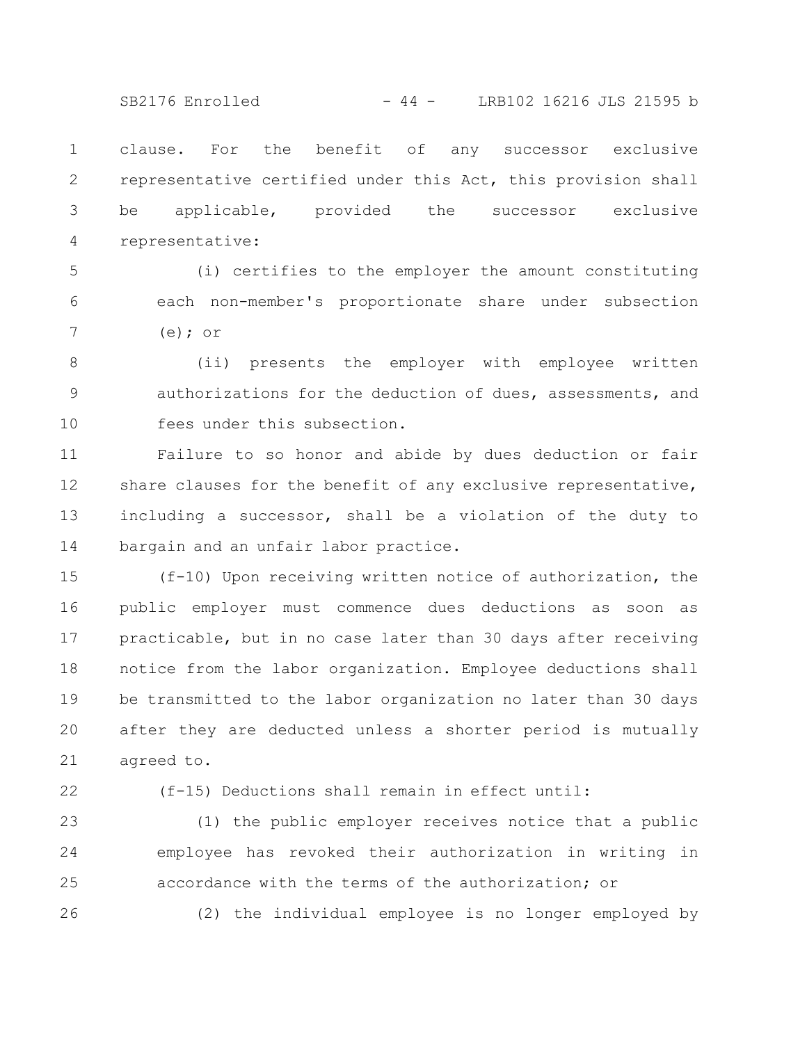SB2176 Enrolled - 44 - LRB102 16216 JLS 21595 b

clause. For the benefit of any successor exclusive representative certified under this Act, this provision shall be applicable, provided the successor exclusive representative: 1 2 3 4

(i) certifies to the employer the amount constituting each non-member's proportionate share under subsection (e); or 5 6 7

(ii) presents the employer with employee written authorizations for the deduction of dues, assessments, and fees under this subsection. 8 9 10

Failure to so honor and abide by dues deduction or fair share clauses for the benefit of any exclusive representative, including a successor, shall be a violation of the duty to bargain and an unfair labor practice. 11 12 13 14

(f-10) Upon receiving written notice of authorization, the public employer must commence dues deductions as soon as practicable, but in no case later than 30 days after receiving notice from the labor organization. Employee deductions shall be transmitted to the labor organization no later than 30 days after they are deducted unless a shorter period is mutually agreed to. 15 16 17 18 19 20 21

22

(f-15) Deductions shall remain in effect until:

(1) the public employer receives notice that a public employee has revoked their authorization in writing in accordance with the terms of the authorization; or (2) the individual employee is no longer employed by 23 24 25 26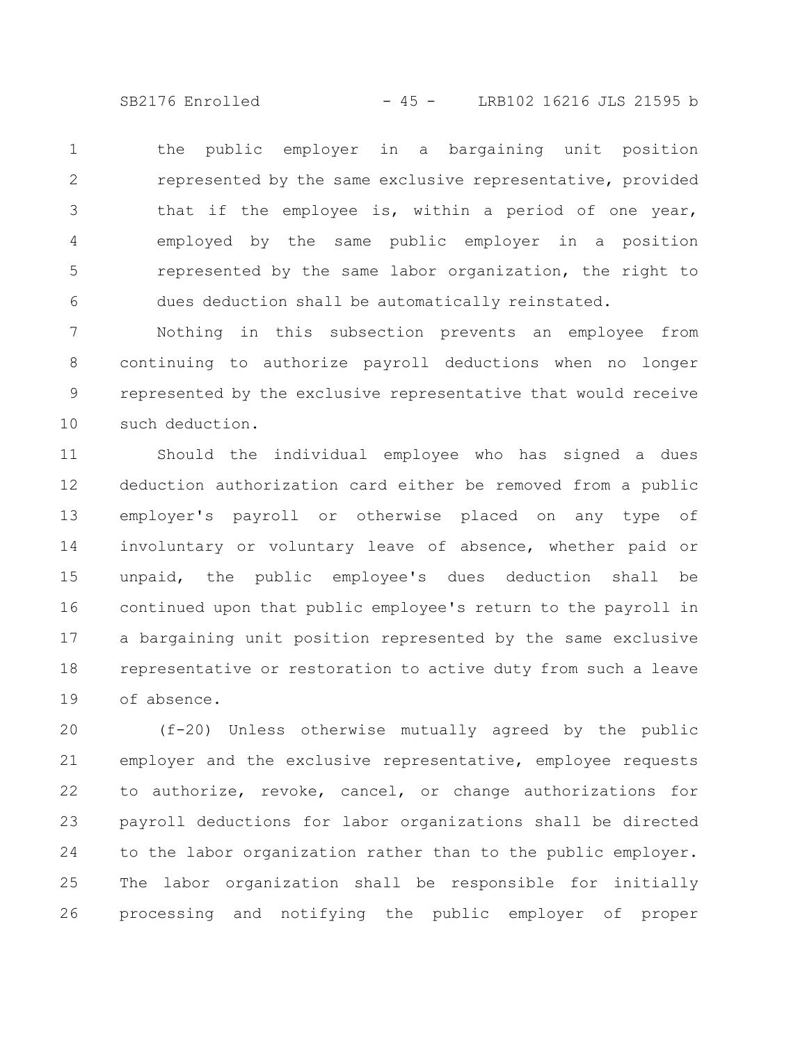SB2176 Enrolled - 45 - LRB102 16216 JLS 21595 b

the public employer in a bargaining unit position represented by the same exclusive representative, provided that if the employee is, within a period of one year, employed by the same public employer in a position represented by the same labor organization, the right to dues deduction shall be automatically reinstated. 1 2 3 4 5 6

Nothing in this subsection prevents an employee from continuing to authorize payroll deductions when no longer represented by the exclusive representative that would receive such deduction. 7 8 9 10

Should the individual employee who has signed a dues deduction authorization card either be removed from a public employer's payroll or otherwise placed on any type of involuntary or voluntary leave of absence, whether paid or unpaid, the public employee's dues deduction shall be continued upon that public employee's return to the payroll in a bargaining unit position represented by the same exclusive representative or restoration to active duty from such a leave of absence. 11 12 13 14 15 16 17 18 19

(f-20) Unless otherwise mutually agreed by the public employer and the exclusive representative, employee requests to authorize, revoke, cancel, or change authorizations for payroll deductions for labor organizations shall be directed to the labor organization rather than to the public employer. The labor organization shall be responsible for initially processing and notifying the public employer of proper 20 21 22 23 24 25 26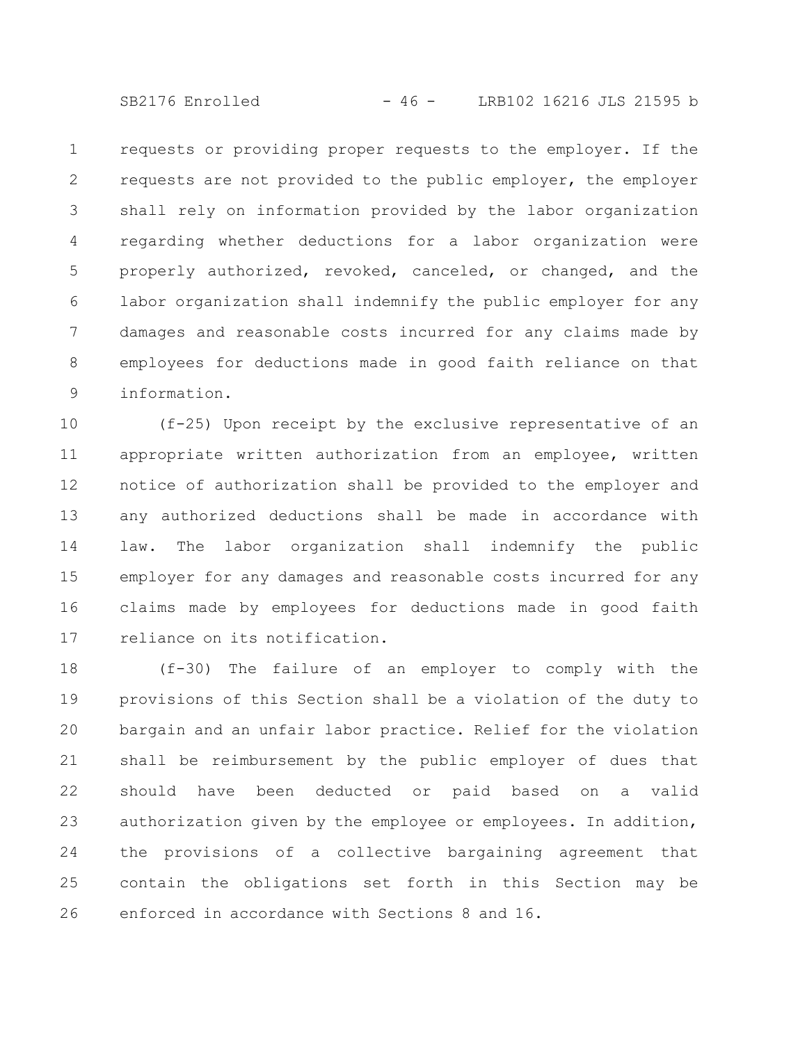SB2176 Enrolled - 46 - LRB102 16216 JLS 21595 b

requests or providing proper requests to the employer. If the requests are not provided to the public employer, the employer shall rely on information provided by the labor organization regarding whether deductions for a labor organization were properly authorized, revoked, canceled, or changed, and the labor organization shall indemnify the public employer for any damages and reasonable costs incurred for any claims made by employees for deductions made in good faith reliance on that information. 1 2 3 4 5 6 7 8 9

(f-25) Upon receipt by the exclusive representative of an appropriate written authorization from an employee, written notice of authorization shall be provided to the employer and any authorized deductions shall be made in accordance with law. The labor organization shall indemnify the public employer for any damages and reasonable costs incurred for any claims made by employees for deductions made in good faith reliance on its notification. 10 11 12 13 14 15 16 17

(f-30) The failure of an employer to comply with the provisions of this Section shall be a violation of the duty to bargain and an unfair labor practice. Relief for the violation shall be reimbursement by the public employer of dues that should have been deducted or paid based on a valid authorization given by the employee or employees. In addition, the provisions of a collective bargaining agreement that contain the obligations set forth in this Section may be enforced in accordance with Sections 8 and 16. 18 19 20 21 22 23 24 25 26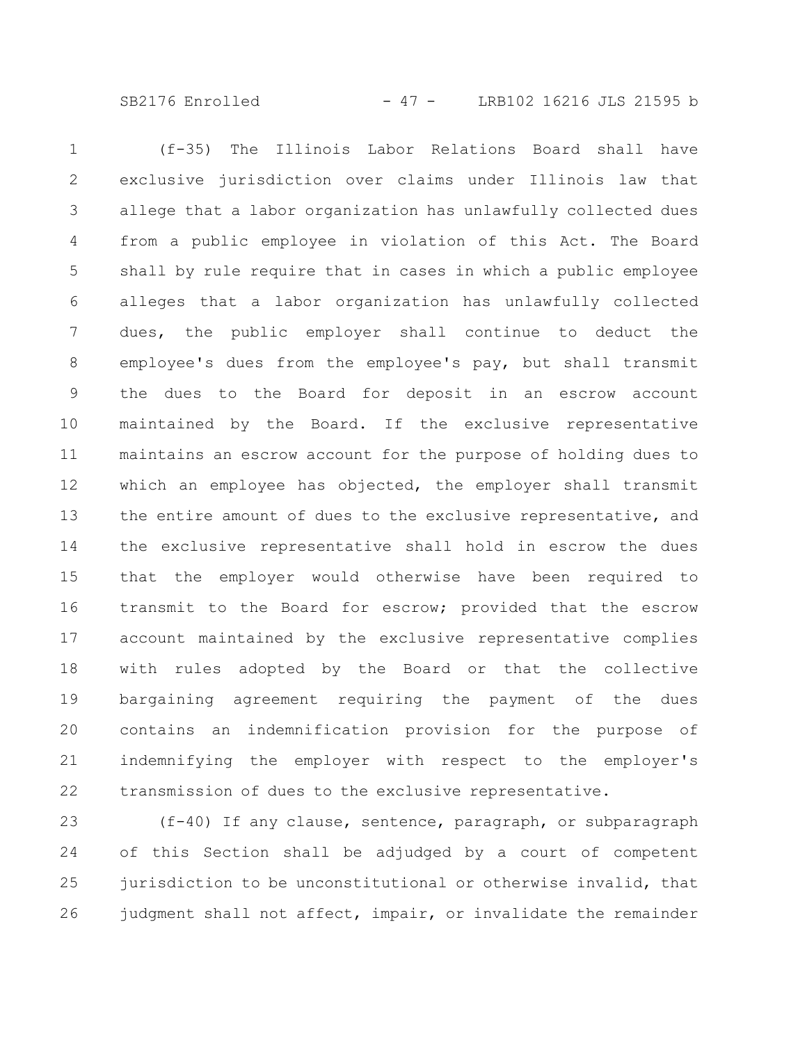SB2176 Enrolled - 47 - LRB102 16216 JLS 21595 b

(f-35) The Illinois Labor Relations Board shall have exclusive jurisdiction over claims under Illinois law that allege that a labor organization has unlawfully collected dues from a public employee in violation of this Act. The Board shall by rule require that in cases in which a public employee alleges that a labor organization has unlawfully collected dues, the public employer shall continue to deduct the employee's dues from the employee's pay, but shall transmit the dues to the Board for deposit in an escrow account maintained by the Board. If the exclusive representative maintains an escrow account for the purpose of holding dues to which an employee has objected, the employer shall transmit the entire amount of dues to the exclusive representative, and the exclusive representative shall hold in escrow the dues that the employer would otherwise have been required to transmit to the Board for escrow; provided that the escrow account maintained by the exclusive representative complies with rules adopted by the Board or that the collective bargaining agreement requiring the payment of the dues contains an indemnification provision for the purpose of indemnifying the employer with respect to the employer's transmission of dues to the exclusive representative. 1 2 3 4 5 6 7 8 9 10 11 12 13 14 15 16 17 18 19 20 21 22

(f-40) If any clause, sentence, paragraph, or subparagraph of this Section shall be adjudged by a court of competent jurisdiction to be unconstitutional or otherwise invalid, that judgment shall not affect, impair, or invalidate the remainder 23 24 25 26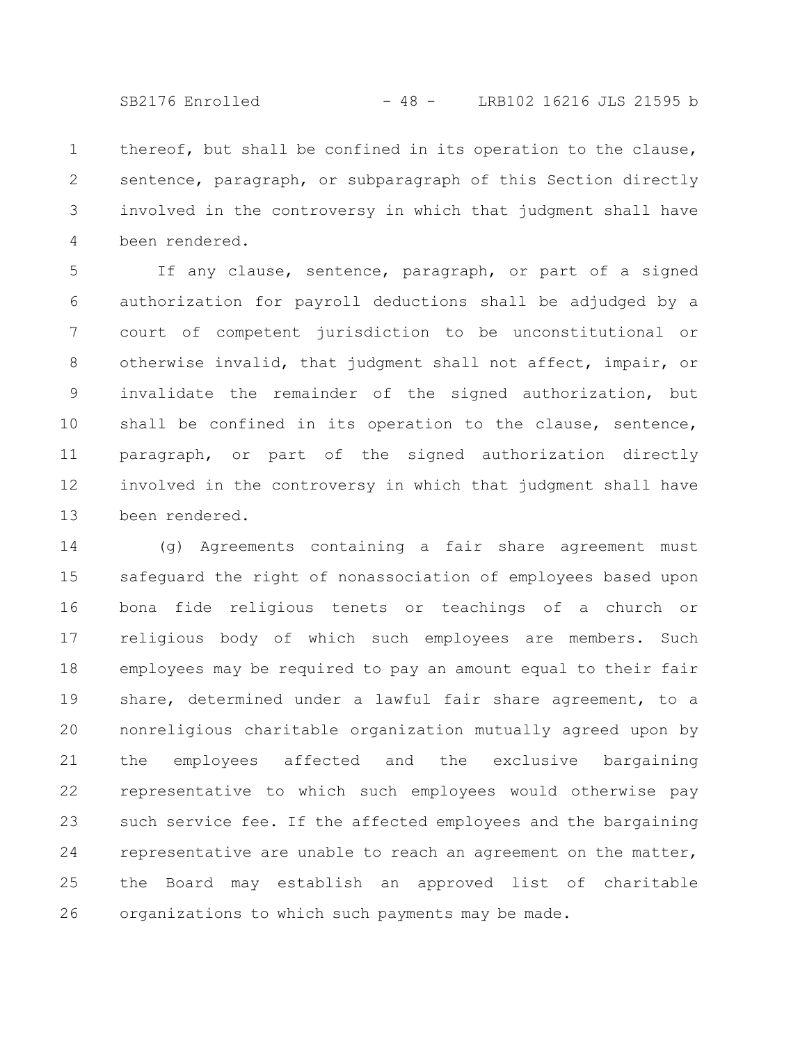SB2176 Enrolled - 48 - LRB102 16216 JLS 21595 b

thereof, but shall be confined in its operation to the clause, sentence, paragraph, or subparagraph of this Section directly involved in the controversy in which that judgment shall have been rendered. 1 2 3 4

If any clause, sentence, paragraph, or part of a signed authorization for payroll deductions shall be adjudged by a court of competent jurisdiction to be unconstitutional or otherwise invalid, that judgment shall not affect, impair, or invalidate the remainder of the signed authorization, but shall be confined in its operation to the clause, sentence, paragraph, or part of the signed authorization directly involved in the controversy in which that judgment shall have been rendered. 5 6 7 8 9 10 11 12 13

(g) Agreements containing a fair share agreement must safeguard the right of nonassociation of employees based upon bona fide religious tenets or teachings of a church or religious body of which such employees are members. Such employees may be required to pay an amount equal to their fair share, determined under a lawful fair share agreement, to a nonreligious charitable organization mutually agreed upon by the employees affected and the exclusive bargaining representative to which such employees would otherwise pay such service fee. If the affected employees and the bargaining representative are unable to reach an agreement on the matter, the Board may establish an approved list of charitable organizations to which such payments may be made. 14 15 16 17 18 19 20 21 22 23 24 25 26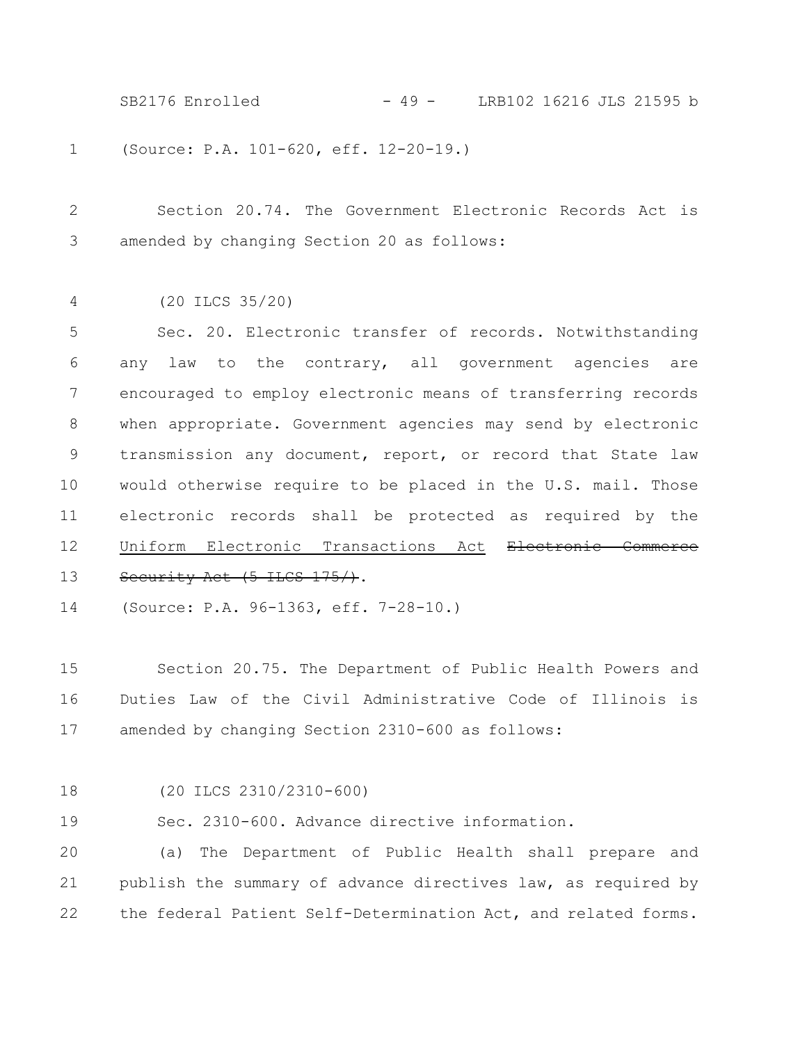(Source: P.A. 101-620, eff. 12-20-19.) 1 SB2176 Enrolled - 49 - LRB102 16216 JLS 21595 b

Section 20.74. The Government Electronic Records Act is amended by changing Section 20 as follows: 2 3

(20 ILCS 35/20) 4

Sec. 20. Electronic transfer of records. Notwithstanding any law to the contrary, all government agencies are encouraged to employ electronic means of transferring records when appropriate. Government agencies may send by electronic transmission any document, report, or record that State law would otherwise require to be placed in the U.S. mail. Those electronic records shall be protected as required by the Uniform Electronic Transactions Act Electronic Commerce Security Act (5 ILCS 175/). 5 6 7 8 9 10 11 12 13

(Source: P.A. 96-1363, eff. 7-28-10.) 14

Section 20.75. The Department of Public Health Powers and Duties Law of the Civil Administrative Code of Illinois is amended by changing Section 2310-600 as follows: 15 16 17

18

(20 ILCS 2310/2310-600)

Sec. 2310-600. Advance directive information. 19

(a) The Department of Public Health shall prepare and publish the summary of advance directives law, as required by the federal Patient Self-Determination Act, and related forms. 20 21 22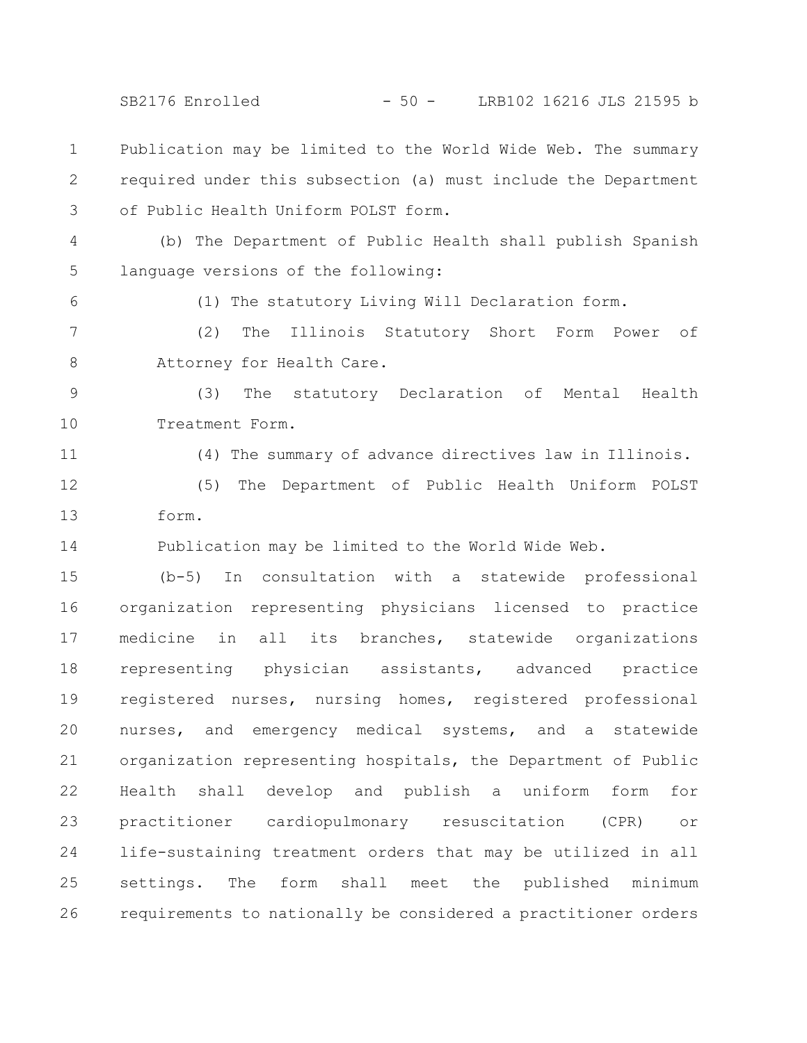SB2176 Enrolled - 50 - LRB102 16216 JLS 21595 b

Publication may be limited to the World Wide Web. The summary required under this subsection (a) must include the Department of Public Health Uniform POLST form. 1 2 3

(b) The Department of Public Health shall publish Spanish language versions of the following: 4 5

(1) The statutory Living Will Declaration form.

(2) The Illinois Statutory Short Form Power of Attorney for Health Care. 7 8

(3) The statutory Declaration of Mental Health Treatment Form. 9 10

11

6

(4) The summary of advance directives law in Illinois.

(5) The Department of Public Health Uniform POLST form. 12 13

Publication may be limited to the World Wide Web. 14

(b-5) In consultation with a statewide professional organization representing physicians licensed to practice medicine in all its branches, statewide organizations representing physician assistants, advanced practice registered nurses, nursing homes, registered professional nurses, and emergency medical systems, and a statewide organization representing hospitals, the Department of Public Health shall develop and publish a uniform form for practitioner cardiopulmonary resuscitation (CPR) or life-sustaining treatment orders that may be utilized in all settings. The form shall meet the published minimum requirements to nationally be considered a practitioner orders 15 16 17 18 19 20 21 22 23 24 25 26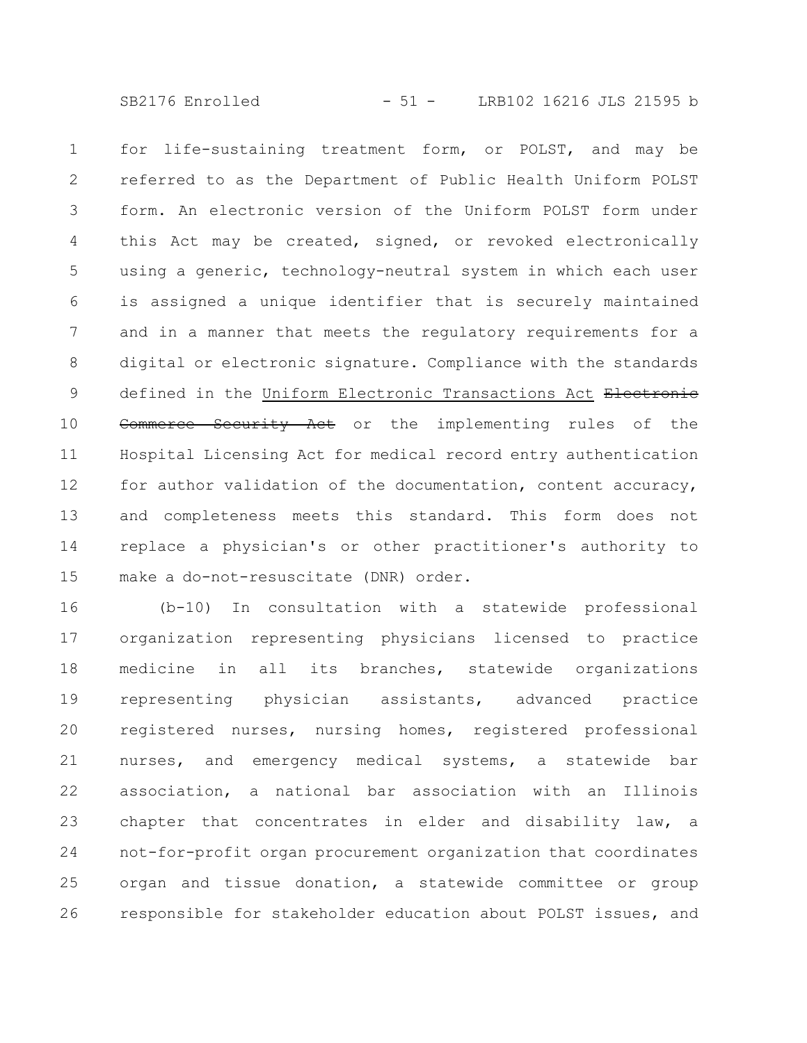SB2176 Enrolled - 51 - LRB102 16216 JLS 21595 b

for life-sustaining treatment form, or POLST, and may be referred to as the Department of Public Health Uniform POLST form. An electronic version of the Uniform POLST form under this Act may be created, signed, or revoked electronically using a generic, technology-neutral system in which each user is assigned a unique identifier that is securely maintained and in a manner that meets the regulatory requirements for a digital or electronic signature. Compliance with the standards defined in the Uniform Electronic Transactions Act Electronic Commerce Security Act or the implementing rules of the Hospital Licensing Act for medical record entry authentication for author validation of the documentation, content accuracy, and completeness meets this standard. This form does not replace a physician's or other practitioner's authority to make a do-not-resuscitate (DNR) order. 1 2 3 4 5 6 7 8 9 10 11 12 13 14 15

(b-10) In consultation with a statewide professional organization representing physicians licensed to practice medicine in all its branches, statewide organizations representing physician assistants, advanced practice registered nurses, nursing homes, registered professional nurses, and emergency medical systems, a statewide bar association, a national bar association with an Illinois chapter that concentrates in elder and disability law, a not-for-profit organ procurement organization that coordinates organ and tissue donation, a statewide committee or group responsible for stakeholder education about POLST issues, and 16 17 18 19 20 21 22 23 24 25 26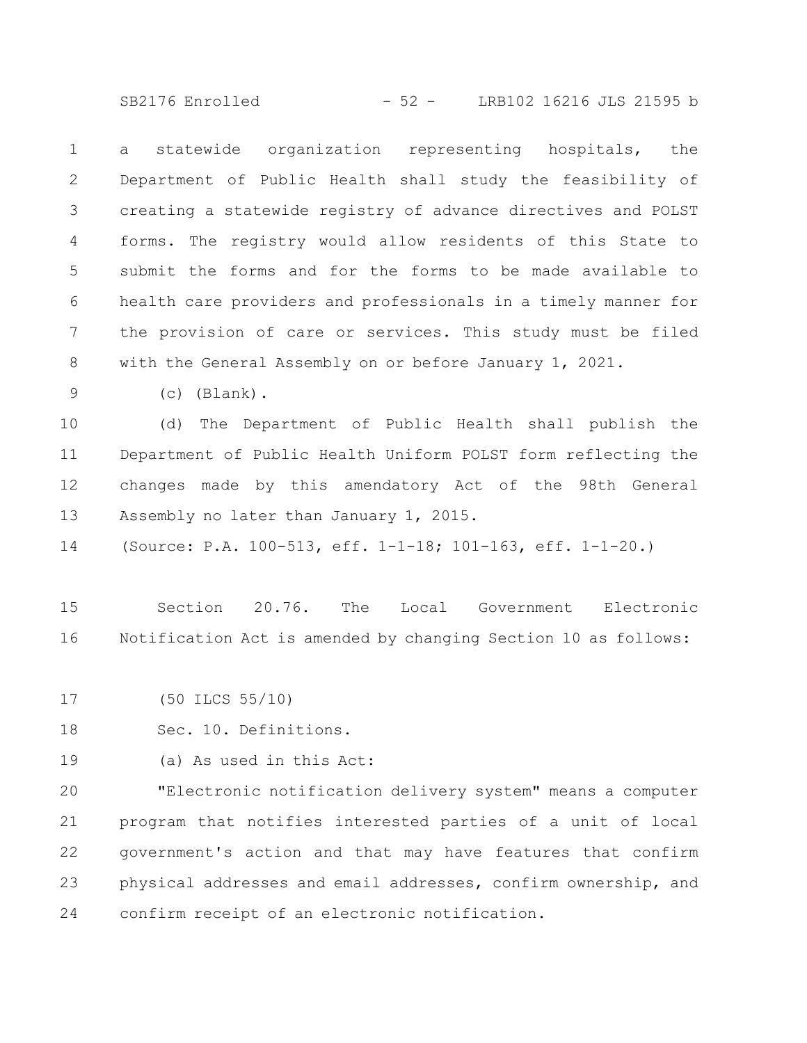SB2176 Enrolled - 52 - LRB102 16216 JLS 21595 b

a statewide organization representing hospitals, the Department of Public Health shall study the feasibility of creating a statewide registry of advance directives and POLST forms. The registry would allow residents of this State to submit the forms and for the forms to be made available to health care providers and professionals in a timely manner for the provision of care or services. This study must be filed with the General Assembly on or before January 1, 2021. 1 2 3 4 5 6 7 8

(c) (Blank). 9

(d) The Department of Public Health shall publish the Department of Public Health Uniform POLST form reflecting the changes made by this amendatory Act of the 98th General Assembly no later than January 1, 2015. 10 11 12 13

(Source: P.A. 100-513, eff. 1-1-18; 101-163, eff. 1-1-20.) 14

Section 20.76. The Local Government Electronic Notification Act is amended by changing Section 10 as follows: 15 16

(50 ILCS 55/10) 17

Sec. 10. Definitions. 18

(a) As used in this Act: 19

"Electronic notification delivery system" means a computer program that notifies interested parties of a unit of local government's action and that may have features that confirm physical addresses and email addresses, confirm ownership, and confirm receipt of an electronic notification. 20 21 22 23 24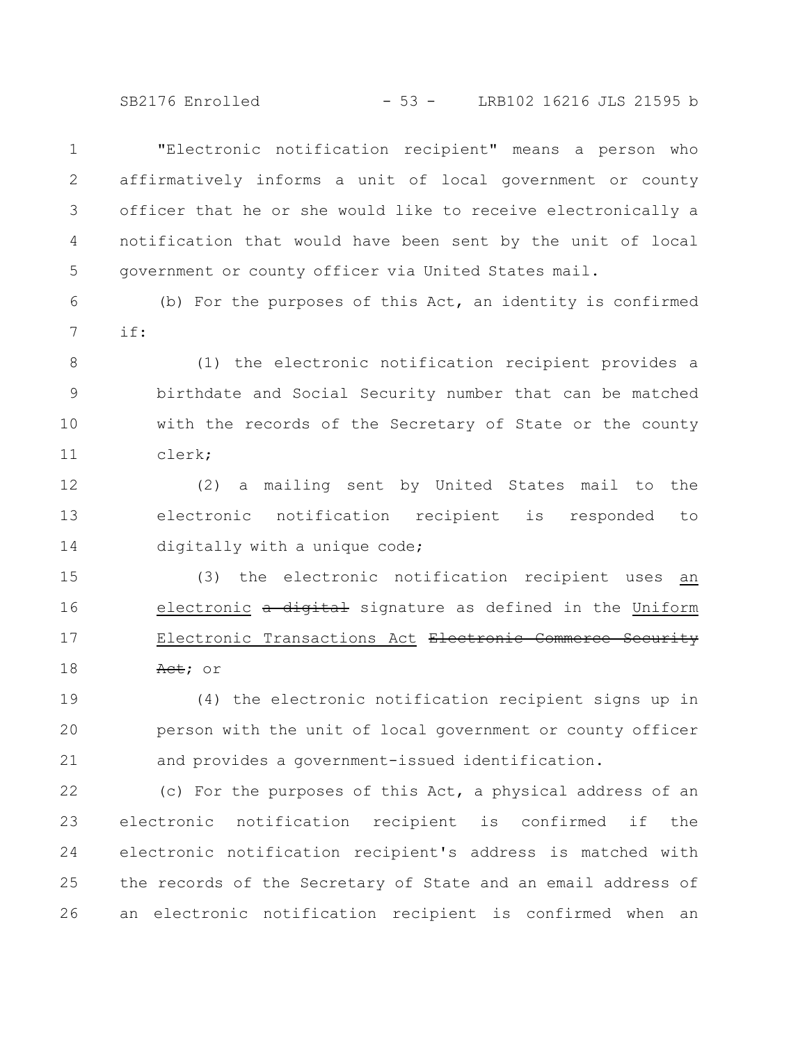SB2176 Enrolled - 53 - LRB102 16216 JLS 21595 b

"Electronic notification recipient" means a person who affirmatively informs a unit of local government or county officer that he or she would like to receive electronically a notification that would have been sent by the unit of local government or county officer via United States mail. 1 2 3 4 5

(b) For the purposes of this Act, an identity is confirmed if: 6 7

(1) the electronic notification recipient provides a birthdate and Social Security number that can be matched with the records of the Secretary of State or the county clerk; 8 9 10 11

(2) a mailing sent by United States mail to the electronic notification recipient is responded to digitally with a unique code; 12 13 14

(3) the electronic notification recipient uses an electronic a digital signature as defined in the Uniform Electronic Transactions Act Electronic Commerce Security Act; or 15 16 17 18

(4) the electronic notification recipient signs up in person with the unit of local government or county officer and provides a government-issued identification. 19 20 21

(c) For the purposes of this Act, a physical address of an electronic notification recipient is confirmed if the electronic notification recipient's address is matched with the records of the Secretary of State and an email address of an electronic notification recipient is confirmed when an 22 23 24 25 26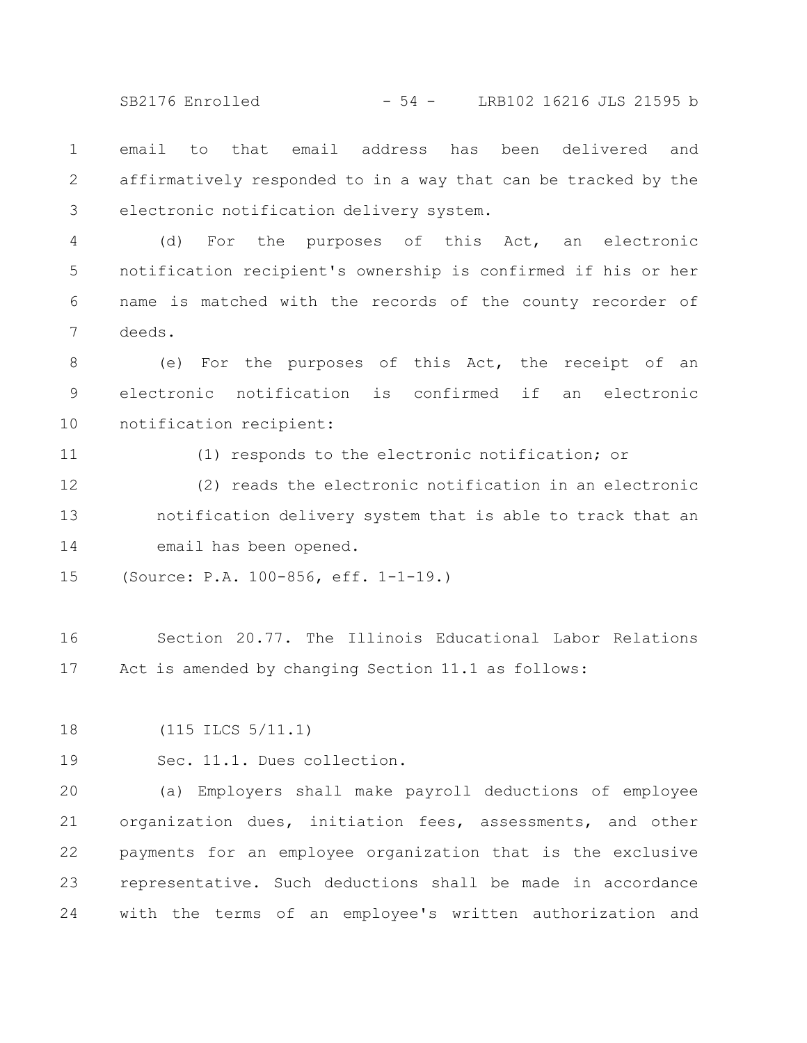SB2176 Enrolled - 54 - LRB102 16216 JLS 21595 b

email to that email address has been delivered and affirmatively responded to in a way that can be tracked by the electronic notification delivery system. 1 2 3

(d) For the purposes of this Act, an electronic notification recipient's ownership is confirmed if his or her name is matched with the records of the county recorder of deeds. 4 5 6 7

(e) For the purposes of this Act, the receipt of an electronic notification is confirmed if an electronic notification recipient: 8 9 10

(1) responds to the electronic notification; or

(2) reads the electronic notification in an electronic notification delivery system that is able to track that an email has been opened. 12 13 14

(Source: P.A. 100-856, eff. 1-1-19.) 15

Section 20.77. The Illinois Educational Labor Relations Act is amended by changing Section 11.1 as follows: 16 17

(115 ILCS 5/11.1) 18

19

11

Sec. 11.1. Dues collection.

(a) Employers shall make payroll deductions of employee organization dues, initiation fees, assessments, and other payments for an employee organization that is the exclusive representative. Such deductions shall be made in accordance with the terms of an employee's written authorization and 20 21 22 23 24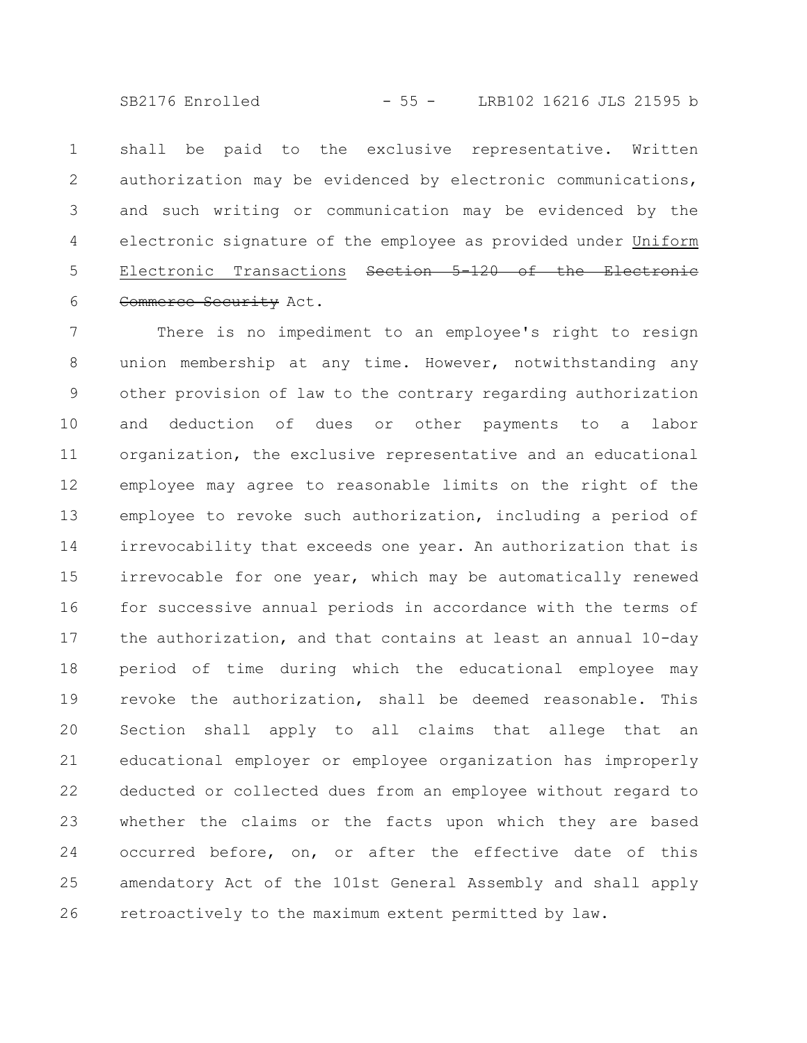SB2176 Enrolled - 55 - LRB102 16216 JLS 21595 b

shall be paid to the exclusive representative. Written authorization may be evidenced by electronic communications, and such writing or communication may be evidenced by the electronic signature of the employee as provided under Uniform Electronic Transactions <del>Section 5-120 of the Electronic</del> Commerce Security Act. 1 2 3 4 5 6

There is no impediment to an employee's right to resign union membership at any time. However, notwithstanding any other provision of law to the contrary regarding authorization and deduction of dues or other payments to a labor organization, the exclusive representative and an educational employee may agree to reasonable limits on the right of the employee to revoke such authorization, including a period of irrevocability that exceeds one year. An authorization that is irrevocable for one year, which may be automatically renewed for successive annual periods in accordance with the terms of the authorization, and that contains at least an annual 10-day period of time during which the educational employee may revoke the authorization, shall be deemed reasonable. This Section shall apply to all claims that allege that an educational employer or employee organization has improperly deducted or collected dues from an employee without regard to whether the claims or the facts upon which they are based occurred before, on, or after the effective date of this amendatory Act of the 101st General Assembly and shall apply retroactively to the maximum extent permitted by law. 7 8 9 10 11 12 13 14 15 16 17 18 19 20 21 22 23 24 25 26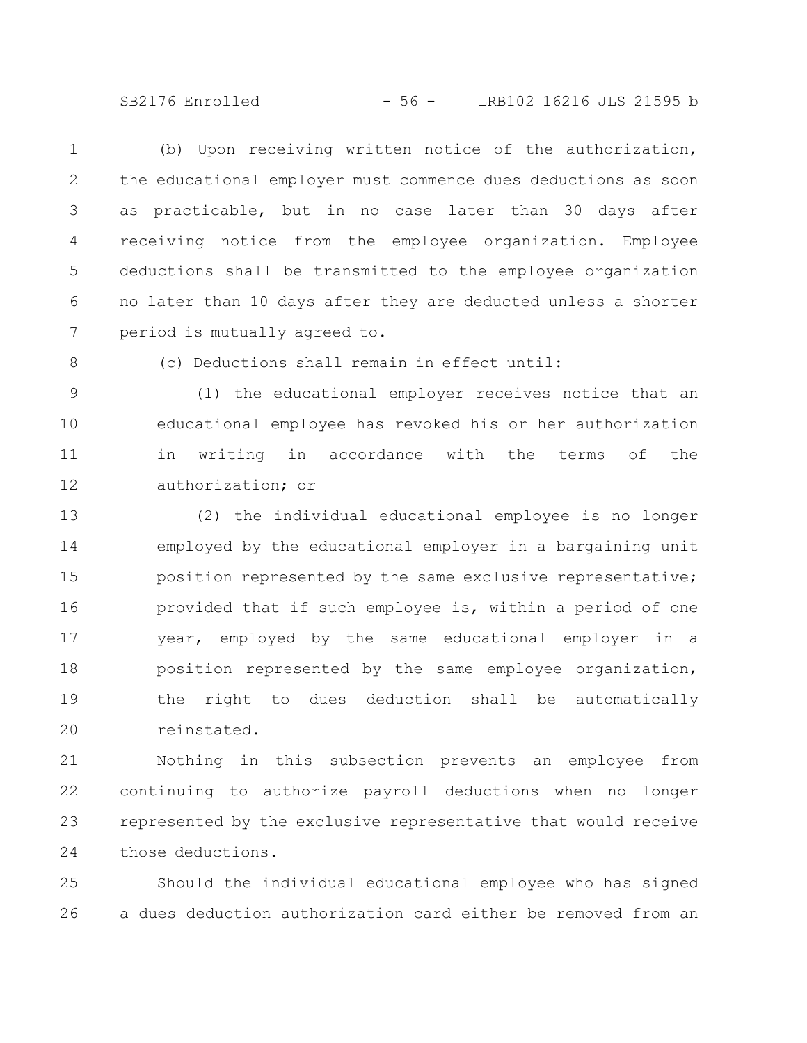SB2176 Enrolled - 56 - LRB102 16216 JLS 21595 b

(b) Upon receiving written notice of the authorization, the educational employer must commence dues deductions as soon as practicable, but in no case later than 30 days after receiving notice from the employee organization. Employee deductions shall be transmitted to the employee organization no later than 10 days after they are deducted unless a shorter period is mutually agreed to. 1 2 3 4 5 6 7

8

(c) Deductions shall remain in effect until:

(1) the educational employer receives notice that an educational employee has revoked his or her authorization in writing in accordance with the terms of the authorization; or 9 10 11 12

(2) the individual educational employee is no longer employed by the educational employer in a bargaining unit position represented by the same exclusive representative; provided that if such employee is, within a period of one year, employed by the same educational employer in a position represented by the same employee organization, the right to dues deduction shall be automatically reinstated. 13 14 15 16 17 18 19 20

Nothing in this subsection prevents an employee from continuing to authorize payroll deductions when no longer represented by the exclusive representative that would receive those deductions. 21 22 23 24

Should the individual educational employee who has signed a dues deduction authorization card either be removed from an 25 26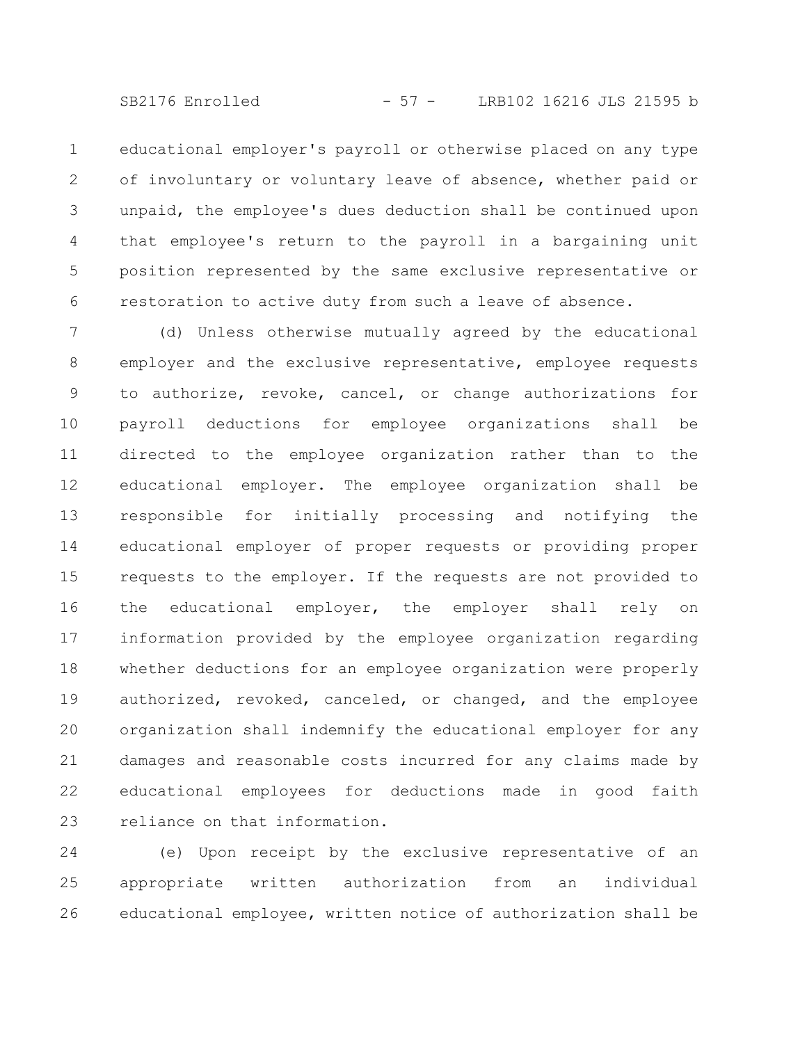SB2176 Enrolled - 57 - LRB102 16216 JLS 21595 b

educational employer's payroll or otherwise placed on any type of involuntary or voluntary leave of absence, whether paid or unpaid, the employee's dues deduction shall be continued upon that employee's return to the payroll in a bargaining unit position represented by the same exclusive representative or restoration to active duty from such a leave of absence. 1 2 3 4 5 6

(d) Unless otherwise mutually agreed by the educational employer and the exclusive representative, employee requests to authorize, revoke, cancel, or change authorizations for payroll deductions for employee organizations shall be directed to the employee organization rather than to the educational employer. The employee organization shall be responsible for initially processing and notifying the educational employer of proper requests or providing proper requests to the employer. If the requests are not provided to the educational employer, the employer shall rely on information provided by the employee organization regarding whether deductions for an employee organization were properly authorized, revoked, canceled, or changed, and the employee organization shall indemnify the educational employer for any damages and reasonable costs incurred for any claims made by educational employees for deductions made in good faith reliance on that information. 7 8 9 10 11 12 13 14 15 16 17 18 19 20 21 22 23

(e) Upon receipt by the exclusive representative of an appropriate written authorization from an individual educational employee, written notice of authorization shall be 24 25 26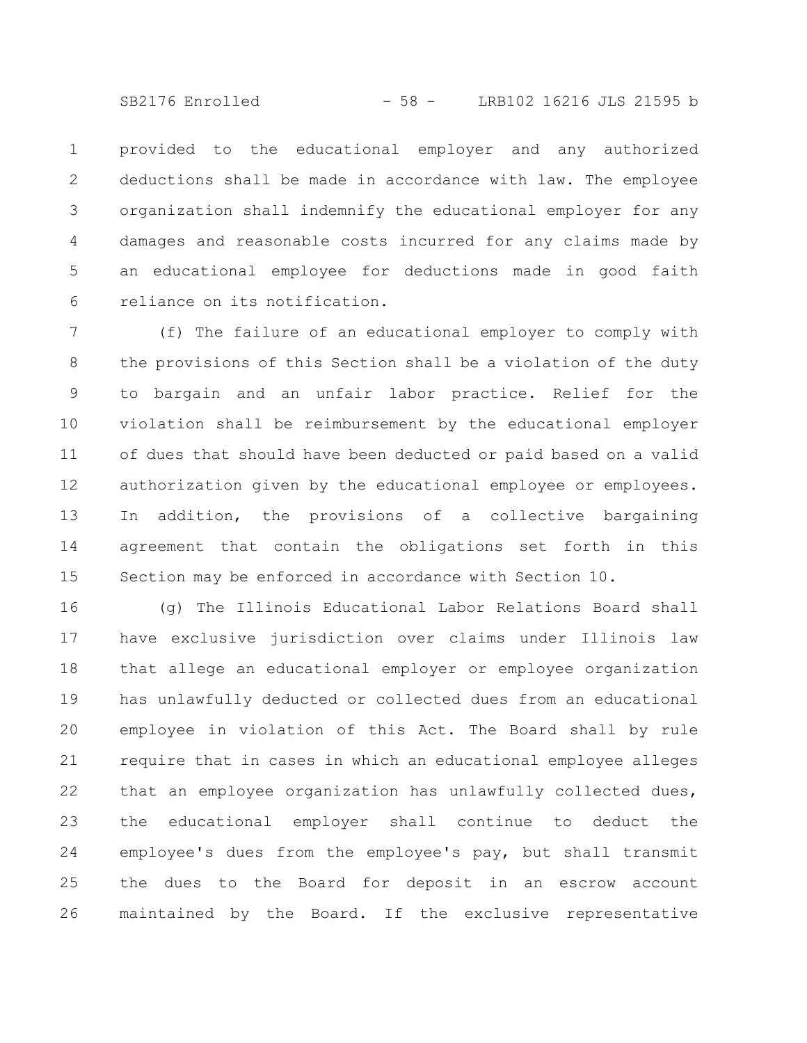SB2176 Enrolled - 58 - LRB102 16216 JLS 21595 b

provided to the educational employer and any authorized deductions shall be made in accordance with law. The employee organization shall indemnify the educational employer for any damages and reasonable costs incurred for any claims made by an educational employee for deductions made in good faith reliance on its notification. 1 2 3 4 5 6

(f) The failure of an educational employer to comply with the provisions of this Section shall be a violation of the duty to bargain and an unfair labor practice. Relief for the violation shall be reimbursement by the educational employer of dues that should have been deducted or paid based on a valid authorization given by the educational employee or employees. In addition, the provisions of a collective bargaining agreement that contain the obligations set forth in this Section may be enforced in accordance with Section 10. 7 8 9 10 11 12 13 14 15

(g) The Illinois Educational Labor Relations Board shall have exclusive jurisdiction over claims under Illinois law that allege an educational employer or employee organization has unlawfully deducted or collected dues from an educational employee in violation of this Act. The Board shall by rule require that in cases in which an educational employee alleges that an employee organization has unlawfully collected dues, the educational employer shall continue to deduct the employee's dues from the employee's pay, but shall transmit the dues to the Board for deposit in an escrow account maintained by the Board. If the exclusive representative 16 17 18 19 20 21 22 23 24 25 26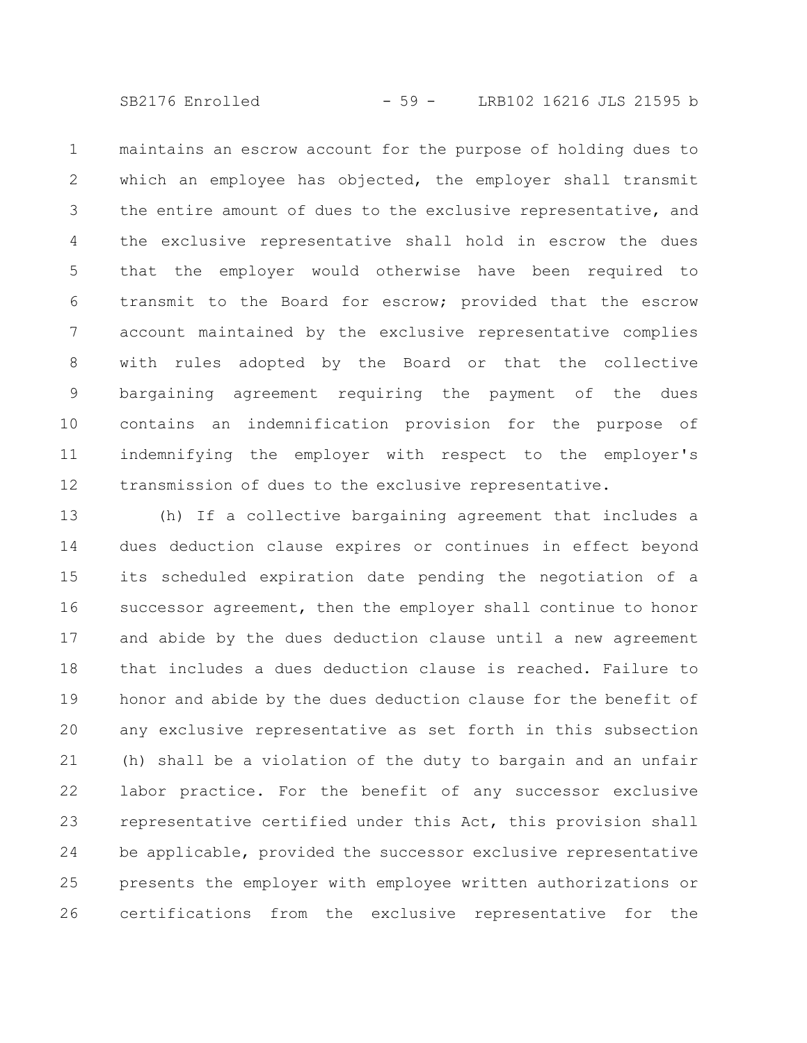SB2176 Enrolled - 59 - LRB102 16216 JLS 21595 b

maintains an escrow account for the purpose of holding dues to which an employee has objected, the employer shall transmit the entire amount of dues to the exclusive representative, and the exclusive representative shall hold in escrow the dues that the employer would otherwise have been required to transmit to the Board for escrow; provided that the escrow account maintained by the exclusive representative complies with rules adopted by the Board or that the collective bargaining agreement requiring the payment of the dues contains an indemnification provision for the purpose of indemnifying the employer with respect to the employer's transmission of dues to the exclusive representative. 1 2 3 4 5 6 7 8 9 10 11 12

(h) If a collective bargaining agreement that includes a dues deduction clause expires or continues in effect beyond its scheduled expiration date pending the negotiation of a successor agreement, then the employer shall continue to honor and abide by the dues deduction clause until a new agreement that includes a dues deduction clause is reached. Failure to honor and abide by the dues deduction clause for the benefit of any exclusive representative as set forth in this subsection (h) shall be a violation of the duty to bargain and an unfair labor practice. For the benefit of any successor exclusive representative certified under this Act, this provision shall be applicable, provided the successor exclusive representative presents the employer with employee written authorizations or certifications from the exclusive representative for the 13 14 15 16 17 18 19 20 21 22 23 24 25 26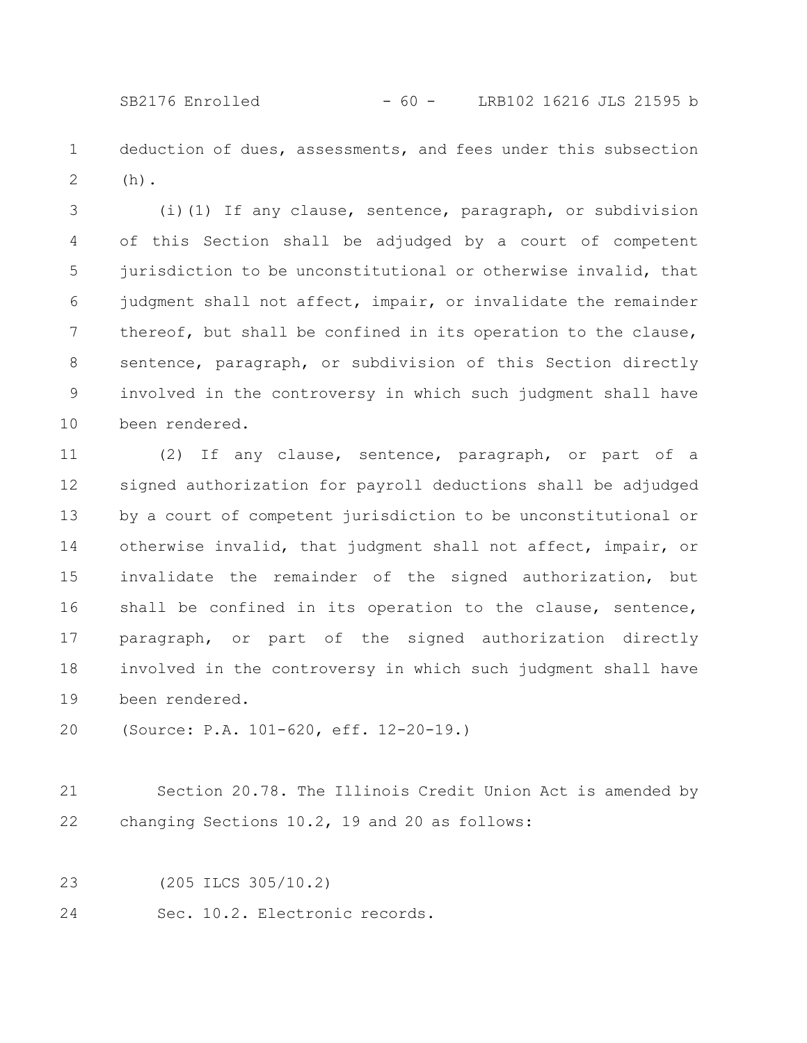SB2176 Enrolled - 60 - LRB102 16216 JLS 21595 b

deduction of dues, assessments, and fees under this subsection (h). 1 2

(i)(1) If any clause, sentence, paragraph, or subdivision of this Section shall be adjudged by a court of competent jurisdiction to be unconstitutional or otherwise invalid, that judgment shall not affect, impair, or invalidate the remainder thereof, but shall be confined in its operation to the clause, sentence, paragraph, or subdivision of this Section directly involved in the controversy in which such judgment shall have been rendered. 3 4 5 6 7 8 9 10

(2) If any clause, sentence, paragraph, or part of a signed authorization for payroll deductions shall be adjudged by a court of competent jurisdiction to be unconstitutional or otherwise invalid, that judgment shall not affect, impair, or invalidate the remainder of the signed authorization, but shall be confined in its operation to the clause, sentence, paragraph, or part of the signed authorization directly involved in the controversy in which such judgment shall have been rendered. 11 12 13 14 15 16 17 18 19

(Source: P.A. 101-620, eff. 12-20-19.) 20

- Section 20.78. The Illinois Credit Union Act is amended by changing Sections 10.2, 19 and 20 as follows: 21 22
- (205 ILCS 305/10.2) 23
- Sec. 10.2. Electronic records. 24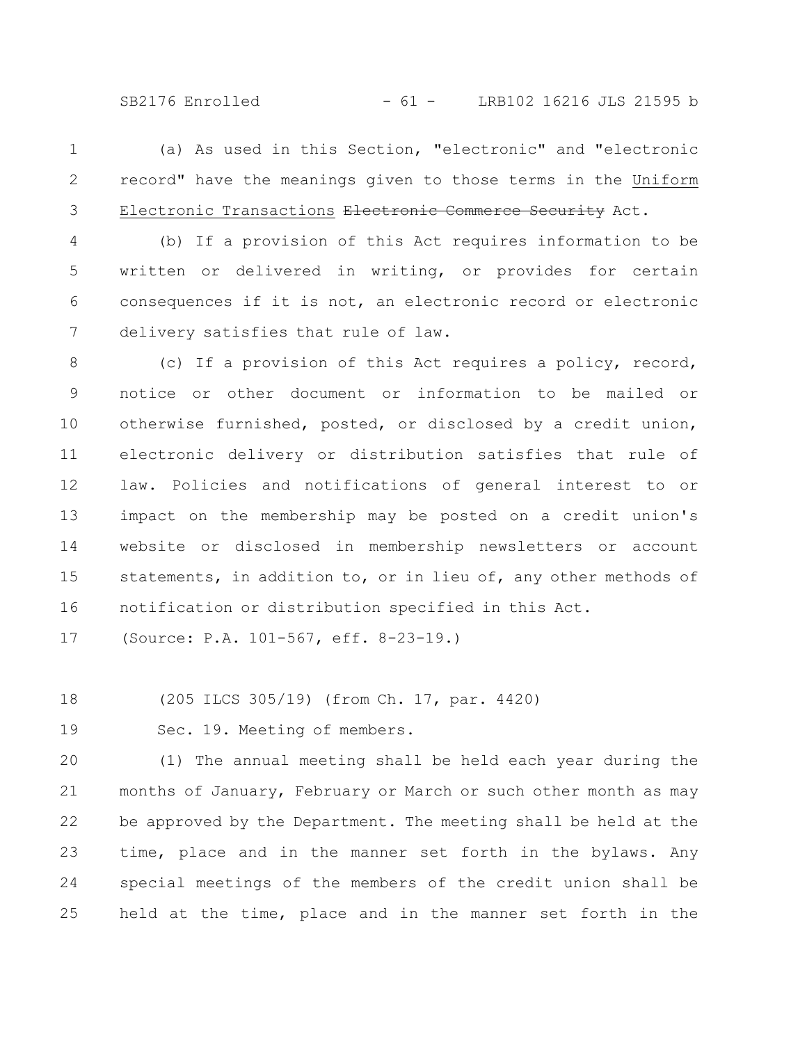SB2176 Enrolled - 61 - LRB102 16216 JLS 21595 b

(a) As used in this Section, "electronic" and "electronic record" have the meanings given to those terms in the Uniform Electronic Transactions Electronic Commerce Security Act. 1 2 3

(b) If a provision of this Act requires information to be written or delivered in writing, or provides for certain consequences if it is not, an electronic record or electronic delivery satisfies that rule of law. 4 5 6 7

(c) If a provision of this Act requires a policy, record, notice or other document or information to be mailed or otherwise furnished, posted, or disclosed by a credit union, electronic delivery or distribution satisfies that rule of law. Policies and notifications of general interest to or impact on the membership may be posted on a credit union's website or disclosed in membership newsletters or account statements, in addition to, or in lieu of, any other methods of notification or distribution specified in this Act. 8 9 10 11 12 13 14 15 16

(Source: P.A. 101-567, eff. 8-23-19.) 17

(205 ILCS 305/19) (from Ch. 17, par. 4420) 18

Sec. 19. Meeting of members. 19

(1) The annual meeting shall be held each year during the months of January, February or March or such other month as may be approved by the Department. The meeting shall be held at the time, place and in the manner set forth in the bylaws. Any special meetings of the members of the credit union shall be held at the time, place and in the manner set forth in the 20 21 22 23 24 25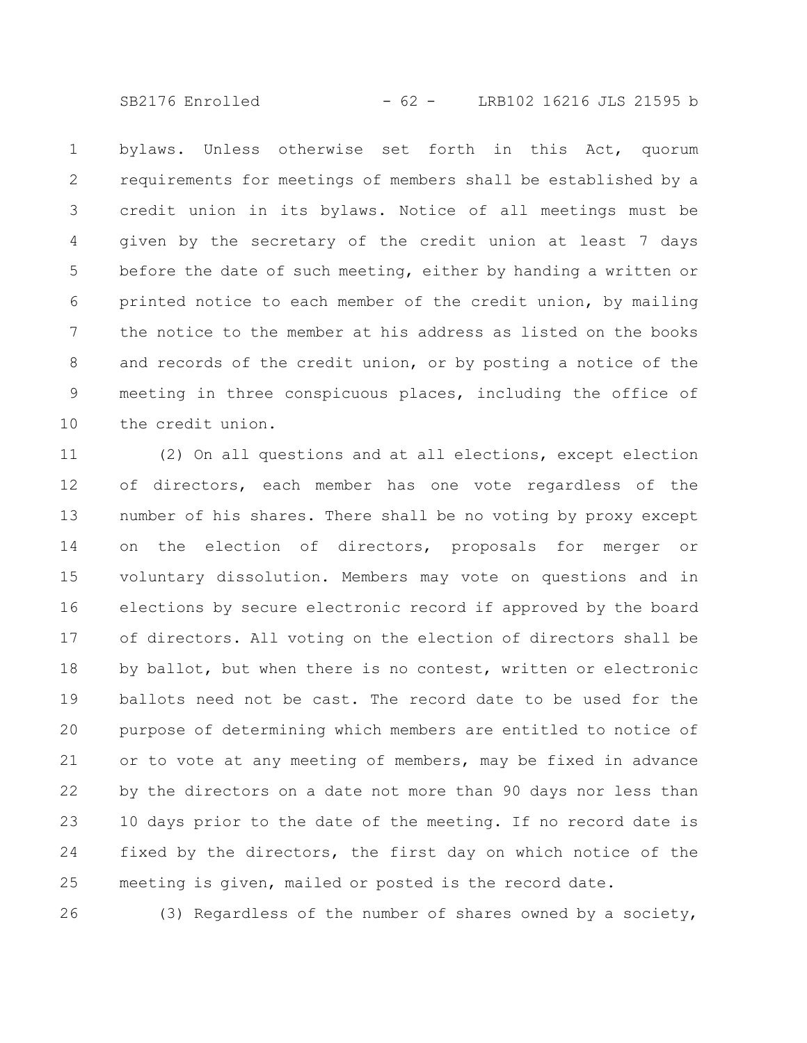SB2176 Enrolled - 62 - LRB102 16216 JLS 21595 b

bylaws. Unless otherwise set forth in this Act, quorum requirements for meetings of members shall be established by a credit union in its bylaws. Notice of all meetings must be given by the secretary of the credit union at least 7 days before the date of such meeting, either by handing a written or printed notice to each member of the credit union, by mailing the notice to the member at his address as listed on the books and records of the credit union, or by posting a notice of the meeting in three conspicuous places, including the office of the credit union. 1 2 3 4 5 6 7 8 9 10

(2) On all questions and at all elections, except election of directors, each member has one vote regardless of the number of his shares. There shall be no voting by proxy except on the election of directors, proposals for merger or voluntary dissolution. Members may vote on questions and in elections by secure electronic record if approved by the board of directors. All voting on the election of directors shall be by ballot, but when there is no contest, written or electronic ballots need not be cast. The record date to be used for the purpose of determining which members are entitled to notice of or to vote at any meeting of members, may be fixed in advance by the directors on a date not more than 90 days nor less than 10 days prior to the date of the meeting. If no record date is fixed by the directors, the first day on which notice of the meeting is given, mailed or posted is the record date. 11 12 13 14 15 16 17 18 19 20 21 22 23 24 25

26

(3) Regardless of the number of shares owned by a society,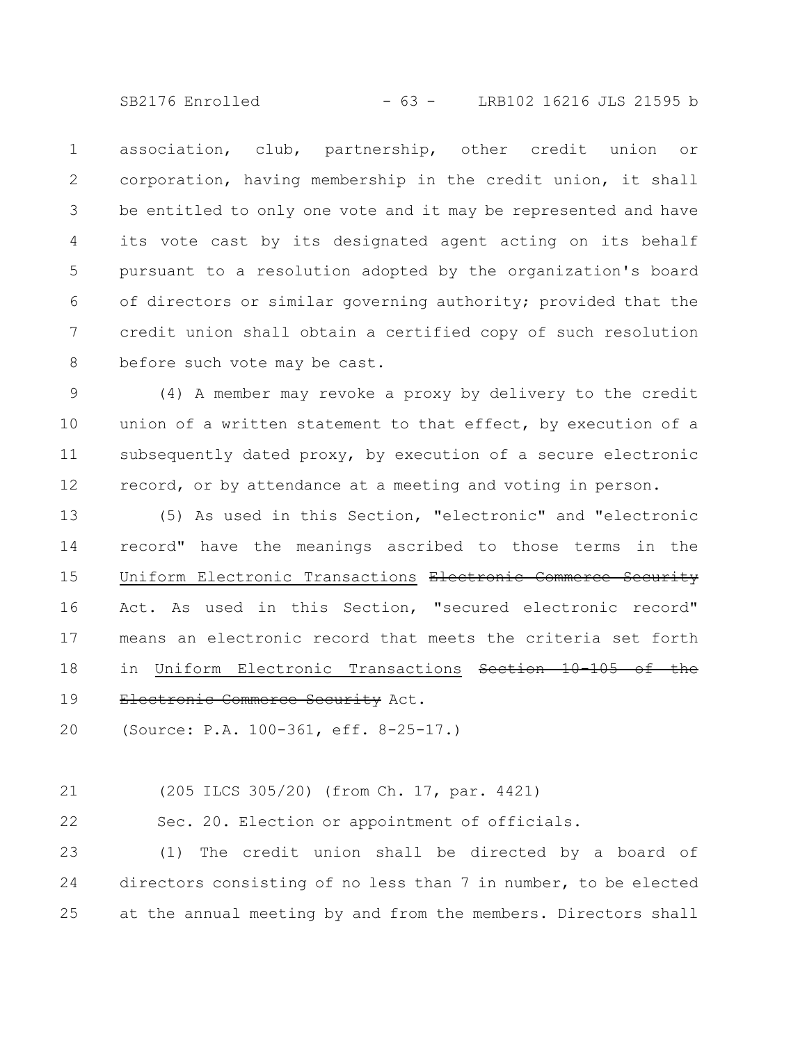SB2176 Enrolled - 63 - LRB102 16216 JLS 21595 b

association, club, partnership, other credit union or corporation, having membership in the credit union, it shall be entitled to only one vote and it may be represented and have its vote cast by its designated agent acting on its behalf pursuant to a resolution adopted by the organization's board of directors or similar governing authority; provided that the credit union shall obtain a certified copy of such resolution before such vote may be cast. 1 2 3 4 5 6 7 8

(4) A member may revoke a proxy by delivery to the credit union of a written statement to that effect, by execution of a subsequently dated proxy, by execution of a secure electronic record, or by attendance at a meeting and voting in person. 9 10 11 12

(5) As used in this Section, "electronic" and "electronic record" have the meanings ascribed to those terms in the Uniform Electronic Transactions Electronic Commerce Security Act. As used in this Section, "secured electronic record" means an electronic record that meets the criteria set forth in Uniform Electronic Transactions Section 10 Electronic Commerce Security Act. 13 14 15 16 17 18 19

(Source: P.A. 100-361, eff. 8-25-17.) 20

## (205 ILCS 305/20) (from Ch. 17, par. 4421) 21

Sec. 20. Election or appointment of officials. 22

(1) The credit union shall be directed by a board of directors consisting of no less than 7 in number, to be elected at the annual meeting by and from the members. Directors shall 23 24 25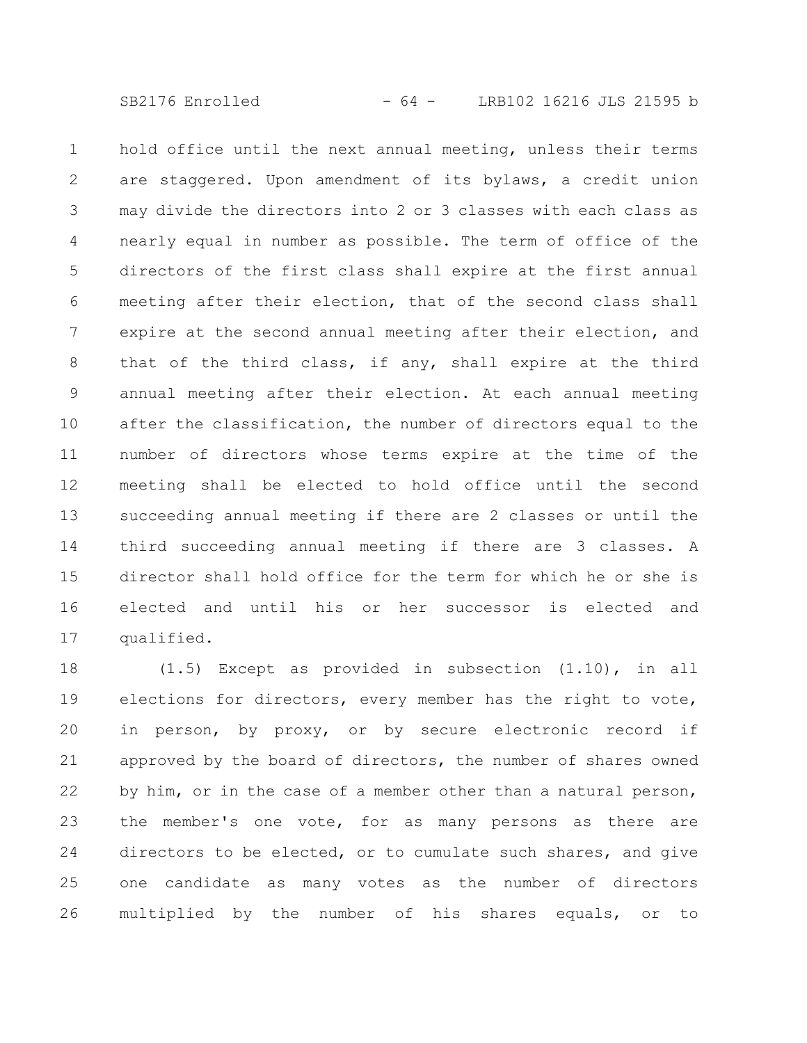SB2176 Enrolled - 64 - LRB102 16216 JLS 21595 b

hold office until the next annual meeting, unless their terms are staggered. Upon amendment of its bylaws, a credit union may divide the directors into 2 or 3 classes with each class as nearly equal in number as possible. The term of office of the directors of the first class shall expire at the first annual meeting after their election, that of the second class shall expire at the second annual meeting after their election, and that of the third class, if any, shall expire at the third annual meeting after their election. At each annual meeting after the classification, the number of directors equal to the number of directors whose terms expire at the time of the meeting shall be elected to hold office until the second succeeding annual meeting if there are 2 classes or until the third succeeding annual meeting if there are 3 classes. A director shall hold office for the term for which he or she is elected and until his or her successor is elected and qualified. 1 2 3 4 5 6 7 8 9 10 11 12 13 14 15 16 17

(1.5) Except as provided in subsection (1.10), in all elections for directors, every member has the right to vote, in person, by proxy, or by secure electronic record if approved by the board of directors, the number of shares owned by him, or in the case of a member other than a natural person, the member's one vote, for as many persons as there are directors to be elected, or to cumulate such shares, and give one candidate as many votes as the number of directors multiplied by the number of his shares equals, or to 18 19 20 21 22 23 24 25 26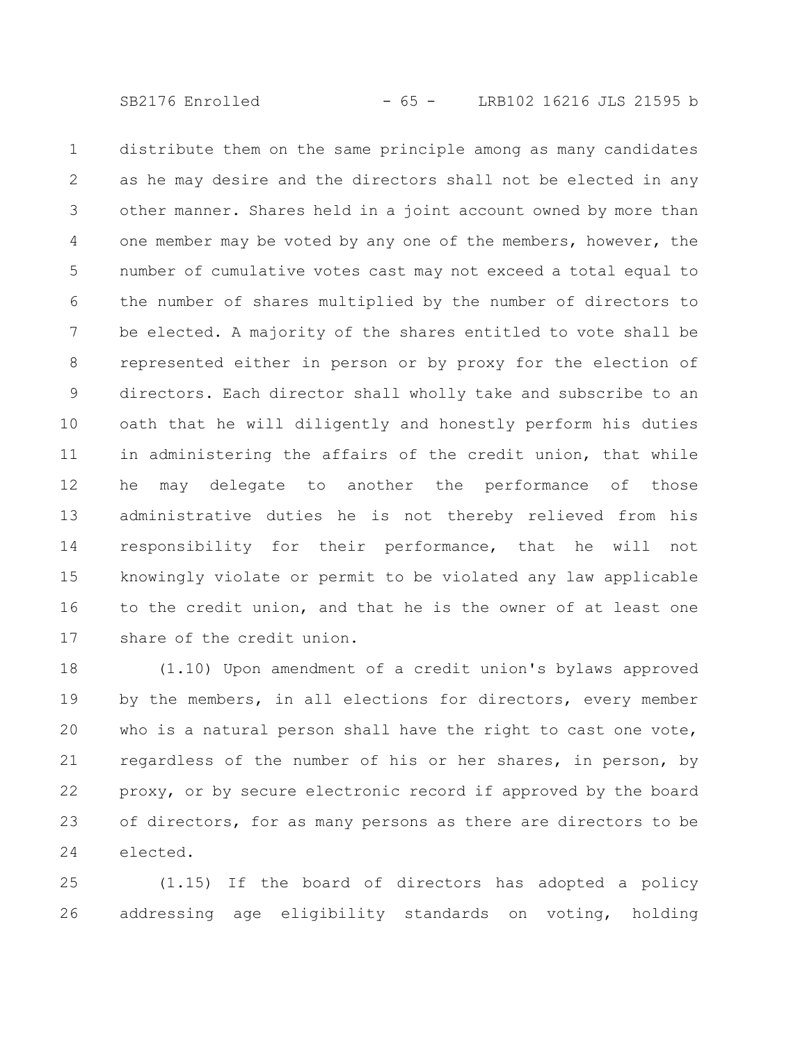SB2176 Enrolled - 65 - LRB102 16216 JLS 21595 b

distribute them on the same principle among as many candidates as he may desire and the directors shall not be elected in any other manner. Shares held in a joint account owned by more than one member may be voted by any one of the members, however, the number of cumulative votes cast may not exceed a total equal to the number of shares multiplied by the number of directors to be elected. A majority of the shares entitled to vote shall be represented either in person or by proxy for the election of directors. Each director shall wholly take and subscribe to an oath that he will diligently and honestly perform his duties in administering the affairs of the credit union, that while he may delegate to another the performance of those administrative duties he is not thereby relieved from his responsibility for their performance, that he will not knowingly violate or permit to be violated any law applicable to the credit union, and that he is the owner of at least one share of the credit union. 1 2 3 4 5 6 7 8 9 10 11 12 13 14 15 16 17

(1.10) Upon amendment of a credit union's bylaws approved by the members, in all elections for directors, every member who is a natural person shall have the right to cast one vote, regardless of the number of his or her shares, in person, by proxy, or by secure electronic record if approved by the board of directors, for as many persons as there are directors to be elected. 18 19 20 21 22 23 24

(1.15) If the board of directors has adopted a policy addressing age eligibility standards on voting, holding 25 26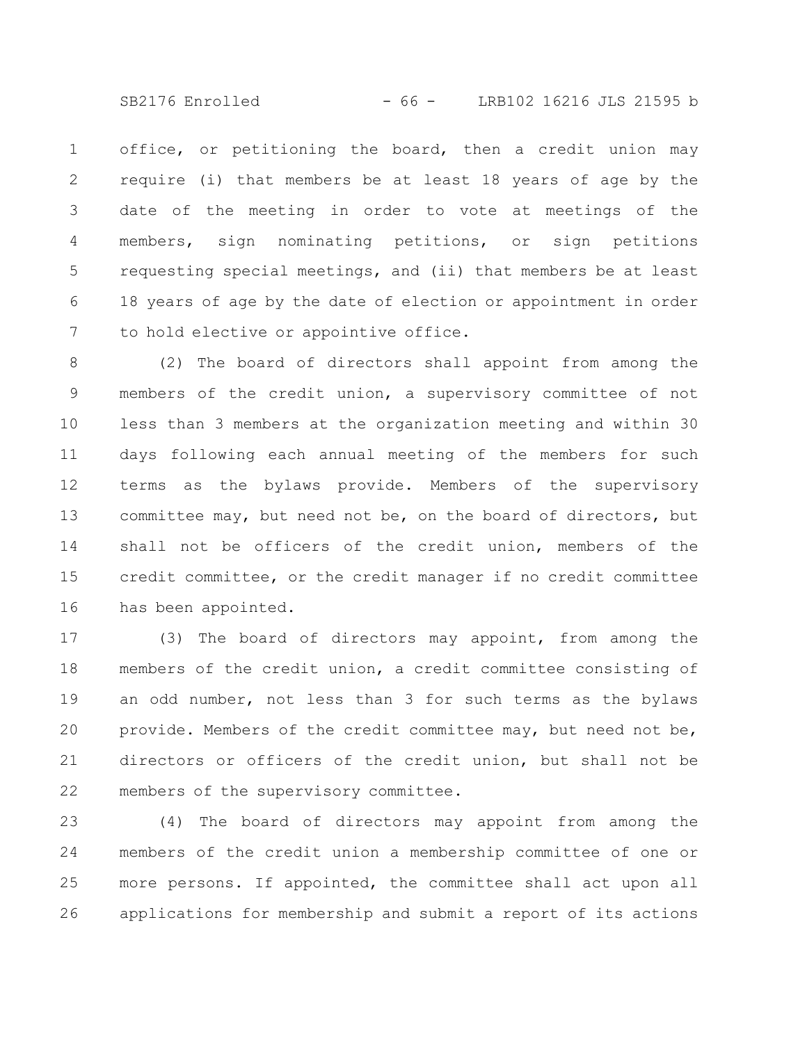SB2176 Enrolled - 66 - LRB102 16216 JLS 21595 b

office, or petitioning the board, then a credit union may require (i) that members be at least 18 years of age by the date of the meeting in order to vote at meetings of the members, sign nominating petitions, or sign petitions requesting special meetings, and (ii) that members be at least 18 years of age by the date of election or appointment in order to hold elective or appointive office. 1 2 3 4 5 6 7

(2) The board of directors shall appoint from among the members of the credit union, a supervisory committee of not less than 3 members at the organization meeting and within 30 days following each annual meeting of the members for such terms as the bylaws provide. Members of the supervisory committee may, but need not be, on the board of directors, but shall not be officers of the credit union, members of the credit committee, or the credit manager if no credit committee has been appointed. 8 9 10 11 12 13 14 15 16

(3) The board of directors may appoint, from among the members of the credit union, a credit committee consisting of an odd number, not less than 3 for such terms as the bylaws provide. Members of the credit committee may, but need not be, directors or officers of the credit union, but shall not be members of the supervisory committee. 17 18 19 20 21 22

(4) The board of directors may appoint from among the members of the credit union a membership committee of one or more persons. If appointed, the committee shall act upon all applications for membership and submit a report of its actions 23 24 25 26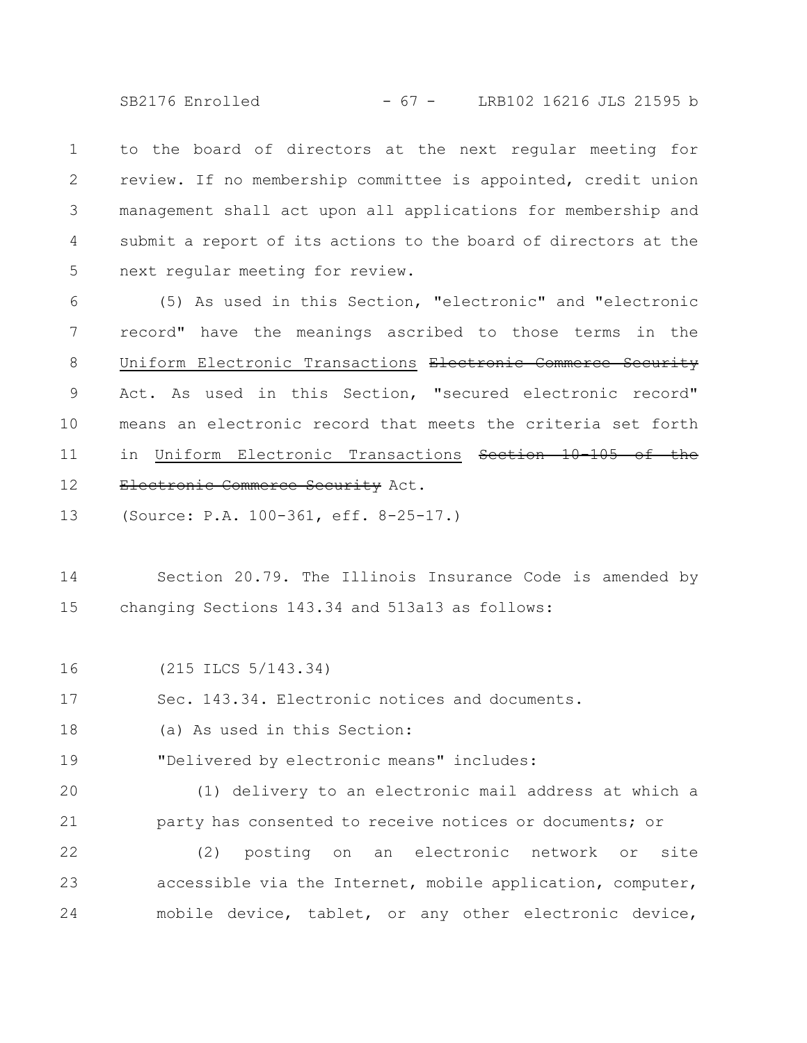SB2176 Enrolled - 67 - LRB102 16216 JLS 21595 b

to the board of directors at the next regular meeting for review. If no membership committee is appointed, credit union management shall act upon all applications for membership and submit a report of its actions to the board of directors at the next regular meeting for review. 1 2 3 4 5

(5) As used in this Section, "electronic" and "electronic record" have the meanings ascribed to those terms in the Uniform Electronic Transactions Electronic Commerce Security Act. As used in this Section, "secured electronic record" means an electronic record that meets the criteria set forth in Uniform Electronic Transactions Section 10-105 of the Electronic Commerce Security Act. 6 7 8 9 10 11 12

(Source: P.A. 100-361, eff. 8-25-17.) 13

Section 20.79. The Illinois Insurance Code is amended by changing Sections 143.34 and 513a13 as follows: 14 15

(215 ILCS 5/143.34) 16

Sec. 143.34. Electronic notices and documents. 17

(a) As used in this Section: 18

"Delivered by electronic means" includes: 19

(1) delivery to an electronic mail address at which a party has consented to receive notices or documents; or 20 21

(2) posting on an electronic network or site accessible via the Internet, mobile application, computer, mobile device, tablet, or any other electronic device, 22 23 24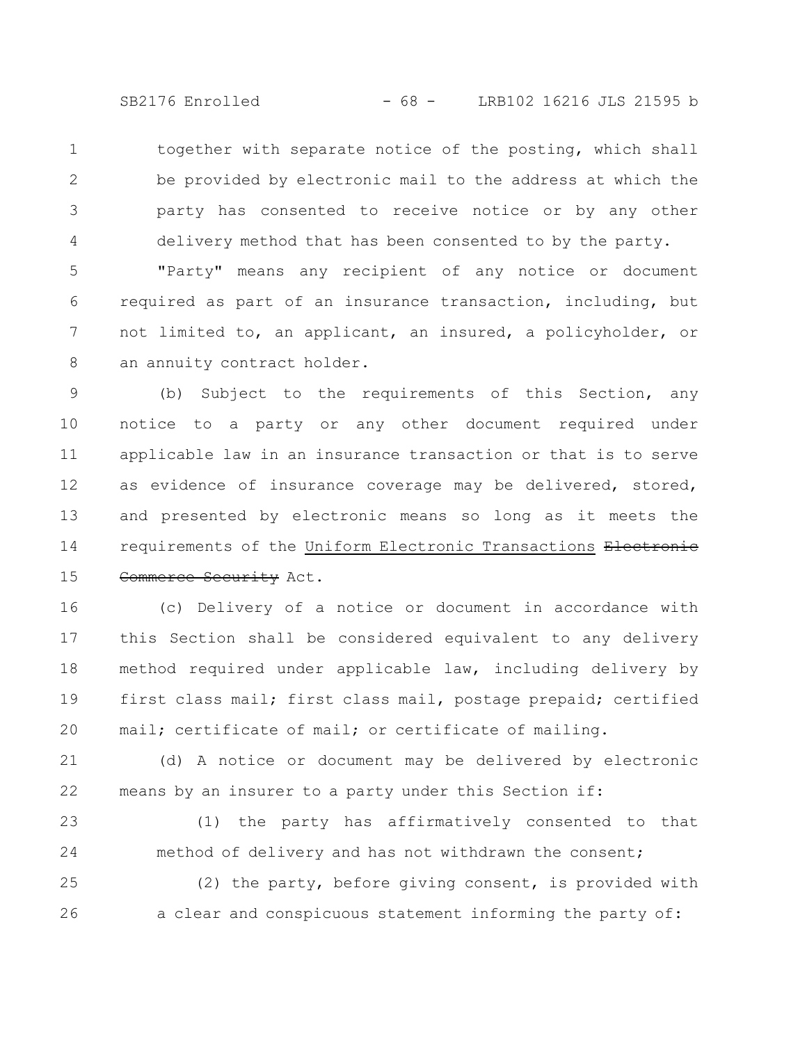SB2176 Enrolled - 68 - LRB102 16216 JLS 21595 b

together with separate notice of the posting, which shall be provided by electronic mail to the address at which the party has consented to receive notice or by any other delivery method that has been consented to by the party. 1 2 3 4

"Party" means any recipient of any notice or document required as part of an insurance transaction, including, but not limited to, an applicant, an insured, a policyholder, or an annuity contract holder. 5 6 7 8

(b) Subject to the requirements of this Section, any notice to a party or any other document required under applicable law in an insurance transaction or that is to serve as evidence of insurance coverage may be delivered, stored, and presented by electronic means so long as it meets the requirements of the Uniform Electronic Transactions Electronic Commerce Security Act. 9 10 11 12 13 14 15

(c) Delivery of a notice or document in accordance with this Section shall be considered equivalent to any delivery method required under applicable law, including delivery by first class mail; first class mail, postage prepaid; certified mail; certificate of mail; or certificate of mailing. 16 17 18 19 20

(d) A notice or document may be delivered by electronic means by an insurer to a party under this Section if: 21 22

(1) the party has affirmatively consented to that method of delivery and has not withdrawn the consent; 23 24

(2) the party, before giving consent, is provided with a clear and conspicuous statement informing the party of: 25 26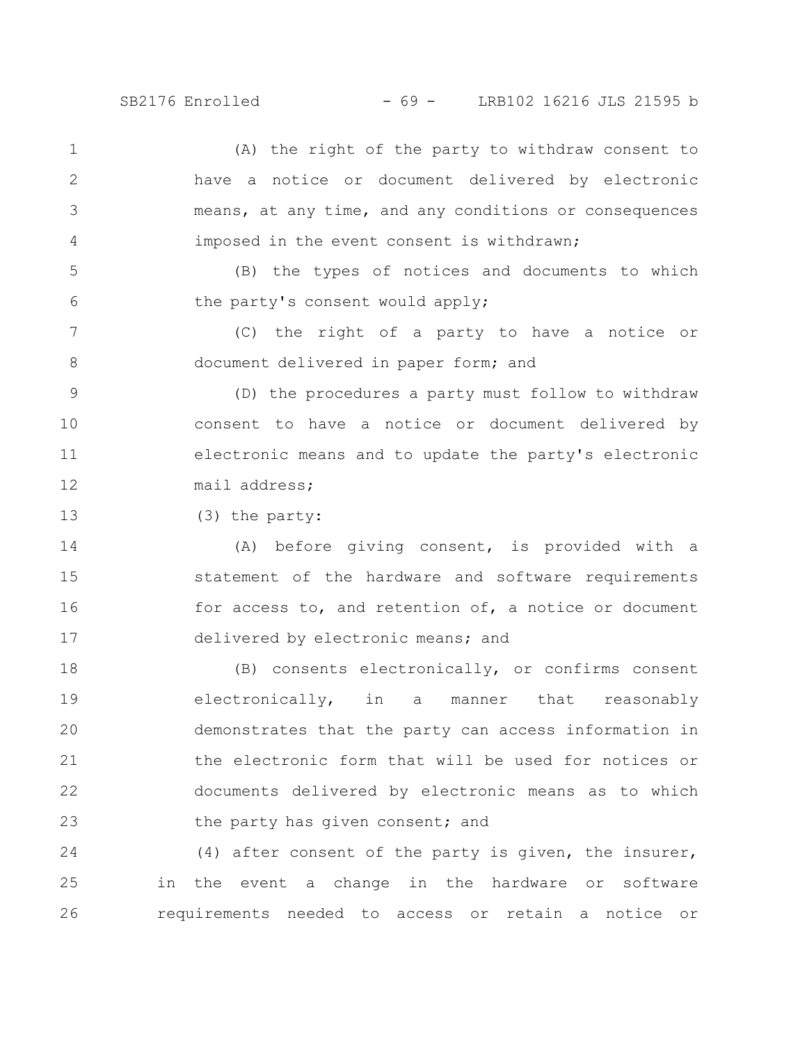SB2176 Enrolled - 69 - LRB102 16216 JLS 21595 b

(A) the right of the party to withdraw consent to have a notice or document delivered by electronic means, at any time, and any conditions or consequences imposed in the event consent is withdrawn; 1 2 3 4

(B) the types of notices and documents to which the party's consent would apply; 5 6

(C) the right of a party to have a notice or document delivered in paper form; and 7 8

(D) the procedures a party must follow to withdraw consent to have a notice or document delivered by electronic means and to update the party's electronic mail address; 9 10 11 12

(3) the party: 13

(A) before giving consent, is provided with a statement of the hardware and software requirements for access to, and retention of, a notice or document delivered by electronic means; and 14 15 16 17

(B) consents electronically, or confirms consent electronically, in a manner that reasonably demonstrates that the party can access information in the electronic form that will be used for notices or documents delivered by electronic means as to which the party has given consent; and 18 19 20 21 22 23

(4) after consent of the party is given, the insurer, in the event a change in the hardware or software requirements needed to access or retain a notice or 24 25 26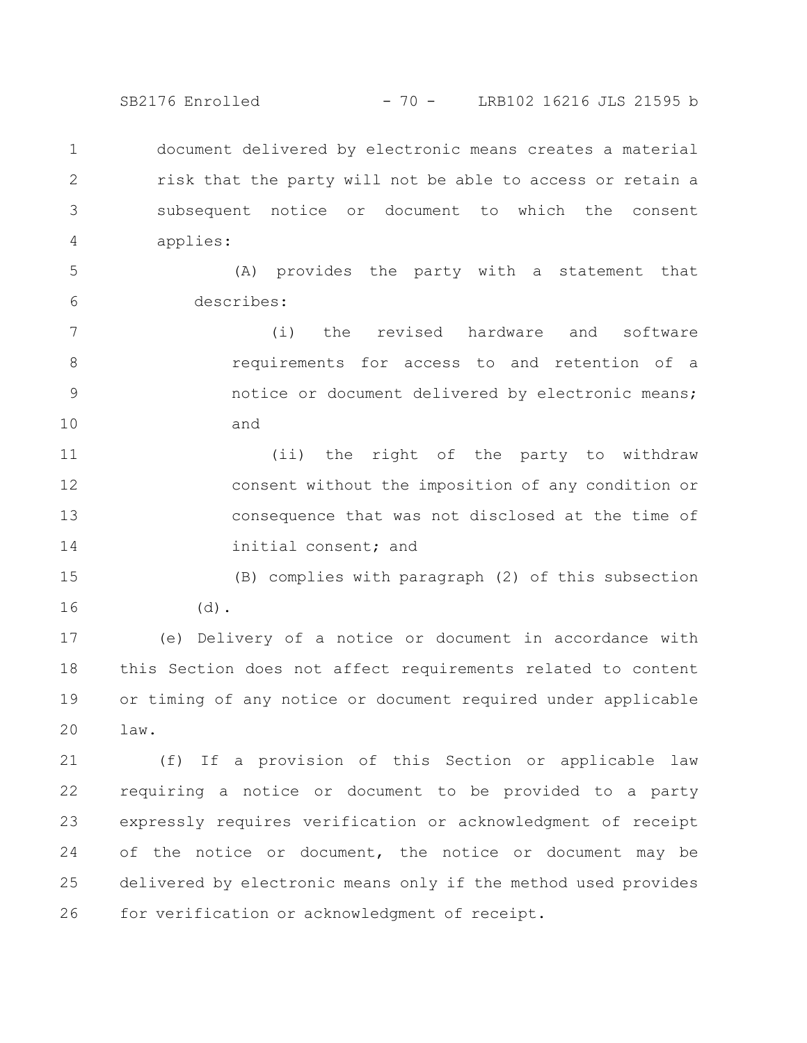SB2176 Enrolled - 70 - LRB102 16216 JLS 21595 b

document delivered by electronic means creates a material risk that the party will not be able to access or retain a subsequent notice or document to which the consent applies: 1 2 3 4

(A) provides the party with a statement that describes: 5 6

(i) the revised hardware and software requirements for access to and retention of a notice or document delivered by electronic means; and 7 8 9 10

(ii) the right of the party to withdraw consent without the imposition of any condition or consequence that was not disclosed at the time of initial consent; and 11 12 13 14

(B) complies with paragraph (2) of this subsection  $(d)$ . 15 16

(e) Delivery of a notice or document in accordance with this Section does not affect requirements related to content or timing of any notice or document required under applicable law. 17 18 19 20

(f) If a provision of this Section or applicable law requiring a notice or document to be provided to a party expressly requires verification or acknowledgment of receipt of the notice or document, the notice or document may be delivered by electronic means only if the method used provides for verification or acknowledgment of receipt. 21 22 23 24 25 26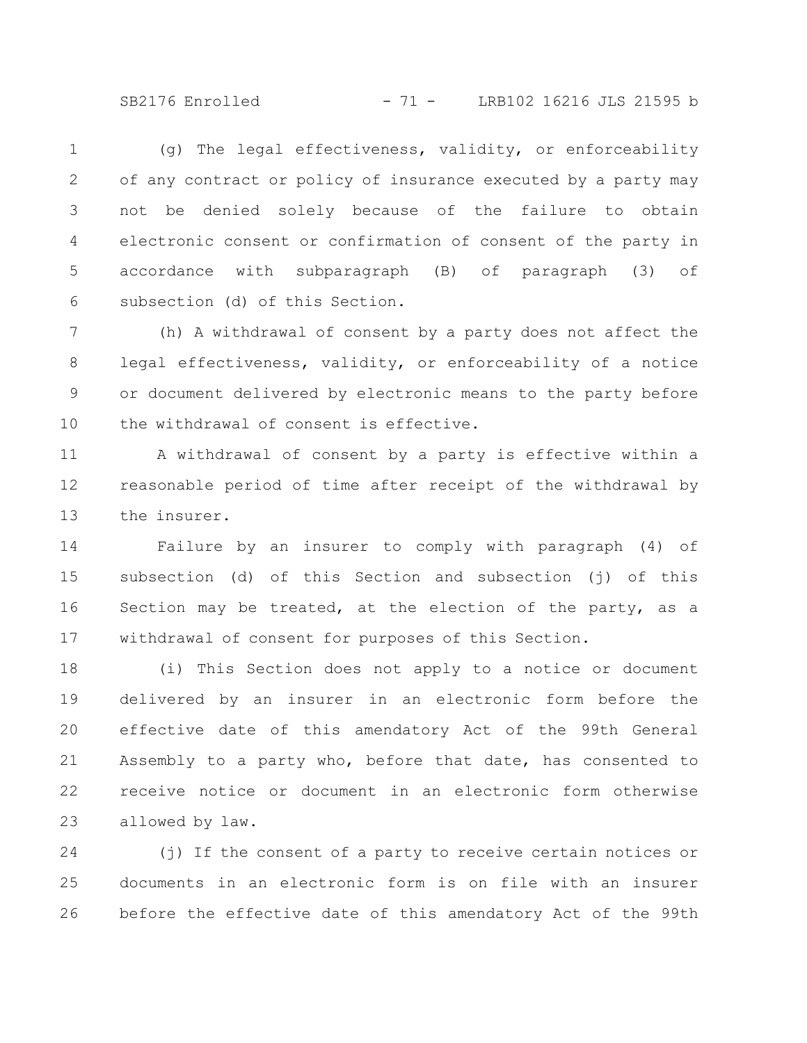SB2176 Enrolled - 71 - LRB102 16216 JLS 21595 b

(g) The legal effectiveness, validity, or enforceability of any contract or policy of insurance executed by a party may not be denied solely because of the failure to obtain electronic consent or confirmation of consent of the party in accordance with subparagraph (B) of paragraph (3) of subsection (d) of this Section. 1 2 3 4 5 6

(h) A withdrawal of consent by a party does not affect the legal effectiveness, validity, or enforceability of a notice or document delivered by electronic means to the party before the withdrawal of consent is effective. 7 8 9 10

A withdrawal of consent by a party is effective within a reasonable period of time after receipt of the withdrawal by the insurer. 11 12 13

Failure by an insurer to comply with paragraph (4) of subsection (d) of this Section and subsection (j) of this Section may be treated, at the election of the party, as a withdrawal of consent for purposes of this Section. 14 15 16 17

(i) This Section does not apply to a notice or document delivered by an insurer in an electronic form before the effective date of this amendatory Act of the 99th General Assembly to a party who, before that date, has consented to receive notice or document in an electronic form otherwise allowed by law. 18 19 20 21 22 23

(j) If the consent of a party to receive certain notices or documents in an electronic form is on file with an insurer before the effective date of this amendatory Act of the 99th 24 25 26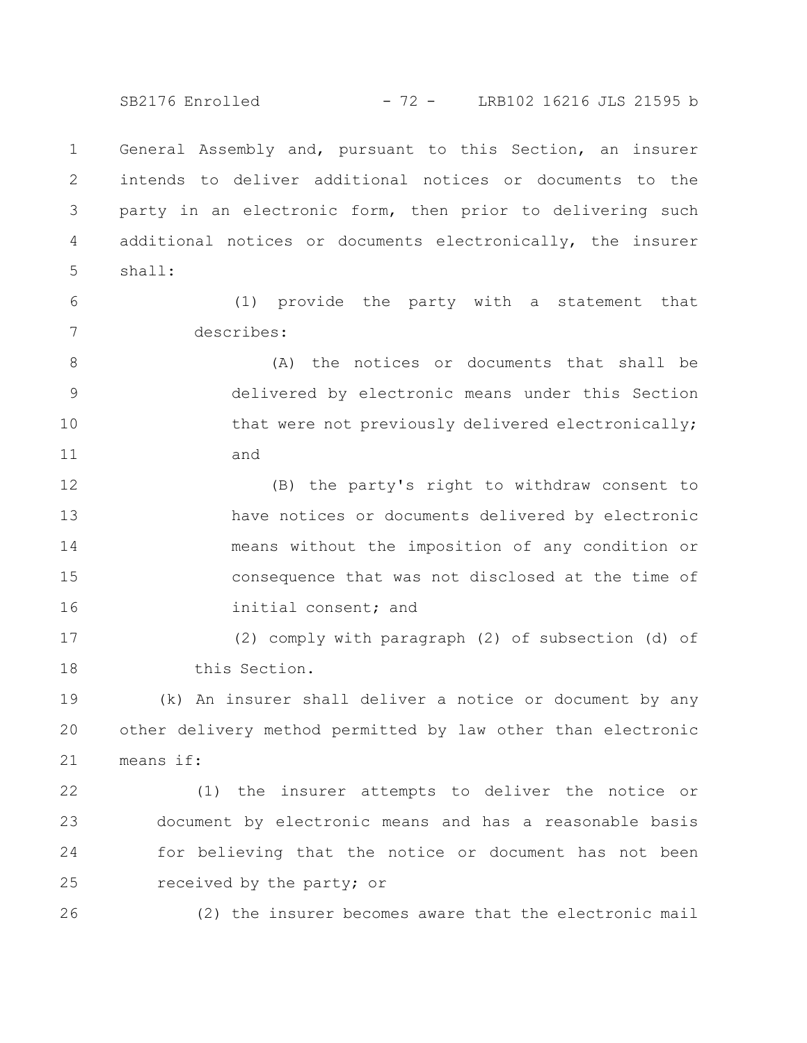SB2176 Enrolled - 72 - LRB102 16216 JLS 21595 b

General Assembly and, pursuant to this Section, an insurer intends to deliver additional notices or documents to the party in an electronic form, then prior to delivering such additional notices or documents electronically, the insurer shall: 1 2 3 4 5

(1) provide the party with a statement that describes: 6 7

(A) the notices or documents that shall be delivered by electronic means under this Section that were not previously delivered electronically; and 8 9 10 11

(B) the party's right to withdraw consent to have notices or documents delivered by electronic means without the imposition of any condition or consequence that was not disclosed at the time of initial consent; and 12 13 14 15 16

(2) comply with paragraph (2) of subsection (d) of this Section. 17 18

(k) An insurer shall deliver a notice or document by any other delivery method permitted by law other than electronic means if: 19 20 21

(1) the insurer attempts to deliver the notice or document by electronic means and has a reasonable basis for believing that the notice or document has not been received by the party; or 22 23 24 25

26

(2) the insurer becomes aware that the electronic mail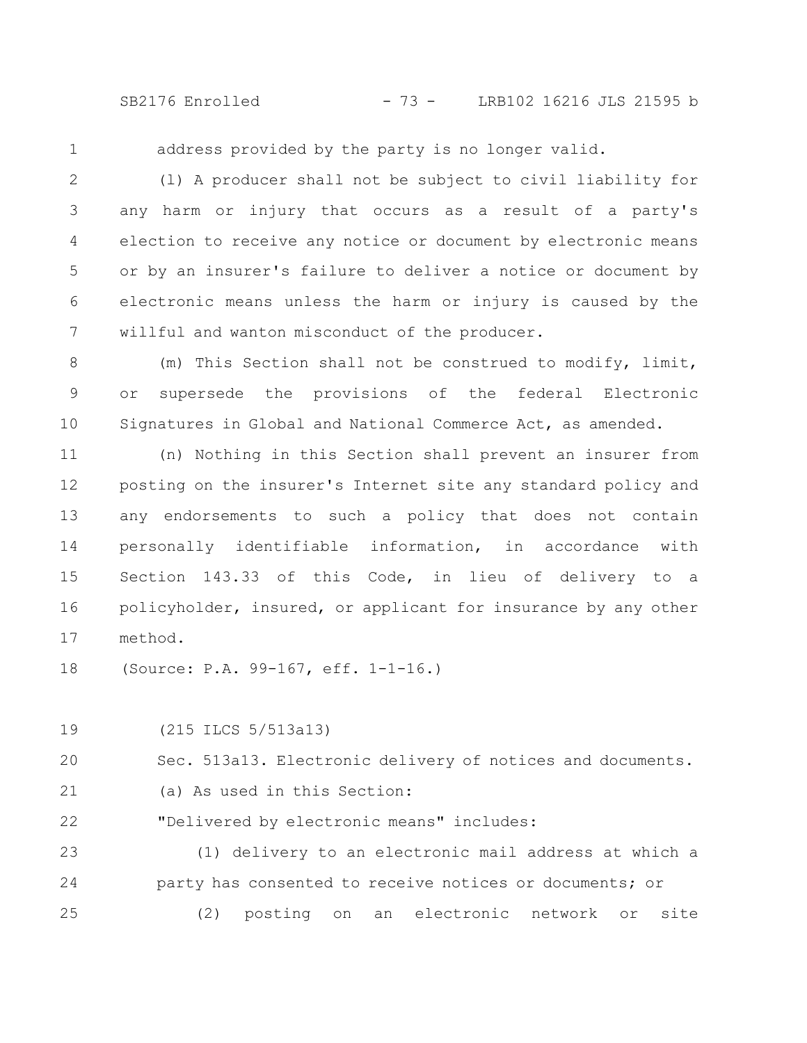SB2176 Enrolled - 73 - LRB102 16216 JLS 21595 b

1

address provided by the party is no longer valid.

(l) A producer shall not be subject to civil liability for any harm or injury that occurs as a result of a party's election to receive any notice or document by electronic means or by an insurer's failure to deliver a notice or document by electronic means unless the harm or injury is caused by the willful and wanton misconduct of the producer. 2 3 4 5 6 7

(m) This Section shall not be construed to modify, limit, or supersede the provisions of the federal Electronic Signatures in Global and National Commerce Act, as amended. 8 9 10

(n) Nothing in this Section shall prevent an insurer from posting on the insurer's Internet site any standard policy and any endorsements to such a policy that does not contain personally identifiable information, in accordance with Section 143.33 of this Code, in lieu of delivery to a policyholder, insured, or applicant for insurance by any other method. 11 12 13 14 15 16 17

(Source: P.A. 99-167, eff. 1-1-16.) 18

(215 ILCS 5/513a13) 19

Sec. 513a13. Electronic delivery of notices and documents. 20

(a) As used in this Section: 21

"Delivered by electronic means" includes: 22

(1) delivery to an electronic mail address at which a party has consented to receive notices or documents; or (2) posting on an electronic network or site 23 24 25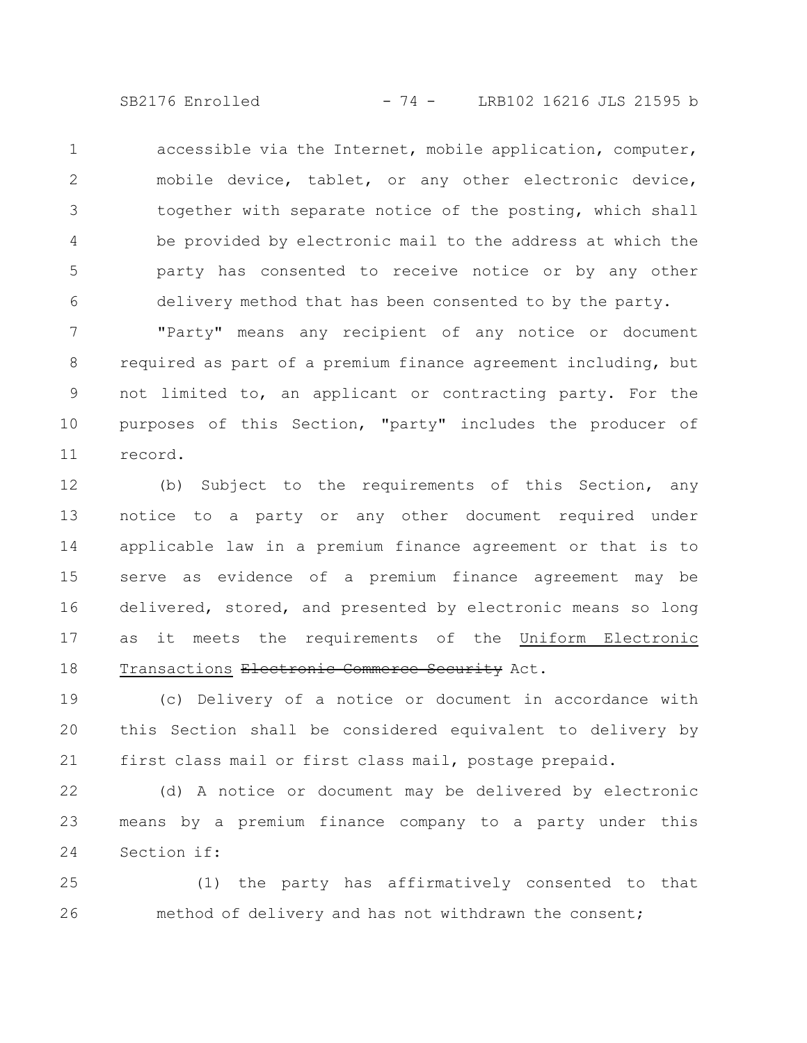SB2176 Enrolled - 74 - LRB102 16216 JLS 21595 b

accessible via the Internet, mobile application, computer, mobile device, tablet, or any other electronic device, together with separate notice of the posting, which shall be provided by electronic mail to the address at which the party has consented to receive notice or by any other delivery method that has been consented to by the party. 1 2 3 4 5 6

"Party" means any recipient of any notice or document required as part of a premium finance agreement including, but not limited to, an applicant or contracting party. For the purposes of this Section, "party" includes the producer of record. 7 8 9 10 11

(b) Subject to the requirements of this Section, any notice to a party or any other document required under applicable law in a premium finance agreement or that is to serve as evidence of a premium finance agreement may be delivered, stored, and presented by electronic means so long as it meets the requirements of the Uniform Electronic Transactions Electronic Commerce Security Act. 12 13 14 15 16 17 18

(c) Delivery of a notice or document in accordance with this Section shall be considered equivalent to delivery by first class mail or first class mail, postage prepaid. 19 20 21

(d) A notice or document may be delivered by electronic means by a premium finance company to a party under this Section if: 22 23 24

(1) the party has affirmatively consented to that method of delivery and has not withdrawn the consent; 25 26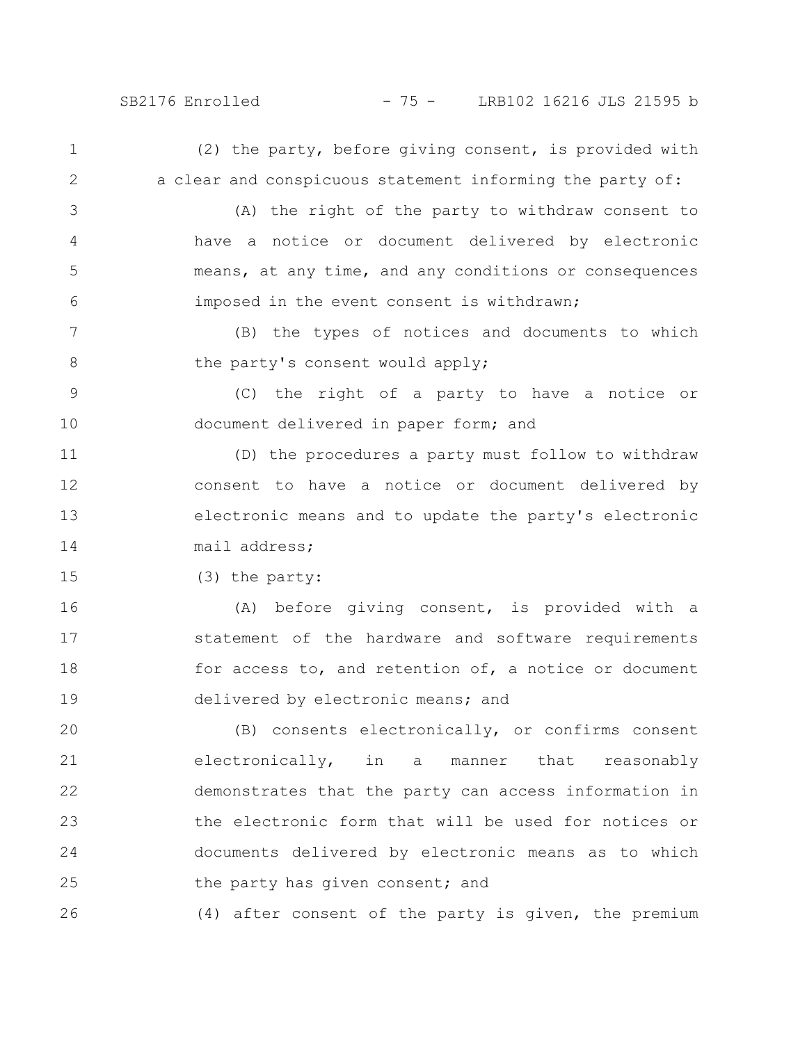3

4

5

6

26

### SB2176 Enrolled - 75 - LRB102 16216 JLS 21595 b

(2) the party, before giving consent, is provided with a clear and conspicuous statement informing the party of: 1 2

(A) the right of the party to withdraw consent to have a notice or document delivered by electronic means, at any time, and any conditions or consequences imposed in the event consent is withdrawn;

(B) the types of notices and documents to which the party's consent would apply; 7 8

(C) the right of a party to have a notice or document delivered in paper form; and 9 10

(D) the procedures a party must follow to withdraw consent to have a notice or document delivered by electronic means and to update the party's electronic mail address; 11 12 13 14

(3) the party: 15

(A) before giving consent, is provided with a statement of the hardware and software requirements for access to, and retention of, a notice or document delivered by electronic means; and 16 17 18 19

(B) consents electronically, or confirms consent electronically, in a manner that reasonably demonstrates that the party can access information in the electronic form that will be used for notices or documents delivered by electronic means as to which the party has given consent; and 20 21 22 23 24 25

(4) after consent of the party is given, the premium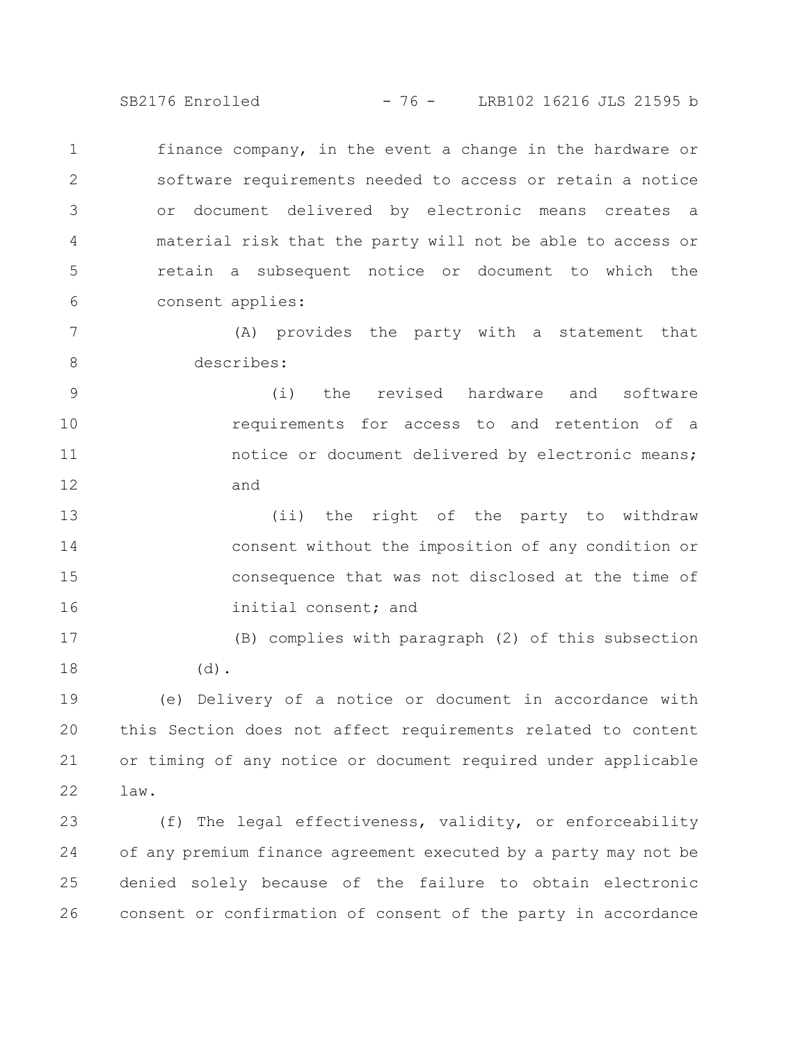SB2176 Enrolled - 76 - LRB102 16216 JLS 21595 b

finance company, in the event a change in the hardware or software requirements needed to access or retain a notice or document delivered by electronic means creates a material risk that the party will not be able to access or retain a subsequent notice or document to which the consent applies: 1 2 3 4 5 6

(A) provides the party with a statement that describes: 7 8

(i) the revised hardware and software requirements for access to and retention of a notice or document delivered by electronic means; and 9 10 11 12

(ii) the right of the party to withdraw consent without the imposition of any condition or consequence that was not disclosed at the time of initial consent; and 13 14 15 16

(B) complies with paragraph (2) of this subsection (d). 17 18

(e) Delivery of a notice or document in accordance with this Section does not affect requirements related to content or timing of any notice or document required under applicable law. 19 20 21 22

(f) The legal effectiveness, validity, or enforceability of any premium finance agreement executed by a party may not be denied solely because of the failure to obtain electronic consent or confirmation of consent of the party in accordance 23 24 25 26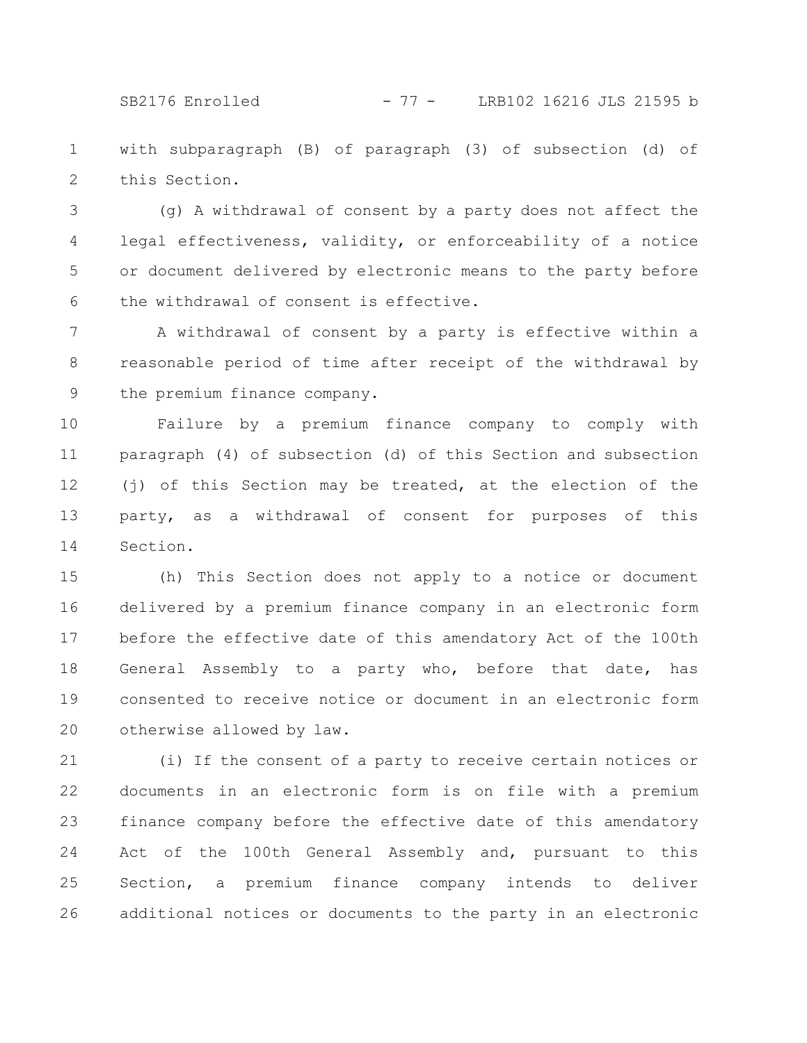SB2176 Enrolled - 77 - LRB102 16216 JLS 21595 b

with subparagraph (B) of paragraph (3) of subsection (d) of this Section. 1 2

(g) A withdrawal of consent by a party does not affect the legal effectiveness, validity, or enforceability of a notice or document delivered by electronic means to the party before the withdrawal of consent is effective. 3 4 5 6

A withdrawal of consent by a party is effective within a reasonable period of time after receipt of the withdrawal by the premium finance company. 7 8 9

Failure by a premium finance company to comply with paragraph (4) of subsection (d) of this Section and subsection (j) of this Section may be treated, at the election of the party, as a withdrawal of consent for purposes of this Section. 10 11 12 13 14

(h) This Section does not apply to a notice or document delivered by a premium finance company in an electronic form before the effective date of this amendatory Act of the 100th General Assembly to a party who, before that date, has consented to receive notice or document in an electronic form otherwise allowed by law. 15 16 17 18 19 20

(i) If the consent of a party to receive certain notices or documents in an electronic form is on file with a premium finance company before the effective date of this amendatory Act of the 100th General Assembly and, pursuant to this Section, a premium finance company intends to deliver additional notices or documents to the party in an electronic 21 22 23 24 25 26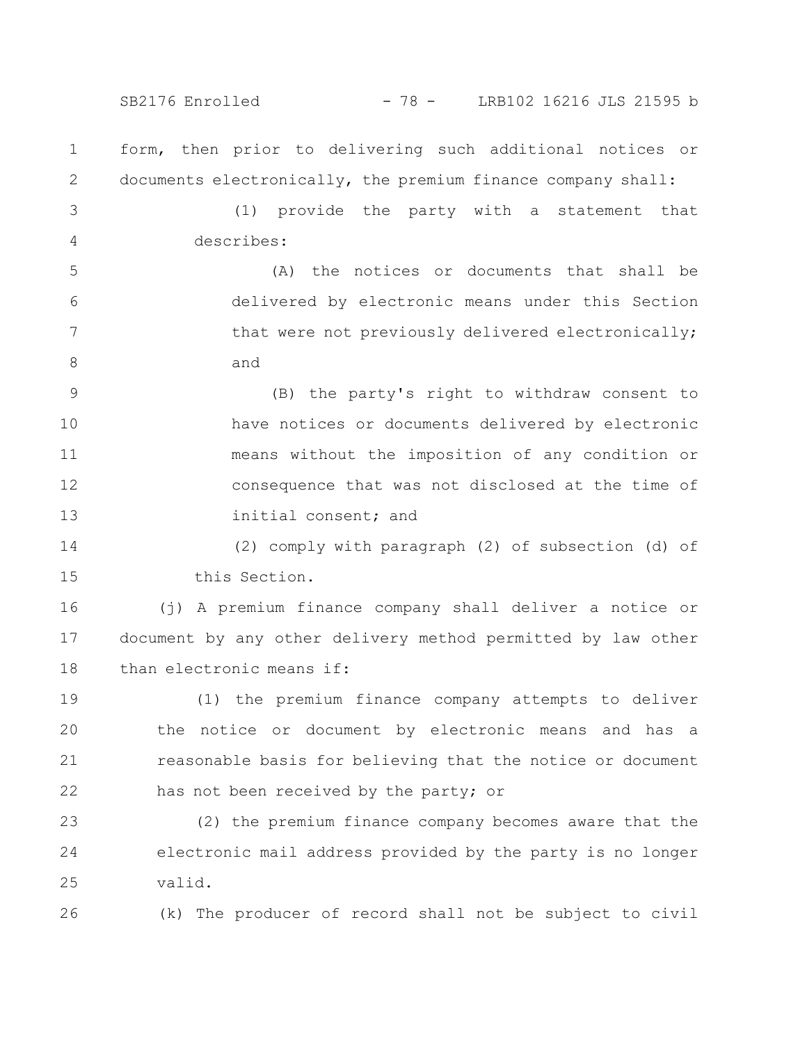SB2176 Enrolled - 78 - LRB102 16216 JLS 21595 b

form, then prior to delivering such additional notices or documents electronically, the premium finance company shall: 1 2

(1) provide the party with a statement that describes: 3 4

(A) the notices or documents that shall be delivered by electronic means under this Section that were not previously delivered electronically; and 5 6 7 8

(B) the party's right to withdraw consent to have notices or documents delivered by electronic means without the imposition of any condition or consequence that was not disclosed at the time of initial consent; and 9 10 11 12 13

(2) comply with paragraph (2) of subsection (d) of this Section. 14 15

(j) A premium finance company shall deliver a notice or document by any other delivery method permitted by law other than electronic means if: 16 17 18

(1) the premium finance company attempts to deliver the notice or document by electronic means and has a reasonable basis for believing that the notice or document has not been received by the party; or 19 20 21 22

(2) the premium finance company becomes aware that the electronic mail address provided by the party is no longer valid. 23 24 25

(k) The producer of record shall not be subject to civil 26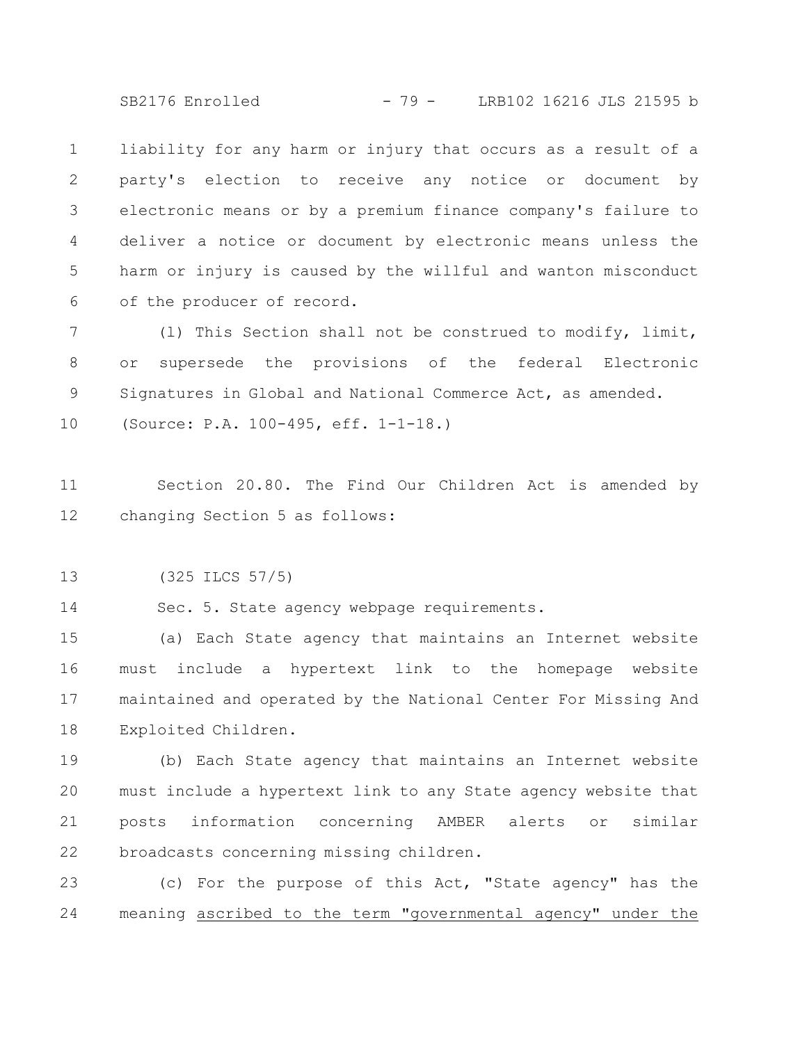SB2176 Enrolled - 79 - LRB102 16216 JLS 21595 b

liability for any harm or injury that occurs as a result of a party's election to receive any notice or document by electronic means or by a premium finance company's failure to deliver a notice or document by electronic means unless the harm or injury is caused by the willful and wanton misconduct of the producer of record. 1 2 3 4 5 6

(l) This Section shall not be construed to modify, limit, or supersede the provisions of the federal Electronic Signatures in Global and National Commerce Act, as amended. (Source: P.A. 100-495, eff. 1-1-18.) 7 8 9 10

Section 20.80. The Find Our Children Act is amended by changing Section 5 as follows: 11 12

(325 ILCS 57/5) 13

Sec. 5. State agency webpage requirements. 14

(a) Each State agency that maintains an Internet website must include a hypertext link to the homepage website maintained and operated by the National Center For Missing And Exploited Children. 15 16 17 18

(b) Each State agency that maintains an Internet website must include a hypertext link to any State agency website that posts information concerning AMBER alerts or similar broadcasts concerning missing children. 19 20 21 22

(c) For the purpose of this Act, "State agency" has the meaning ascribed to the term "governmental agency" under the 23 24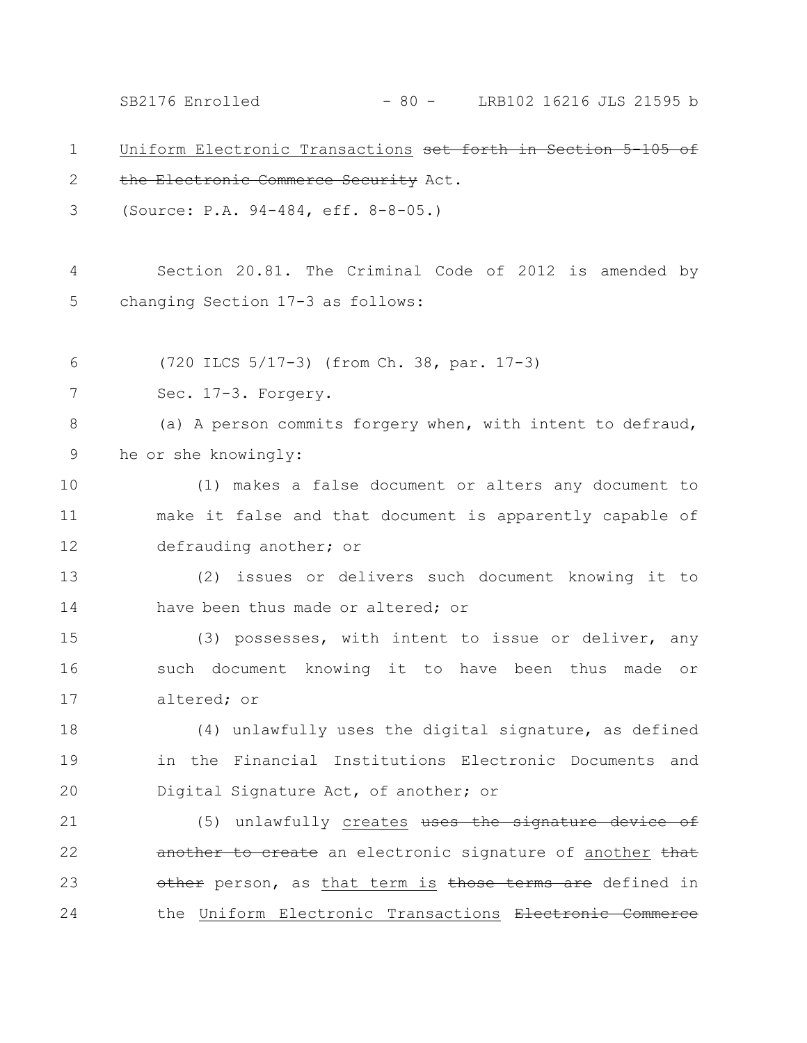SB2176 Enrolled - 80 - LRB102 16216 JLS 21595 b

| 1     | Uniform Electronic Transactions set forth in Section 5-105 of |
|-------|---------------------------------------------------------------|
| 2     | the Electronic Commerce Security Act.                         |
| 3     | (Source: P.A. 94-484, eff. 8-8-05.)                           |
|       |                                                               |
| 4     | Section 20.81. The Criminal Code of 2012 is amended by        |
| 5     | changing Section 17-3 as follows:                             |
|       |                                                               |
| 6     | (720 ILCS 5/17-3) (from Ch. 38, par. 17-3)                    |
| 7     | Sec. 17-3. Forgery.                                           |
| $8\,$ | (a) A person commits forgery when, with intent to defraud,    |
| 9     | he or she knowingly:                                          |
| 10    | (1) makes a false document or alters any document to          |
| 11    | make it false and that document is apparently capable of      |
| 12    | defrauding another; or                                        |
| 13    | (2) issues or delivers such document knowing it to            |
| 14    | have been thus made or altered; or                            |
| 15    | (3) possesses, with intent to issue or deliver, any           |
| 16    | such document knowing it to have been thus made or            |
| 17    | altered; or                                                   |
| 18    | (4) unlawfully uses the digital signature, as defined         |
| 19    | in the Financial Institutions Electronic Documents and        |
| 20    | Digital Signature Act, of another; or                         |
| 21    | (5) unlawfully creates uses the signature device of           |
| 22    | another to create an electronic signature of another that     |
| 23    | other person, as that term is those terms are defined in      |
| 24    | the Uniform Electronic Transactions Electronic Commerce       |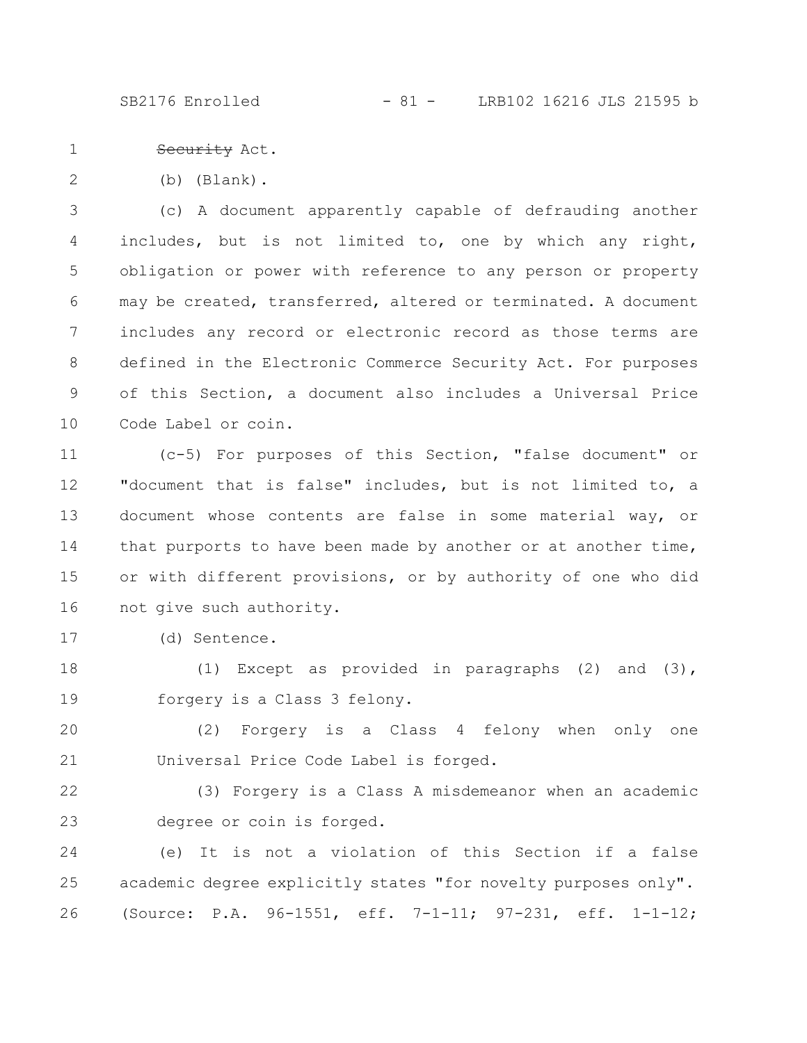SB2176 Enrolled - 81 - LRB102 16216 JLS 21595 b

Security Act. 1

(b) (Blank). 2

(c) A document apparently capable of defrauding another includes, but is not limited to, one by which any right, obligation or power with reference to any person or property may be created, transferred, altered or terminated. A document includes any record or electronic record as those terms are defined in the Electronic Commerce Security Act. For purposes of this Section, a document also includes a Universal Price Code Label or coin. 3 4 5 6 7 8 9 10

(c-5) For purposes of this Section, "false document" or "document that is false" includes, but is not limited to, a document whose contents are false in some material way, or that purports to have been made by another or at another time, or with different provisions, or by authority of one who did not give such authority. 11 12 13 14 15 16

(d) Sentence. 17

(1) Except as provided in paragraphs (2) and (3), forgery is a Class 3 felony. 18 19

(2) Forgery is a Class 4 felony when only one Universal Price Code Label is forged. 20 21

(3) Forgery is a Class A misdemeanor when an academic degree or coin is forged. 22 23

(e) It is not a violation of this Section if a false academic degree explicitly states "for novelty purposes only". (Source: P.A. 96-1551, eff. 7-1-11; 97-231, eff. 1-1-12; 24 25 26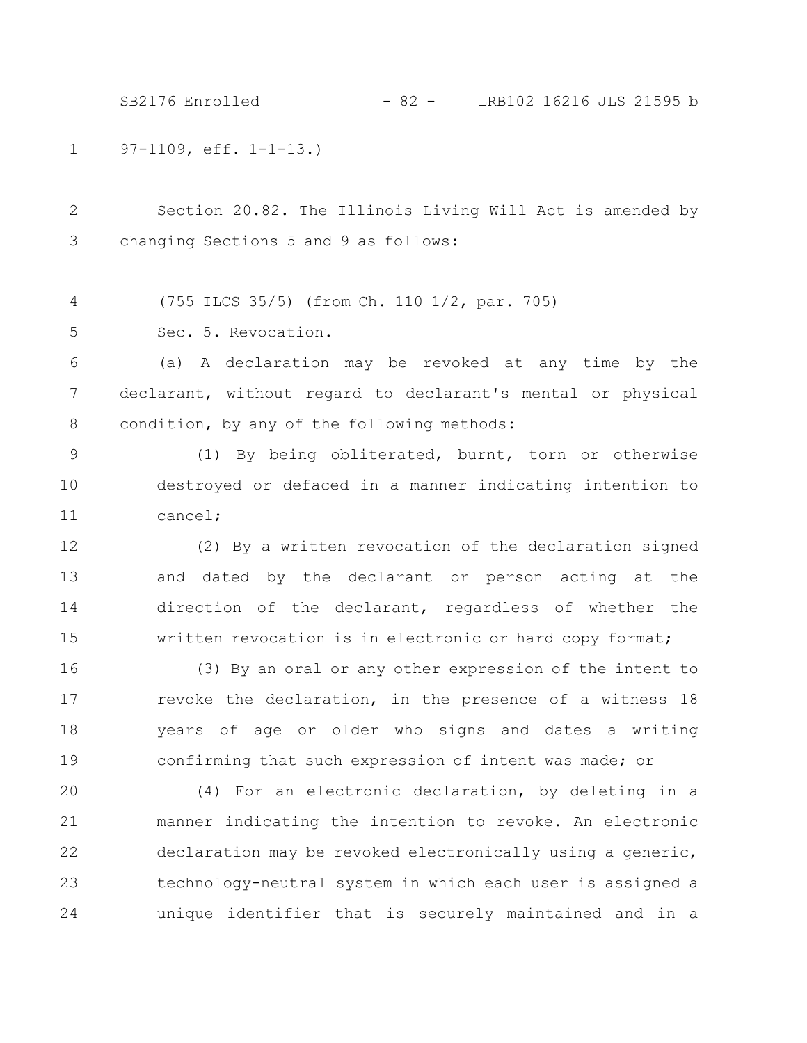97-1109, eff. 1-1-13.) 1 SB2176 Enrolled - 82 - LRB102 16216 JLS 21595 b

Section 20.82. The Illinois Living Will Act is amended by changing Sections 5 and 9 as follows: 2 3

(755 ILCS 35/5) (from Ch. 110 1/2, par. 705) 4

Sec. 5. Revocation. 5

(a) A declaration may be revoked at any time by the declarant, without regard to declarant's mental or physical condition, by any of the following methods: 6 7 8

(1) By being obliterated, burnt, torn or otherwise destroyed or defaced in a manner indicating intention to cancel; 9 10 11

(2) By a written revocation of the declaration signed and dated by the declarant or person acting at the direction of the declarant, regardless of whether the written revocation is in electronic or hard copy format; 12 13 14 15

(3) By an oral or any other expression of the intent to revoke the declaration, in the presence of a witness 18 years of age or older who signs and dates a writing confirming that such expression of intent was made; or 16 17 18 19

(4) For an electronic declaration, by deleting in a manner indicating the intention to revoke. An electronic declaration may be revoked electronically using a generic, technology-neutral system in which each user is assigned a unique identifier that is securely maintained and in a 20 21 22 23 24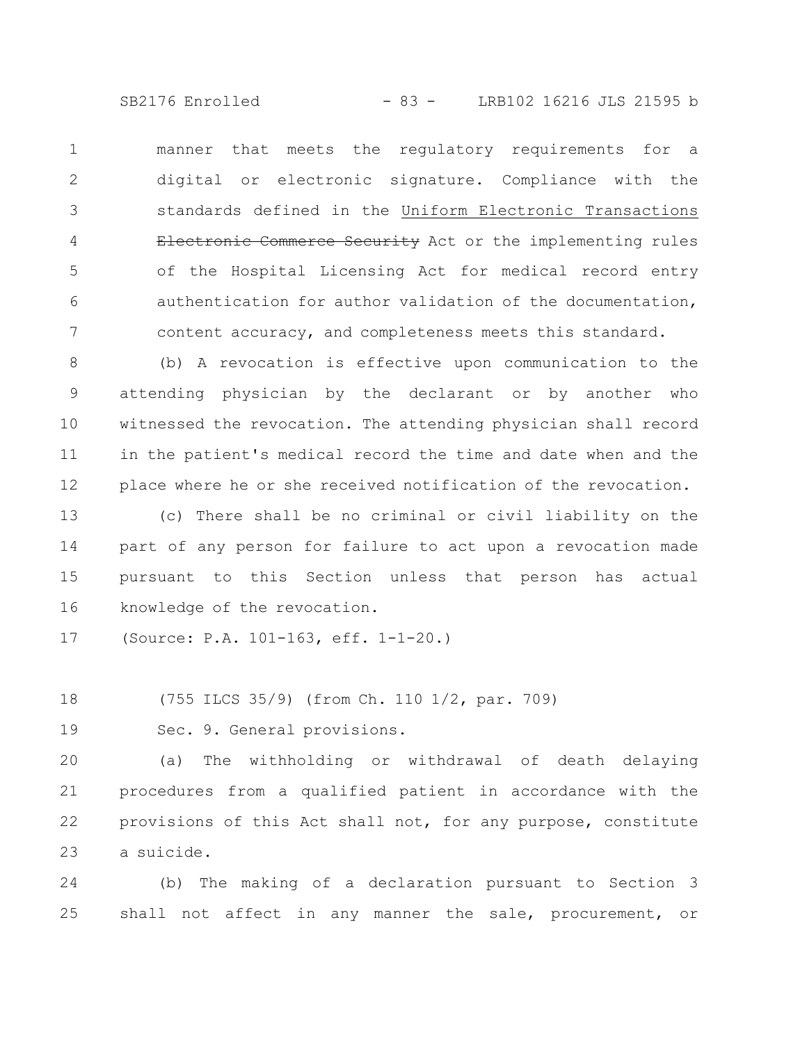SB2176 Enrolled - 83 - LRB102 16216 JLS 21595 b

manner that meets the regulatory requirements for a digital or electronic signature. Compliance with the standards defined in the Uniform Electronic Transactions Electronic Commerce Security Act or the implementing rules of the Hospital Licensing Act for medical record entry authentication for author validation of the documentation, content accuracy, and completeness meets this standard. 1 2 3 4 5 6 7

(b) A revocation is effective upon communication to the attending physician by the declarant or by another who witnessed the revocation. The attending physician shall record in the patient's medical record the time and date when and the place where he or she received notification of the revocation. 8 9 10 11 12

(c) There shall be no criminal or civil liability on the part of any person for failure to act upon a revocation made pursuant to this Section unless that person has actual knowledge of the revocation. 13 14 15 16

(Source: P.A. 101-163, eff. 1-1-20.) 17

(755 ILCS 35/9) (from Ch. 110 1/2, par. 709) 18

Sec. 9. General provisions. 19

(a) The withholding or withdrawal of death delaying procedures from a qualified patient in accordance with the provisions of this Act shall not, for any purpose, constitute a suicide. 20 21 22 23

(b) The making of a declaration pursuant to Section 3 shall not affect in any manner the sale, procurement, or 24 25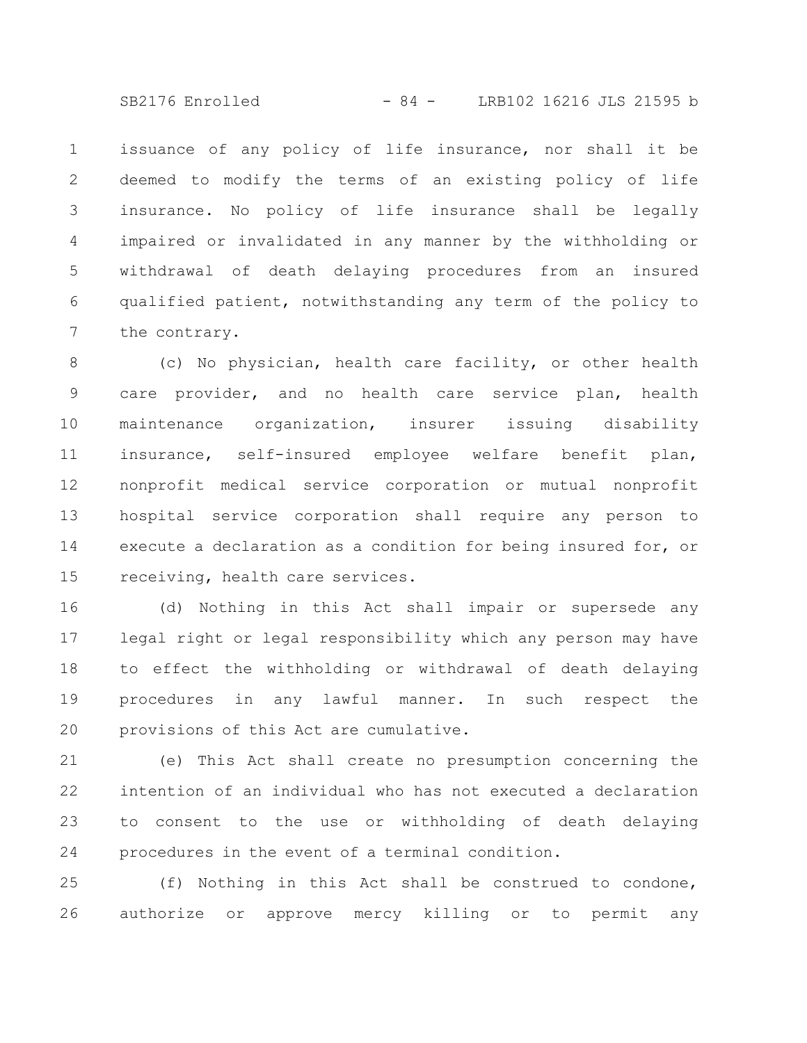SB2176 Enrolled - 84 - LRB102 16216 JLS 21595 b

issuance of any policy of life insurance, nor shall it be deemed to modify the terms of an existing policy of life insurance. No policy of life insurance shall be legally impaired or invalidated in any manner by the withholding or withdrawal of death delaying procedures from an insured qualified patient, notwithstanding any term of the policy to the contrary. 1 2 3 4 5 6 7

(c) No physician, health care facility, or other health care provider, and no health care service plan, health maintenance organization, insurer issuing disability insurance, self-insured employee welfare benefit plan, nonprofit medical service corporation or mutual nonprofit hospital service corporation shall require any person to execute a declaration as a condition for being insured for, or receiving, health care services. 8 9 10 11 12 13 14 15

(d) Nothing in this Act shall impair or supersede any legal right or legal responsibility which any person may have to effect the withholding or withdrawal of death delaying procedures in any lawful manner. In such respect the provisions of this Act are cumulative. 16 17 18 19 20

(e) This Act shall create no presumption concerning the intention of an individual who has not executed a declaration to consent to the use or withholding of death delaying procedures in the event of a terminal condition. 21 22 23 24

(f) Nothing in this Act shall be construed to condone, authorize or approve mercy killing or to permit any 25 26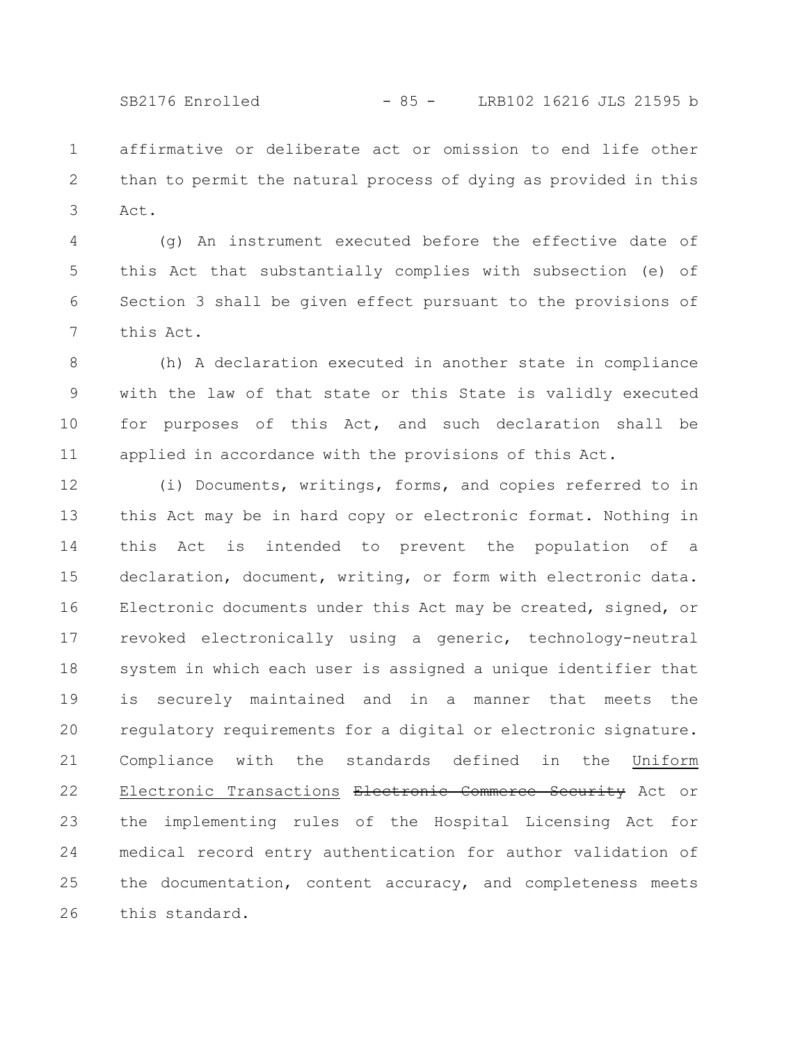affirmative or deliberate act or omission to end life other than to permit the natural process of dying as provided in this Act. 1 2 3

(g) An instrument executed before the effective date of this Act that substantially complies with subsection (e) of Section 3 shall be given effect pursuant to the provisions of this Act. 4 5 6 7

(h) A declaration executed in another state in compliance with the law of that state or this State is validly executed for purposes of this Act, and such declaration shall be applied in accordance with the provisions of this Act. 8 9 10 11

(i) Documents, writings, forms, and copies referred to in this Act may be in hard copy or electronic format. Nothing in this Act is intended to prevent the population of a declaration, document, writing, or form with electronic data. Electronic documents under this Act may be created, signed, or revoked electronically using a generic, technology-neutral system in which each user is assigned a unique identifier that is securely maintained and in a manner that meets the regulatory requirements for a digital or electronic signature. Compliance with the standards defined in the Uniform Electronic Transactions Electronic Commerce Security Act or the implementing rules of the Hospital Licensing Act for medical record entry authentication for author validation of the documentation, content accuracy, and completeness meets this standard. 12 13 14 15 16 17 18 19 20 21 22 23 24 25 26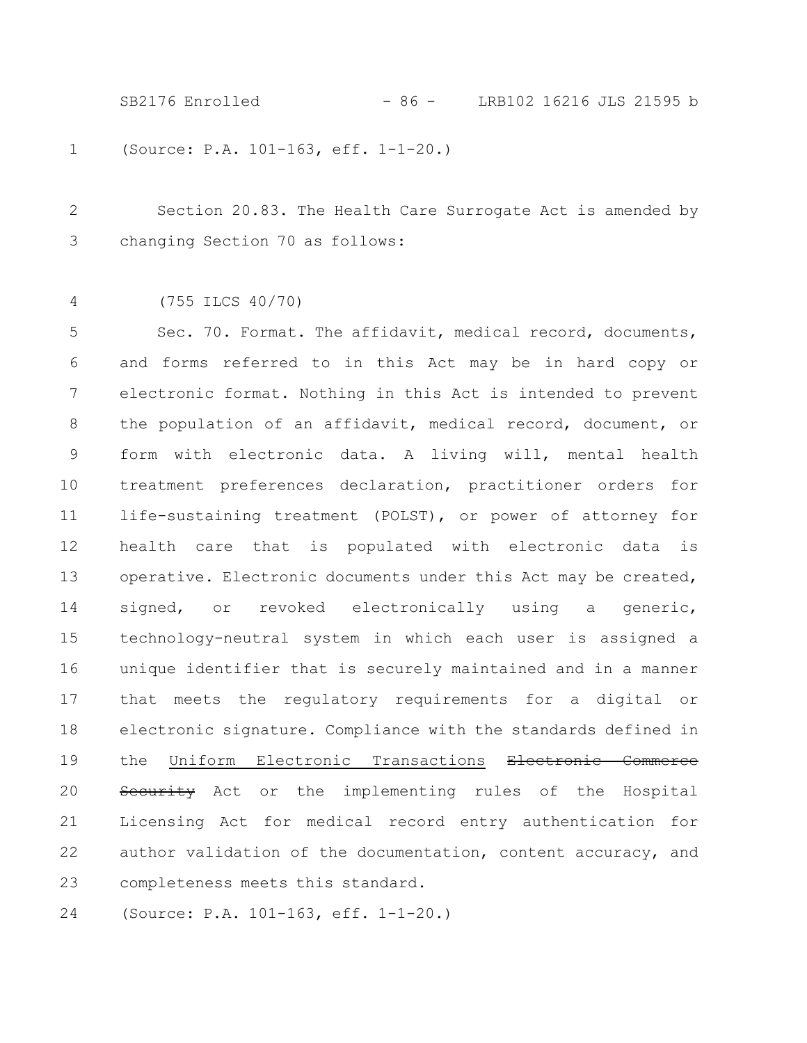SB2176 Enrolled - 86 - LRB102 16216 JLS 21595 b

(Source: P.A. 101-163, eff. 1-1-20.) 1

Section 20.83. The Health Care Surrogate Act is amended by changing Section 70 as follows: 2 3

(755 ILCS 40/70) 4

Sec. 70. Format. The affidavit, medical record, documents, and forms referred to in this Act may be in hard copy or electronic format. Nothing in this Act is intended to prevent the population of an affidavit, medical record, document, or form with electronic data. A living will, mental health treatment preferences declaration, practitioner orders for life-sustaining treatment (POLST), or power of attorney for health care that is populated with electronic data is operative. Electronic documents under this Act may be created, signed, or revoked electronically using a generic, technology-neutral system in which each user is assigned a unique identifier that is securely maintained and in a manner that meets the regulatory requirements for a digital or electronic signature. Compliance with the standards defined in the Uniform Electronic Transactions Electronic Commerce Security Act or the implementing rules of the Hospital Licensing Act for medical record entry authentication for author validation of the documentation, content accuracy, and completeness meets this standard. 5 6 7 8 9 10 11 12 13 14 15 16 17 18 19 20 21 22 23

(Source: P.A. 101-163, eff. 1-1-20.) 24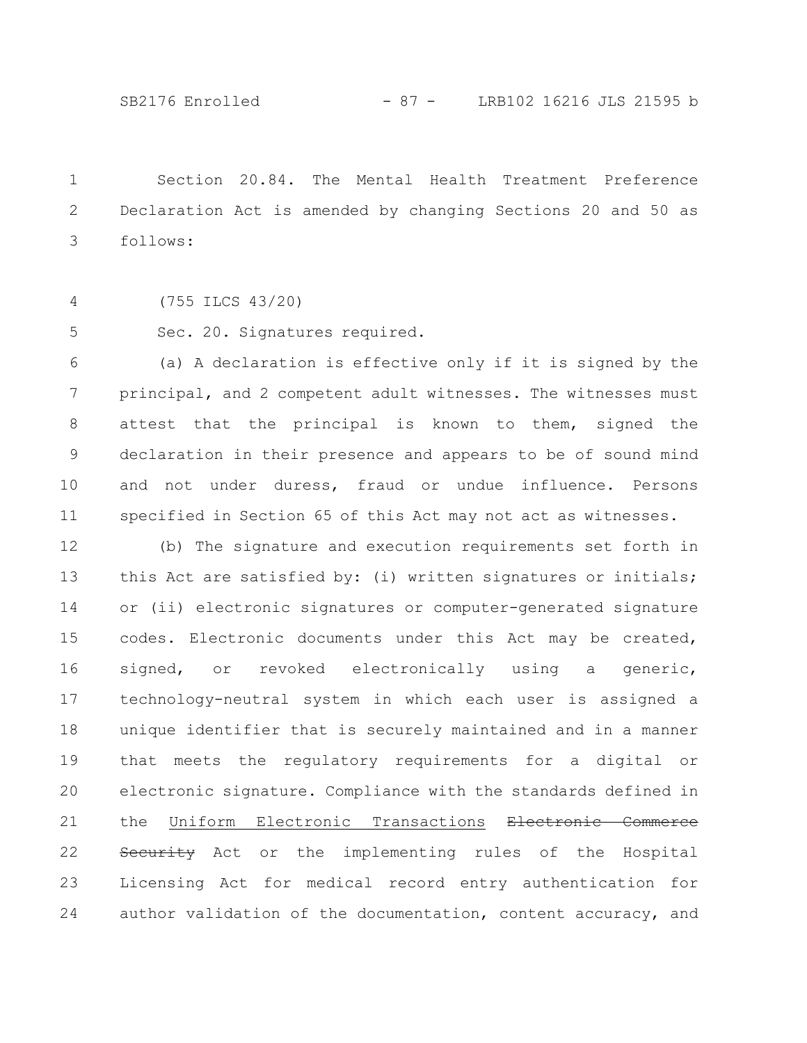Section 20.84. The Mental Health Treatment Preference Declaration Act is amended by changing Sections 20 and 50 as follows: 1 2 3

(755 ILCS 43/20) 4

Sec. 20. Signatures required. 5

(a) A declaration is effective only if it is signed by the principal, and 2 competent adult witnesses. The witnesses must attest that the principal is known to them, signed the declaration in their presence and appears to be of sound mind and not under duress, fraud or undue influence. Persons specified in Section 65 of this Act may not act as witnesses. 6 7 8 9 10 11

(b) The signature and execution requirements set forth in this Act are satisfied by: (i) written signatures or initials; or (ii) electronic signatures or computer-generated signature codes. Electronic documents under this Act may be created, signed, or revoked electronically using a generic, technology-neutral system in which each user is assigned a unique identifier that is securely maintained and in a manner that meets the regulatory requirements for a digital or electronic signature. Compliance with the standards defined in the Uniform Electronic Transactions Electronic Commerce Security Act or the implementing rules of the Hospital Licensing Act for medical record entry authentication for author validation of the documentation, content accuracy, and 12 13 14 15 16 17 18 19 20 21 22 23 24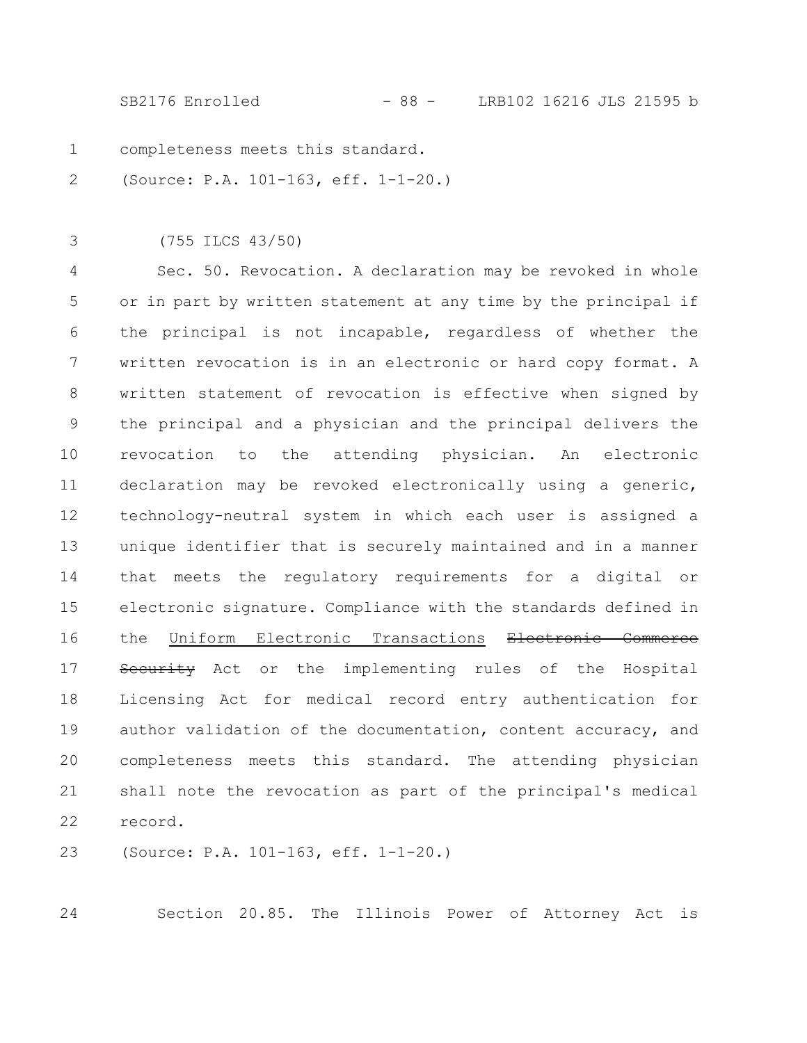SB2176 Enrolled - 88 - LRB102 16216 JLS 21595 b

- completeness meets this standard. 1
- (Source: P.A. 101-163, eff. 1-1-20.) 2
- (755 ILCS 43/50) 3

Sec. 50. Revocation. A declaration may be revoked in whole or in part by written statement at any time by the principal if the principal is not incapable, regardless of whether the written revocation is in an electronic or hard copy format. A written statement of revocation is effective when signed by the principal and a physician and the principal delivers the revocation to the attending physician. An electronic declaration may be revoked electronically using a generic, technology-neutral system in which each user is assigned a unique identifier that is securely maintained and in a manner that meets the regulatory requirements for a digital or electronic signature. Compliance with the standards defined in the Uniform Electronic Transactions Electronic Commerce Security Act or the implementing rules of the Hospital Licensing Act for medical record entry authentication for author validation of the documentation, content accuracy, and completeness meets this standard. The attending physician shall note the revocation as part of the principal's medical record. 4 5 6 7 8 9 10 11 12 13 14 15 16 17 18 19 20 21 22

(Source: P.A. 101-163, eff. 1-1-20.) 23

24

Section 20.85. The Illinois Power of Attorney Act is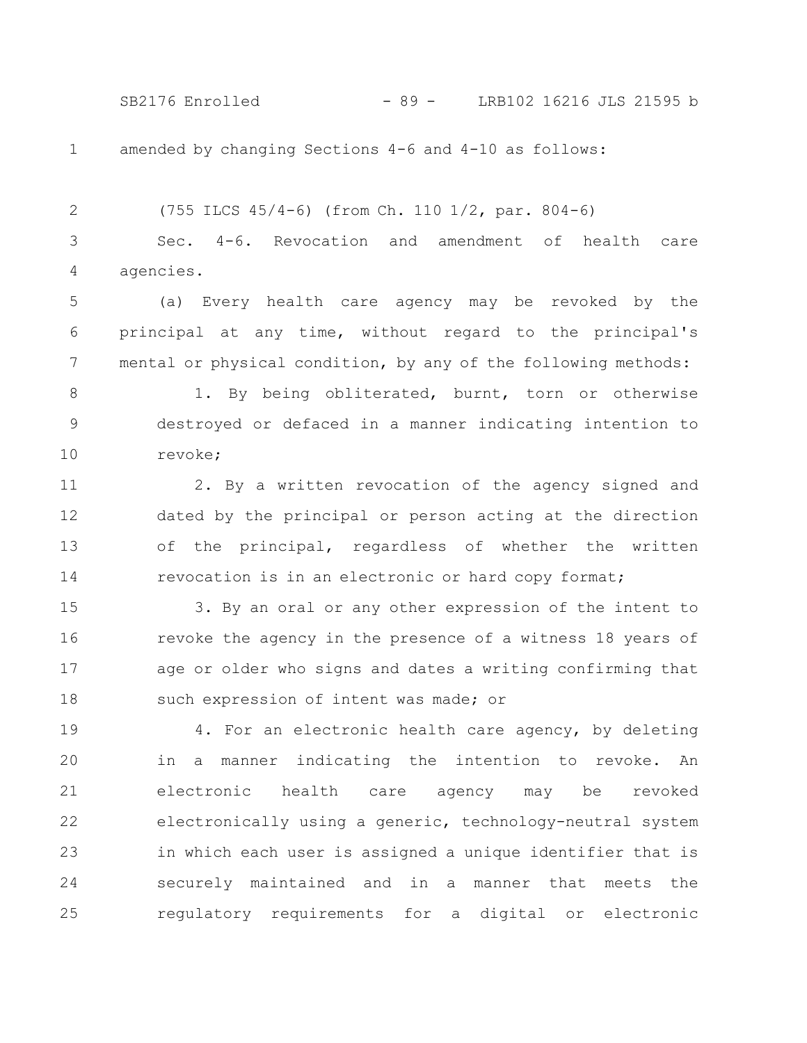SB2176 Enrolled - 89 - LRB102 16216 JLS 21595 b

1

amended by changing Sections 4-6 and 4-10 as follows:

(755 ILCS 45/4-6) (from Ch. 110 1/2, par. 804-6) Sec. 4-6. Revocation and amendment of health care agencies. 2 3 4

(a) Every health care agency may be revoked by the principal at any time, without regard to the principal's mental or physical condition, by any of the following methods: 5 6 7

1. By being obliterated, burnt, torn or otherwise destroyed or defaced in a manner indicating intention to revoke; 8 9 10

2. By a written revocation of the agency signed and dated by the principal or person acting at the direction of the principal, regardless of whether the written revocation is in an electronic or hard copy format; 11 12 13 14

3. By an oral or any other expression of the intent to revoke the agency in the presence of a witness 18 years of age or older who signs and dates a writing confirming that such expression of intent was made; or 15 16 17 18

4. For an electronic health care agency, by deleting in a manner indicating the intention to revoke. An electronic health care agency may be revoked electronically using a generic, technology-neutral system in which each user is assigned a unique identifier that is securely maintained and in a manner that meets the regulatory requirements for a digital or electronic 19 20 21 22 23 24 25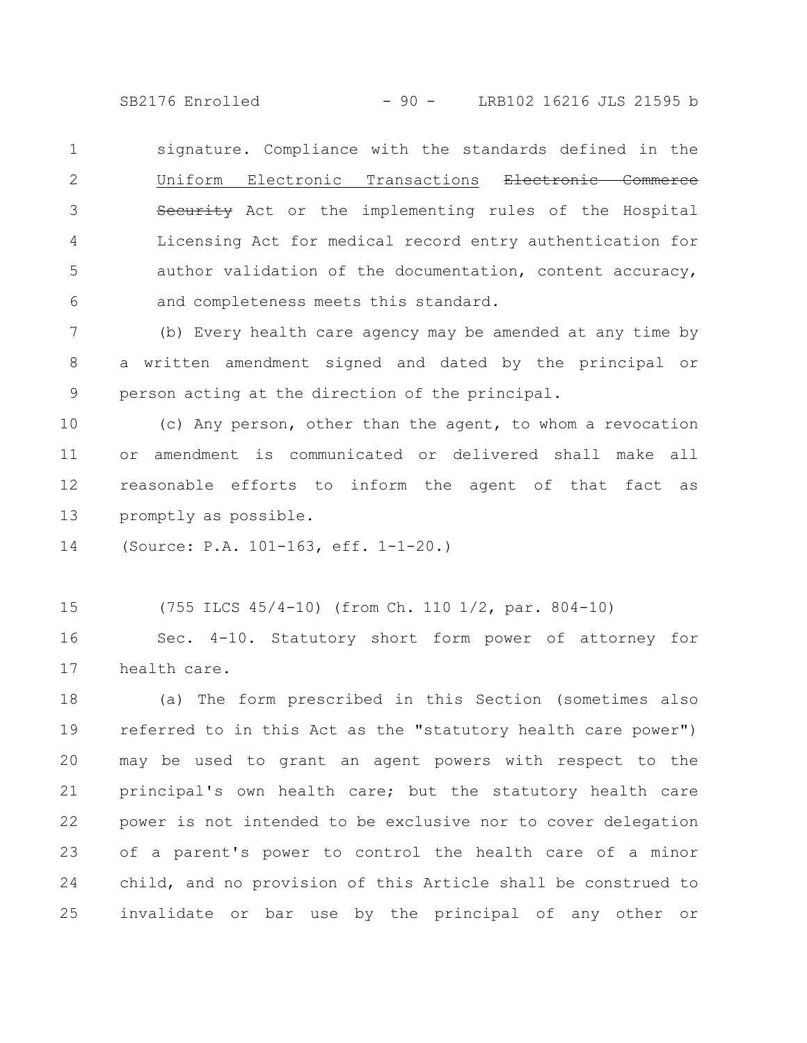SB2176 Enrolled - 90 - LRB102 16216 JLS 21595 b

signature. Compliance with the standards defined in the Uniform Electronic Transactions Electronic Commerce Security Act or the implementing rules of the Hospital Licensing Act for medical record entry authentication for author validation of the documentation, content accuracy, and completeness meets this standard. 1 2 3 4 5 6

(b) Every health care agency may be amended at any time by a written amendment signed and dated by the principal or person acting at the direction of the principal. 7 8 9

(c) Any person, other than the agent, to whom a revocation or amendment is communicated or delivered shall make all reasonable efforts to inform the agent of that fact as promptly as possible. 10 11 12 13

(Source: P.A. 101-163, eff. 1-1-20.) 14

(755 ILCS 45/4-10) (from Ch. 110 1/2, par. 804-10) 15

Sec. 4-10. Statutory short form power of attorney for health care. 16 17

(a) The form prescribed in this Section (sometimes also referred to in this Act as the "statutory health care power") may be used to grant an agent powers with respect to the principal's own health care; but the statutory health care power is not intended to be exclusive nor to cover delegation of a parent's power to control the health care of a minor child, and no provision of this Article shall be construed to invalidate or bar use by the principal of any other or 18 19 20 21 22 23 24 25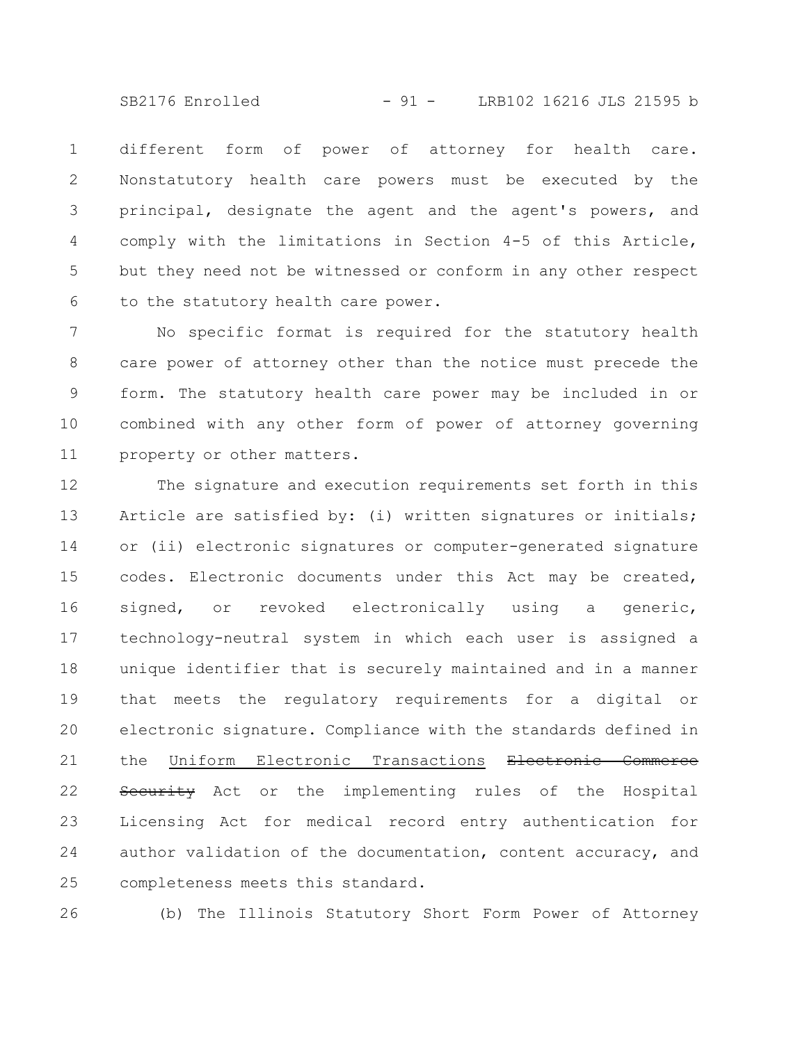SB2176 Enrolled - 91 - LRB102 16216 JLS 21595 b

different form of power of attorney for health care. Nonstatutory health care powers must be executed by the principal, designate the agent and the agent's powers, and comply with the limitations in Section 4-5 of this Article, but they need not be witnessed or conform in any other respect to the statutory health care power. 1 2 3 4 5 6

No specific format is required for the statutory health care power of attorney other than the notice must precede the form. The statutory health care power may be included in or combined with any other form of power of attorney governing property or other matters. 7 8 9 10 11

The signature and execution requirements set forth in this Article are satisfied by: (i) written signatures or initials; or (ii) electronic signatures or computer-generated signature codes. Electronic documents under this Act may be created, signed, or revoked electronically using a generic, technology-neutral system in which each user is assigned a unique identifier that is securely maintained and in a manner that meets the regulatory requirements for a digital or electronic signature. Compliance with the standards defined in the Uniform Electronic Transactions Electronic Commerce Security Act or the implementing rules of the Hospital Licensing Act for medical record entry authentication for author validation of the documentation, content accuracy, and completeness meets this standard. 12 13 14 15 16 17 18 19 20 21 22 23 24 25

26

(b) The Illinois Statutory Short Form Power of Attorney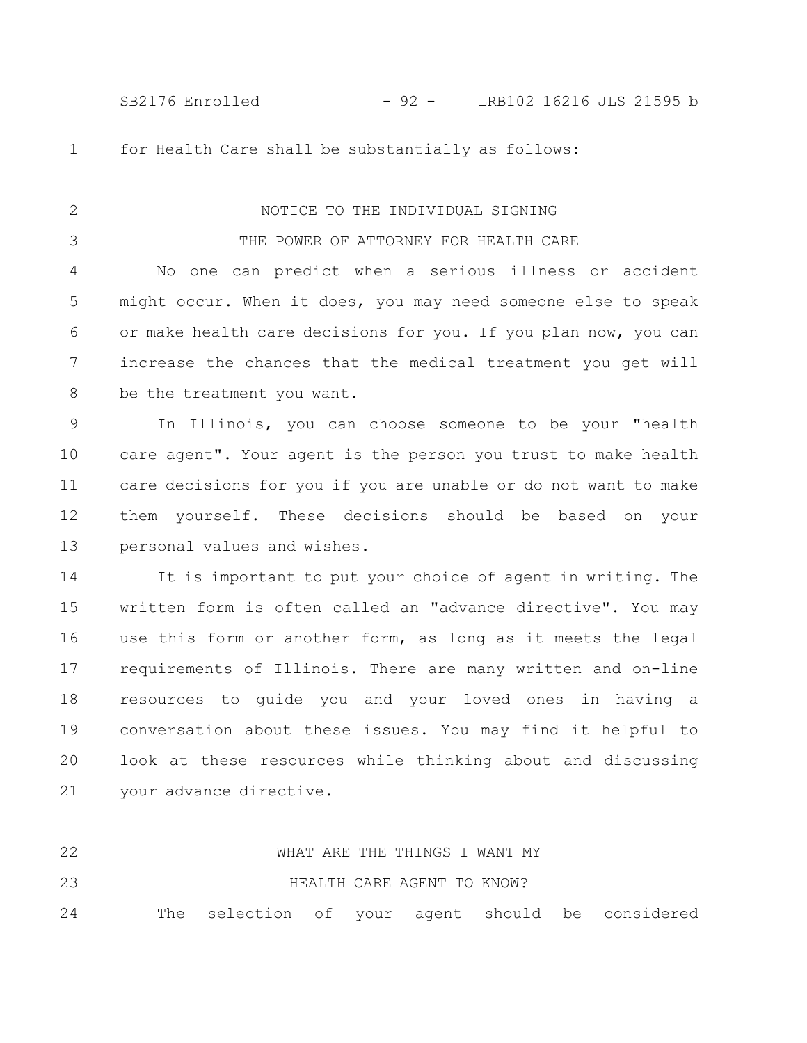SB2176 Enrolled - 92 - LRB102 16216 JLS 21595 b

1

2

3

for Health Care shall be substantially as follows:

# NOTICE TO THE INDIVIDUAL SIGNING

### THE POWER OF ATTORNEY FOR HEALTH CARE

No one can predict when a serious illness or accident might occur. When it does, you may need someone else to speak or make health care decisions for you. If you plan now, you can increase the chances that the medical treatment you get will be the treatment you want. 4 5 6 7 8

In Illinois, you can choose someone to be your "health care agent". Your agent is the person you trust to make health care decisions for you if you are unable or do not want to make them yourself. These decisions should be based on your personal values and wishes. 9 10 11 12 13

It is important to put your choice of agent in writing. The written form is often called an "advance directive". You may use this form or another form, as long as it meets the legal requirements of Illinois. There are many written and on-line resources to guide you and your loved ones in having a conversation about these issues. You may find it helpful to look at these resources while thinking about and discussing your advance directive. 14 15 16 17 18 19 20 21

| 22 |  |  |                            | WHAT ARE THE THINGS I WANT MY |                                                  |
|----|--|--|----------------------------|-------------------------------|--------------------------------------------------|
| 23 |  |  | HEALTH CARE AGENT TO KNOW? |                               |                                                  |
| 24 |  |  |                            |                               | The selection of your agent should be considered |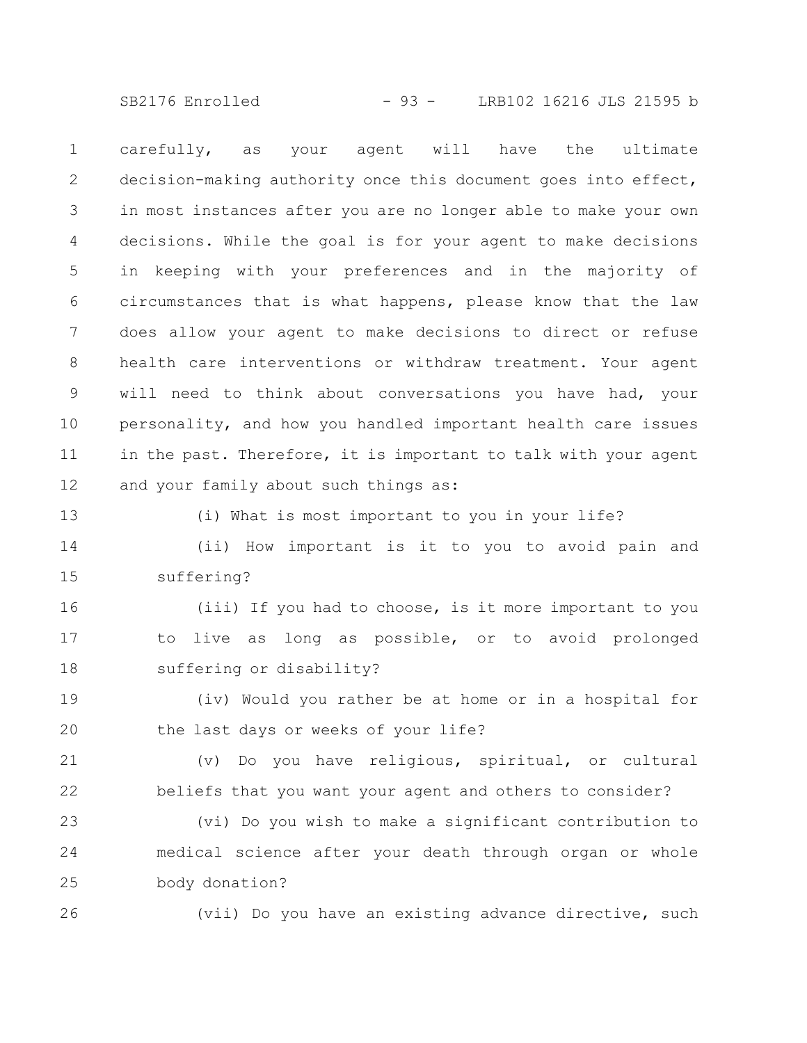SB2176 Enrolled - 93 - LRB102 16216 JLS 21595 b

carefully, as your agent will have the ultimate decision-making authority once this document goes into effect, in most instances after you are no longer able to make your own decisions. While the goal is for your agent to make decisions in keeping with your preferences and in the majority of circumstances that is what happens, please know that the law does allow your agent to make decisions to direct or refuse health care interventions or withdraw treatment. Your agent will need to think about conversations you have had, your personality, and how you handled important health care issues in the past. Therefore, it is important to talk with your agent and your family about such things as: 1 2 3 4 5 6 7 8 9 10 11 12

13

26

(i) What is most important to you in your life?

(ii) How important is it to you to avoid pain and suffering? 14 15

(iii) If you had to choose, is it more important to you to live as long as possible, or to avoid prolonged suffering or disability? 16 17 18

(iv) Would you rather be at home or in a hospital for the last days or weeks of your life? 19 20

(v) Do you have religious, spiritual, or cultural beliefs that you want your agent and others to consider? 21 22

(vi) Do you wish to make a significant contribution to medical science after your death through organ or whole body donation? 23 24 25

(vii) Do you have an existing advance directive, such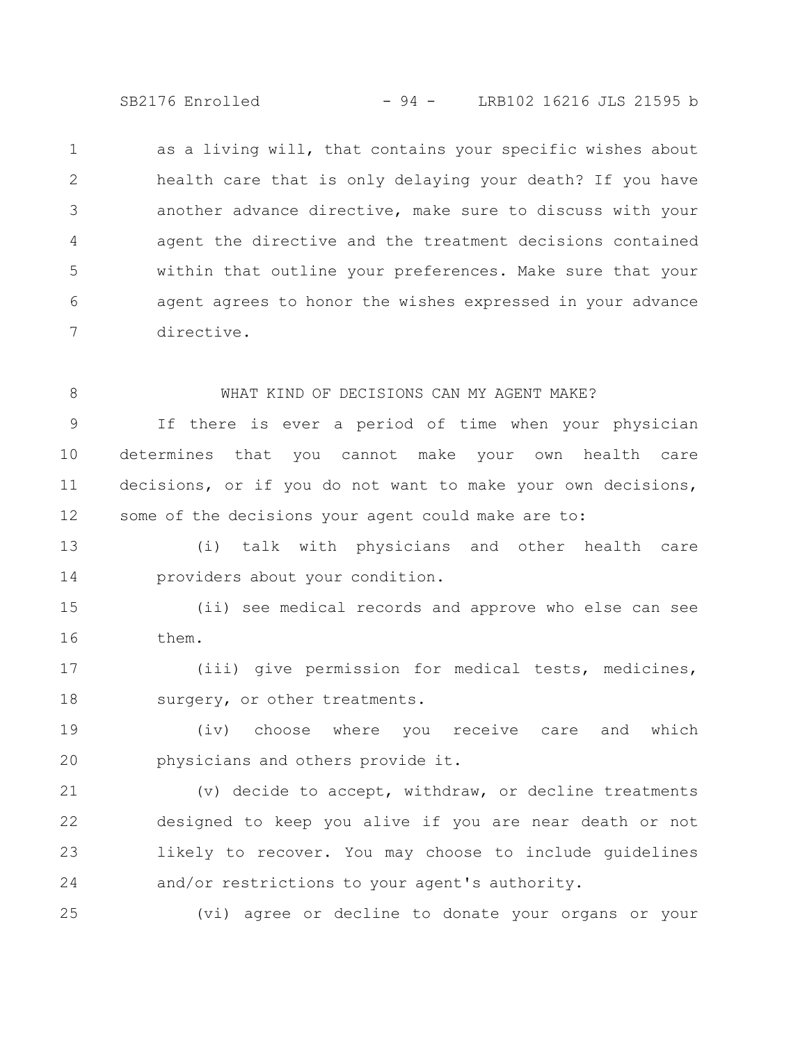SB2176 Enrolled - 94 - LRB102 16216 JLS 21595 b

as a living will, that contains your specific wishes about health care that is only delaying your death? If you have another advance directive, make sure to discuss with your agent the directive and the treatment decisions contained within that outline your preferences. Make sure that your agent agrees to honor the wishes expressed in your advance directive. 1 2 3 4 5 6 7

8

### WHAT KIND OF DECISIONS CAN MY AGENT MAKE?

If there is ever a period of time when your physician determines that you cannot make your own health care decisions, or if you do not want to make your own decisions, some of the decisions your agent could make are to: 9 10 11 12

(i) talk with physicians and other health care providers about your condition. 13 14

(ii) see medical records and approve who else can see them. 15 16

(iii) give permission for medical tests, medicines, surgery, or other treatments. 17 18

(iv) choose where you receive care and which physicians and others provide it. 19 20

(v) decide to accept, withdraw, or decline treatments designed to keep you alive if you are near death or not likely to recover. You may choose to include guidelines and/or restrictions to your agent's authority. 21 22 23 24

25

(vi) agree or decline to donate your organs or your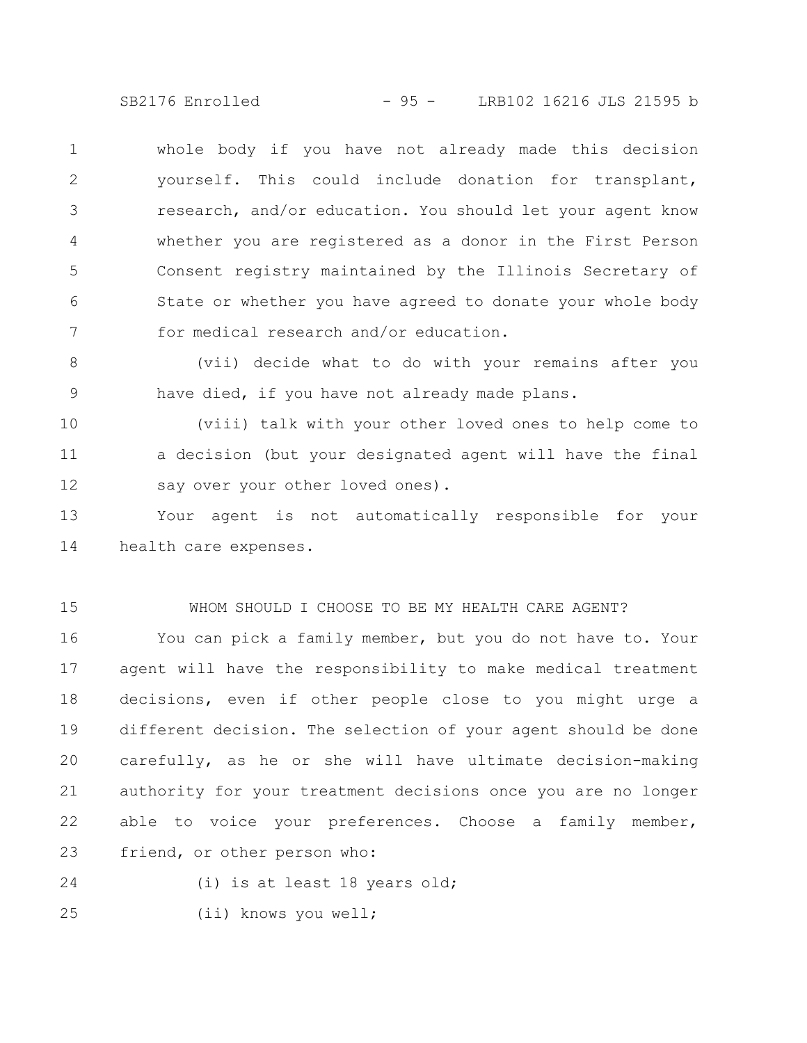SB2176 Enrolled - 95 - LRB102 16216 JLS 21595 b

whole body if you have not already made this decision yourself. This could include donation for transplant, research, and/or education. You should let your agent know whether you are registered as a donor in the First Person Consent registry maintained by the Illinois Secretary of State or whether you have agreed to donate your whole body for medical research and/or education. 1 2 3 4 5 6 7

(vii) decide what to do with your remains after you have died, if you have not already made plans. 8 9

(viii) talk with your other loved ones to help come to a decision (but your designated agent will have the final say over your other loved ones). 10 11 12

Your agent is not automatically responsible for your health care expenses. 13 14

15

#### WHOM SHOULD I CHOOSE TO BE MY HEALTH CARE AGENT?

You can pick a family member, but you do not have to. Your agent will have the responsibility to make medical treatment decisions, even if other people close to you might urge a different decision. The selection of your agent should be done carefully, as he or she will have ultimate decision-making authority for your treatment decisions once you are no longer able to voice your preferences. Choose a family member, friend, or other person who: 16 17 18 19 20 21 22 23

24

(i) is at least 18 years old;

(ii) knows you well; 25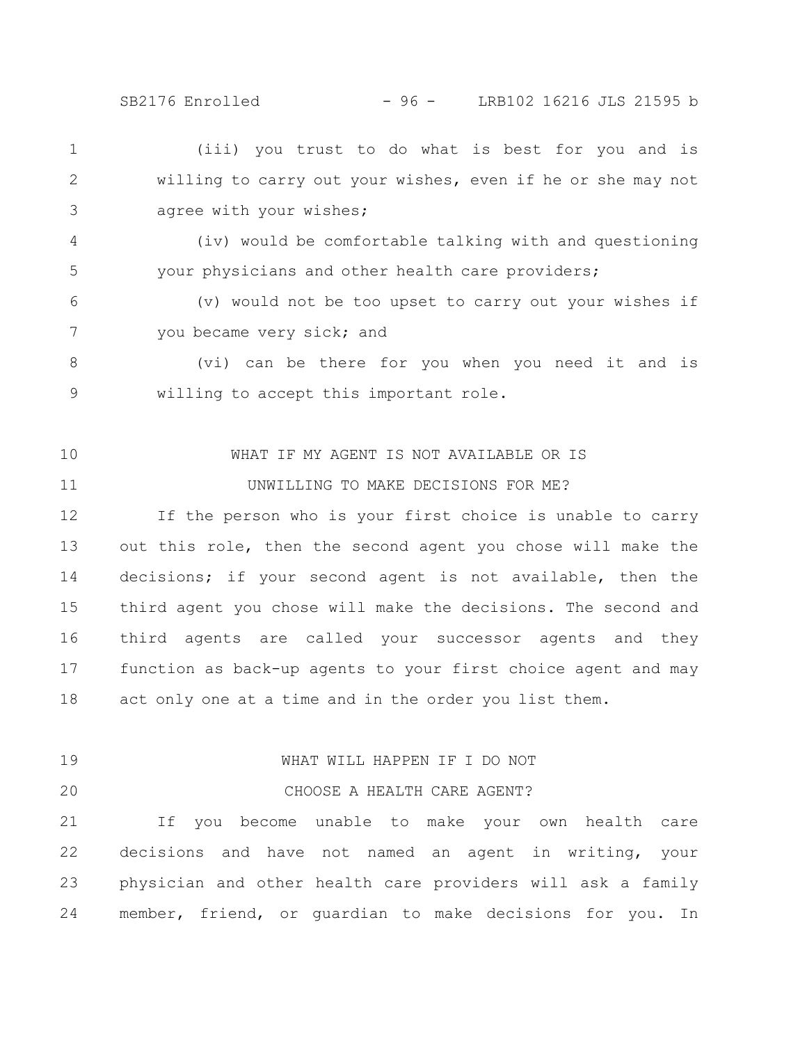SB2176 Enrolled - 96 - LRB102 16216 JLS 21595 b

(iii) you trust to do what is best for you and is willing to carry out your wishes, even if he or she may not agree with your wishes; 1 2 3

(iv) would be comfortable talking with and questioning your physicians and other health care providers; 4 5

(v) would not be too upset to carry out your wishes if you became very sick; and 6 7

(vi) can be there for you when you need it and is willing to accept this important role. 8 9

10

11

# WHAT IF MY AGENT IS NOT AVAILABLE OR IS

## UNWILLING TO MAKE DECISIONS FOR ME?

If the person who is your first choice is unable to carry out this role, then the second agent you chose will make the decisions; if your second agent is not available, then the third agent you chose will make the decisions. The second and third agents are called your successor agents and they function as back-up agents to your first choice agent and may act only one at a time and in the order you list them. 12 13 14 15 16 17 18

19

# WHAT WILL HAPPEN IF I DO NOT

CHOOSE A HEALTH CARE AGENT? 20

If you become unable to make your own health care decisions and have not named an agent in writing, your physician and other health care providers will ask a family member, friend, or guardian to make decisions for you. In 21 22 23 24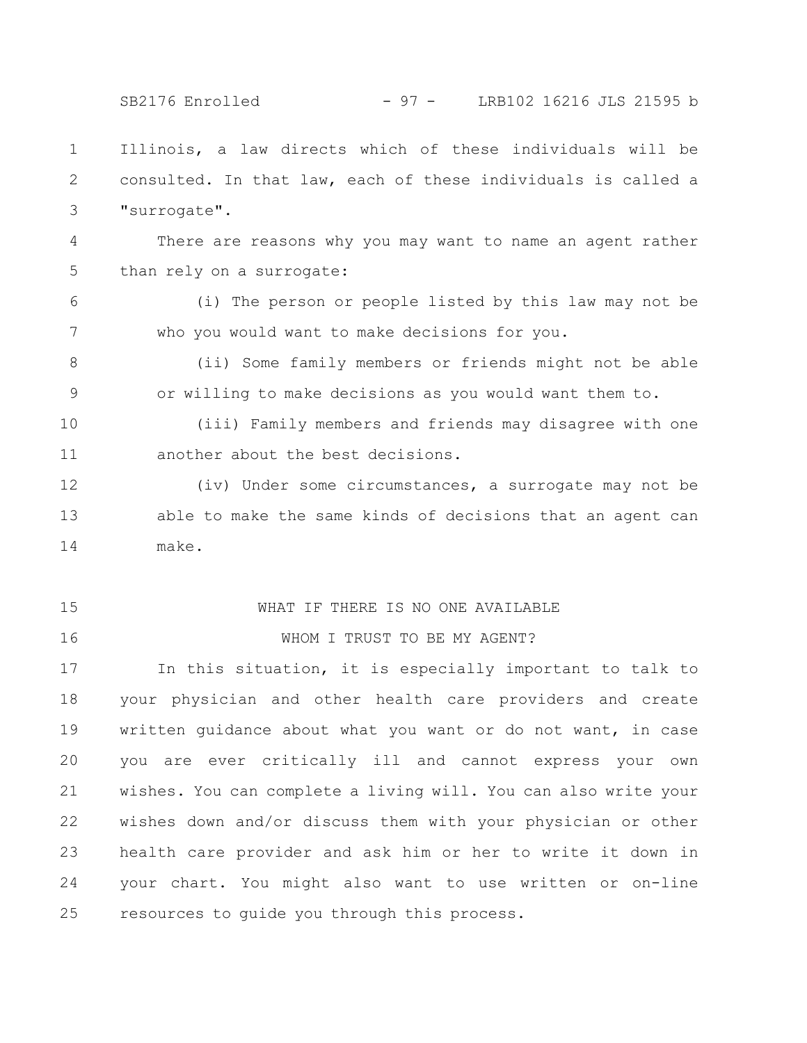SB2176 Enrolled - 97 - LRB102 16216 JLS 21595 b

Illinois, a law directs which of these individuals will be consulted. In that law, each of these individuals is called a "surrogate". 1 2 3

There are reasons why you may want to name an agent rather than rely on a surrogate: 4 5

(i) The person or people listed by this law may not be who you would want to make decisions for you. 6 7

(ii) Some family members or friends might not be able or willing to make decisions as you would want them to. 8 9

(iii) Family members and friends may disagree with one another about the best decisions. 10 11

(iv) Under some circumstances, a surrogate may not be able to make the same kinds of decisions that an agent can make. 12 13 14

15

16

### WHAT IF THERE IS NO ONE AVAILABLE

## WHOM I TRUST TO BE MY AGENT?

In this situation, it is especially important to talk to your physician and other health care providers and create written guidance about what you want or do not want, in case you are ever critically ill and cannot express your own wishes. You can complete a living will. You can also write your wishes down and/or discuss them with your physician or other health care provider and ask him or her to write it down in your chart. You might also want to use written or on-line resources to guide you through this process. 17 18 19 20 21 22 23 24 25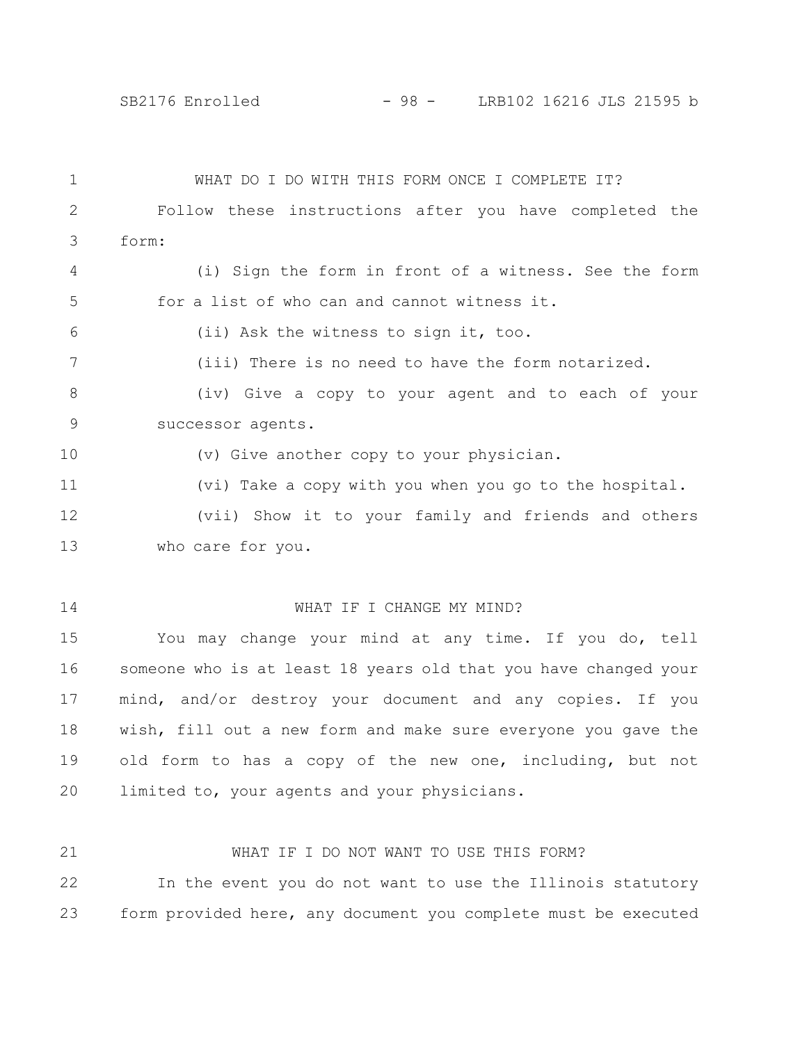21

WHAT DO I DO WITH THIS FORM ONCE I COMPLETE IT? Follow these instructions after you have completed the form: (i) Sign the form in front of a witness. See the form for a list of who can and cannot witness it. (ii) Ask the witness to sign it, too. (iii) There is no need to have the form notarized. (iv) Give a copy to your agent and to each of your successor agents. (v) Give another copy to your physician. (vi) Take a copy with you when you go to the hospital. (vii) Show it to your family and friends and others who care for you. WHAT IF I CHANGE MY MIND? You may change your mind at any time. If you do, tell 1 2 3  $\Delta$ 5 6 7 8 9 10 11 12 13 14 15

someone who is at least 18 years old that you have changed your mind, and/or destroy your document and any copies. If you wish, fill out a new form and make sure everyone you gave the old form to has a copy of the new one, including, but not limited to, your agents and your physicians. 16 17 18 19 20

In the event you do not want to use the Illinois statutory form provided here, any document you complete must be executed 22 23

WHAT IF I DO NOT WANT TO USE THIS FORM?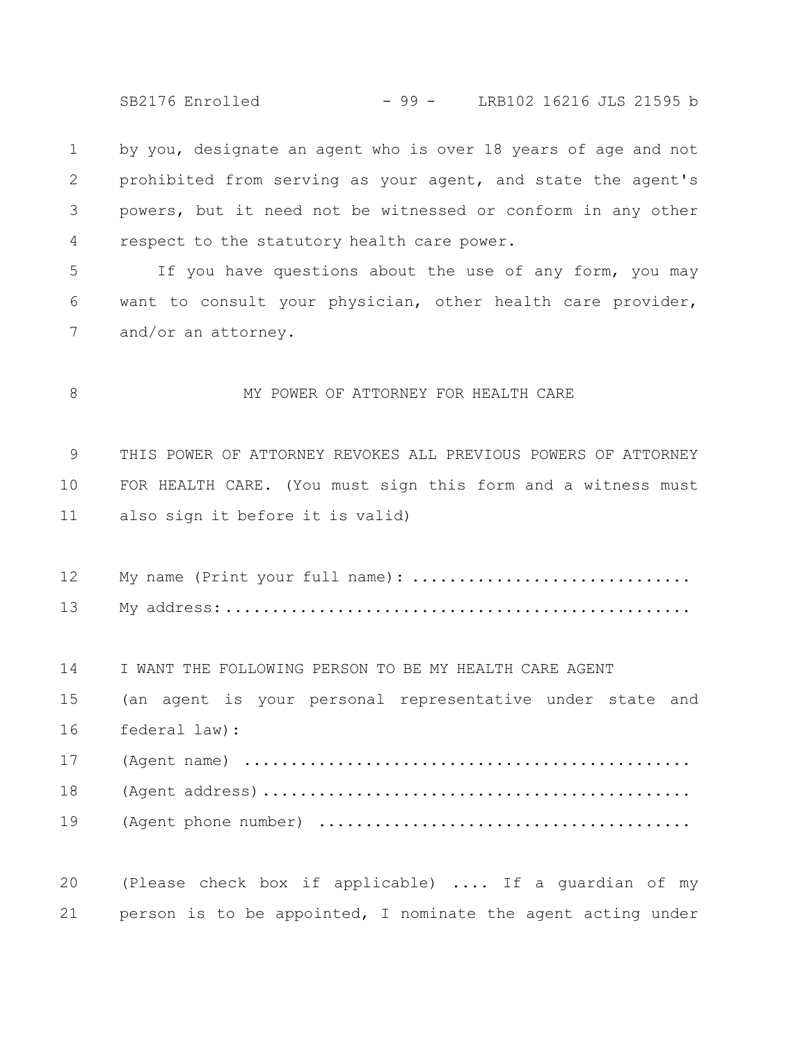SB2176 Enrolled - 99 - LRB102 16216 JLS 21595 b

by you, designate an agent who is over 18 years of age and not prohibited from serving as your agent, and state the agent's powers, but it need not be witnessed or conform in any other respect to the statutory health care power. 1 2 3 4

If you have questions about the use of any form, you may want to consult your physician, other health care provider, and/or an attorney. 5 6 7

MY POWER OF ATTORNEY FOR HEALTH CARE 8

THIS POWER OF ATTORNEY REVOKES ALL PREVIOUS POWERS OF ATTORNEY FOR HEALTH CARE. (You must sign this form and a witness must also sign it before it is valid) 9 10 11

My name (Print your full name): ............................... My address:.................................................. 12 13

I WANT THE FOLLOWING PERSON TO BE MY HEALTH CARE AGENT 14

(an agent is your personal representative under state and federal law): 15 16

(Agent name) ................................................ (Agent address).............................................. (Agent phone number) ........................................ 17 18 19

(Please check box if applicable) .... If a guardian of my person is to be appointed, I nominate the agent acting under 20 21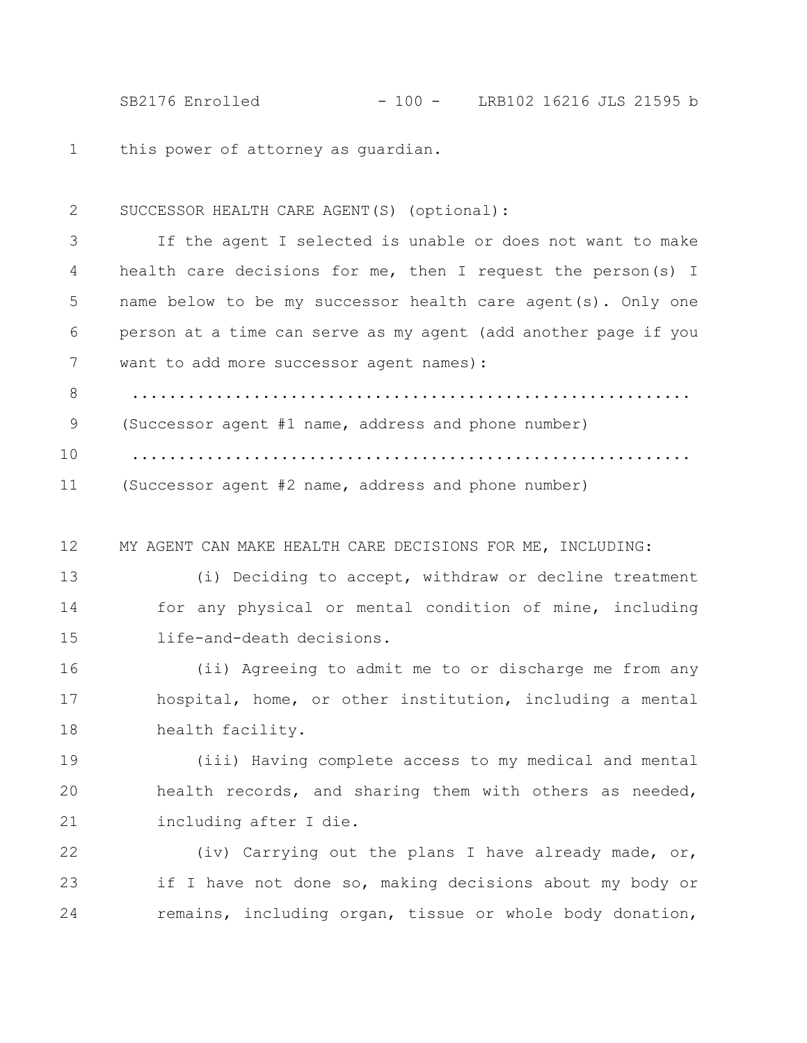SB2176 Enrolled - 100 - LRB102 16216 JLS 21595 b

this power of attorney as guardian. 1

SUCCESSOR HEALTH CARE AGENT(S) (optional): 2

If the agent I selected is unable or does not want to make health care decisions for me, then I request the person(s) I name below to be my successor health care agent(s). Only one person at a time can serve as my agent (add another page if you want to add more successor agent names) : ............................................................ (Successor agent #1 name, address and phone number) ............................................................ (Successor agent #2 name, address and phone number) 3 4 5 6 7 8 9 10 11

MY AGENT CAN MAKE HEALTH CARE DECISIONS FOR ME, INCLUDING: 12

(i) Deciding to accept, withdraw or decline treatment for any physical or mental condition of mine, including life-and-death decisions. 13 14 15

(ii) Agreeing to admit me to or discharge me from any hospital, home, or other institution, including a mental health facility. 16 17 18

(iii) Having complete access to my medical and mental health records, and sharing them with others as needed, including after I die. 19 20 21

(iv) Carrying out the plans I have already made, or, if I have not done so, making decisions about my body or remains, including organ, tissue or whole body donation, 22 23 24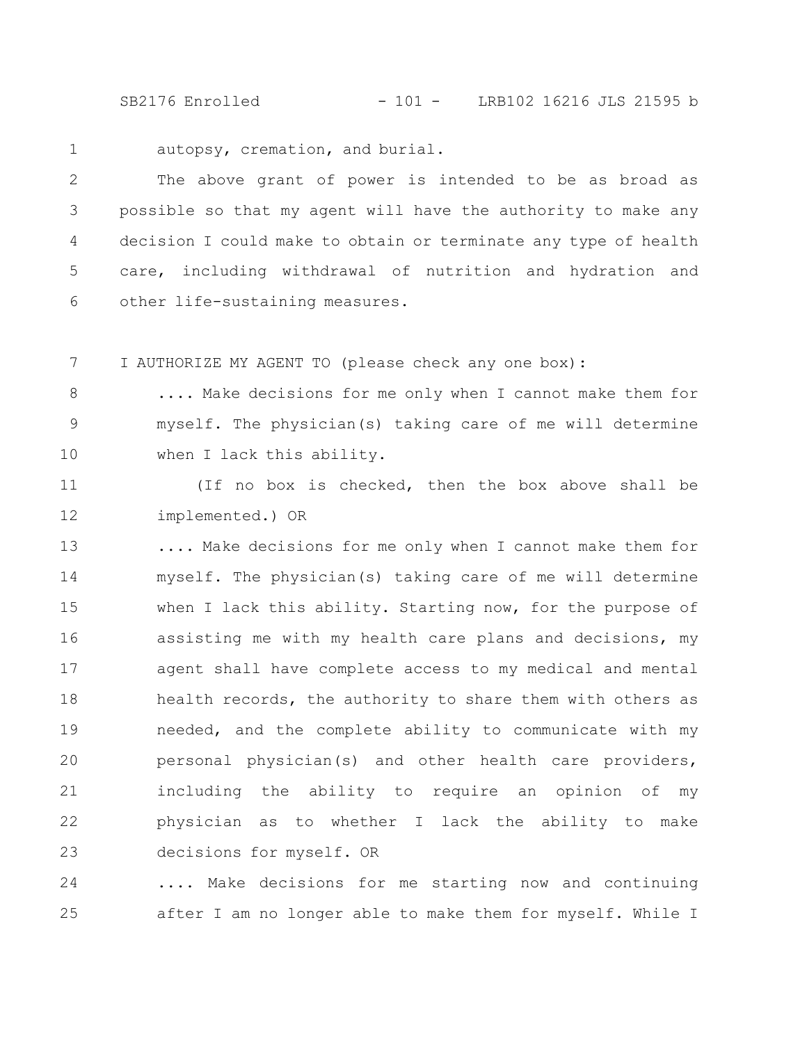SB2176 Enrolled - 101 - LRB102 16216 JLS 21595 b

1

autopsy, cremation, and burial.

The above grant of power is intended to be as broad as possible so that my agent will have the authority to make any decision I could make to obtain or terminate any type of health care, including withdrawal of nutrition and hydration and other life-sustaining measures. 2 3 4 5 6

I AUTHORIZE MY AGENT TO (please check any one box): 7

.... Make decisions for me only when I cannot make them for myself. The physician(s) taking care of me will determine when I lack this ability. 8 9 10

(If no box is checked, then the box above shall be implemented.) OR 11 12

.... Make decisions for me only when I cannot make them for myself. The physician(s) taking care of me will determine when I lack this ability. Starting now, for the purpose of assisting me with my health care plans and decisions, my agent shall have complete access to my medical and mental health records, the authority to share them with others as needed, and the complete ability to communicate with my personal physician(s) and other health care providers, including the ability to require an opinion of my physician as to whether I lack the ability to make decisions for myself. OR 13 14 15 16 17 18 19 20 21 22 23

.... Make decisions for me starting now and continuing after I am no longer able to make them for myself. While I 24 25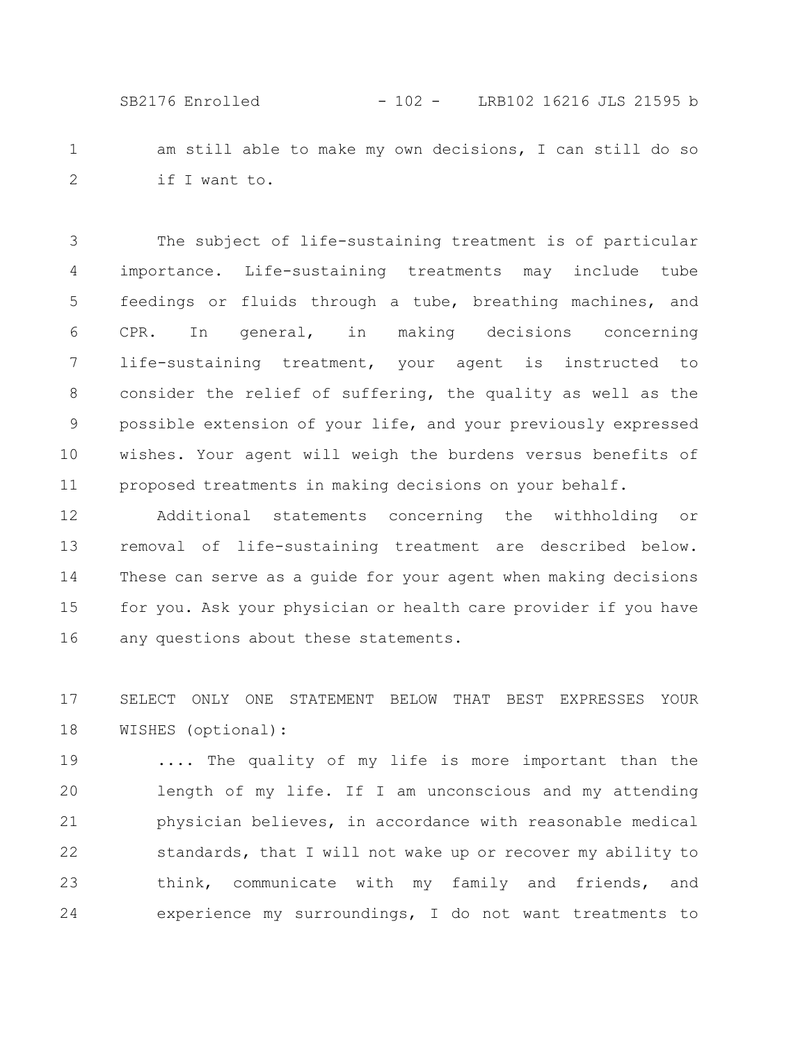SB2176 Enrolled - 102 - LRB102 16216 JLS 21595 b

am still able to make my own decisions, I can still do so if I want to. 1 2

The subject of life-sustaining treatment is of particular importance. Life-sustaining treatments may include tube feedings or fluids through a tube, breathing machines, and CPR. In general, in making decisions concerning life-sustaining treatment, your agent is instructed to consider the relief of suffering, the quality as well as the possible extension of your life, and your previously expressed wishes. Your agent will weigh the burdens versus benefits of proposed treatments in making decisions on your behalf. 3 4 5 6 7 8 9 10 11

Additional statements concerning the withholding or removal of life-sustaining treatment are described below. These can serve as a guide for your agent when making decisions for you. Ask your physician or health care provider if you have any questions about these statements. 12 13 14 15 16

SELECT ONLY ONE STATEMENT BELOW THAT BEST EXPRESSES YOUR WISHES (optional): 17 18

.... The quality of my life is more important than the length of my life. If I am unconscious and my attending physician believes, in accordance with reasonable medical standards, that I will not wake up or recover my ability to think, communicate with my family and friends, and experience my surroundings, I do not want treatments to 19 20 21 22 23 24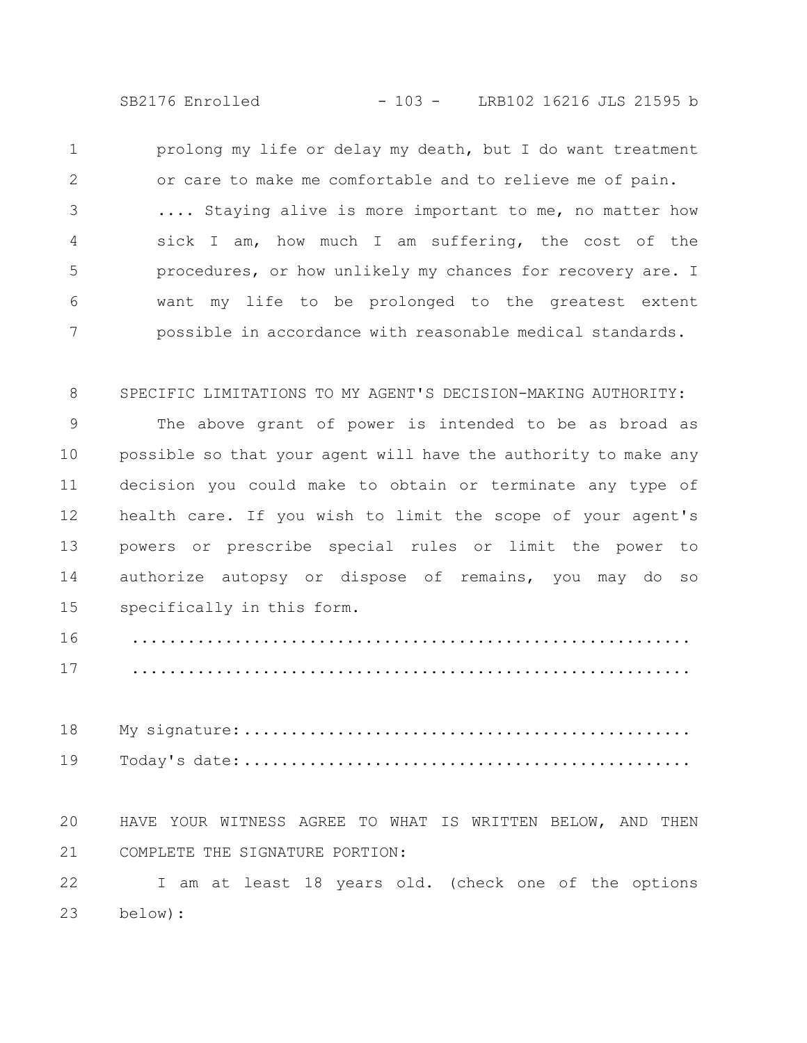SB2176 Enrolled - 103 - LRB102 16216 JLS 21595 b

prolong my life or delay my death, but I do want treatment or care to make me comfortable and to relieve me of pain. .... Staying alive is more important to me, no matter how sick I am, how much I am suffering, the cost of the procedures, or how unlikely my chances for recovery are. I want my life to be prolonged to the greatest extent possible in accordance with reasonable medical standards. 1 2 3 4 5 6 7

SPECIFIC LIMITATIONS TO MY AGENT'S DECISION-MAKING AUTHORITY: 8

The above grant of power is intended to be as broad as possible so that your agent will have the authority to make any decision you could make to obtain or terminate any type of health care. If you wish to limit the scope of your agent's powers or prescribe special rules or limit the power to authorize autopsy or dispose of remains, you may do so specifically in this form. 9 10 11 12 13 14 15

............................................................ ............................................................ 16 17

My signature:................................................ Today's date:................................................ 18 19

HAVE YOUR WITNESS AGREE TO WHAT IS WRITTEN BELOW, AND THEN COMPLETE THE SIGNATURE PORTION: 20 21

I am at least 18 years old. (check one of the options below): 22 23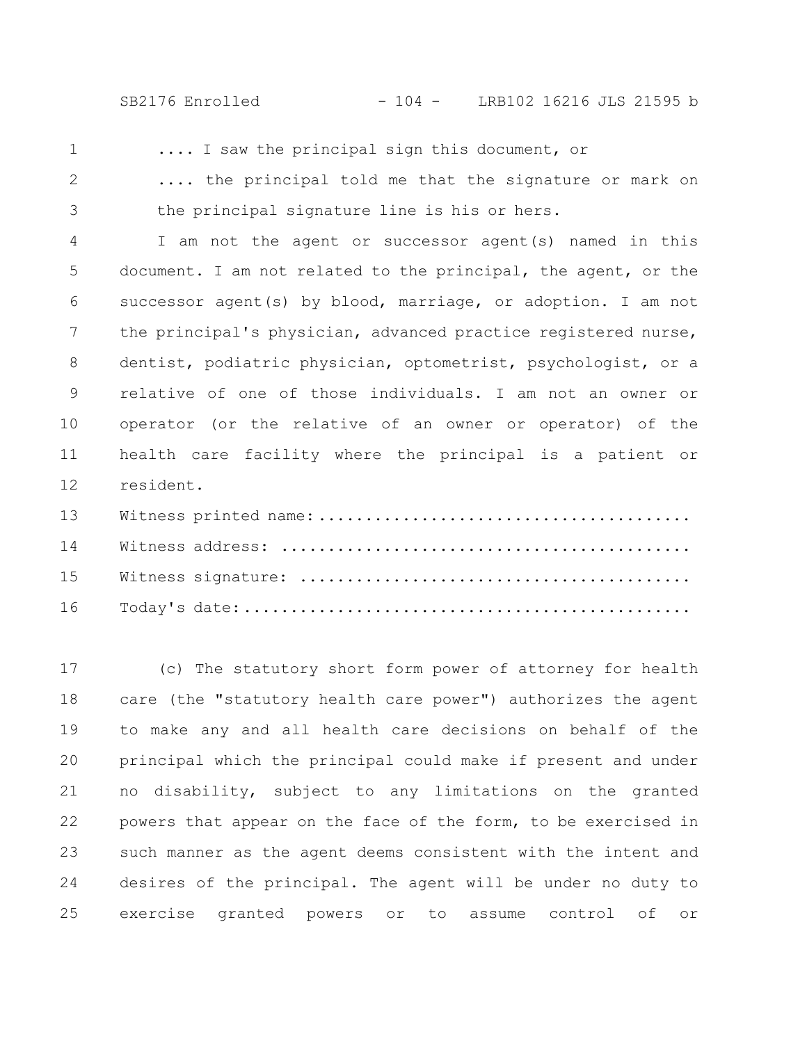SB2176 Enrolled - 104 - LRB102 16216 JLS 21595 b

1

.... I saw the principal sign this document, or

.... the principal told me that the signature or mark on the principal signature line is his or hers. 2 3

I am not the agent or successor agent(s) named in this document. I am not related to the principal, the agent, or the successor agent(s) by blood, marriage, or adoption. I am not the principal's physician, advanced practice registered nurse, dentist, podiatric physician, optometrist, psychologist, or a relative of one of those individuals. I am not an owner or operator (or the relative of an owner or operator) of the health care facility where the principal is a patient or resident. 4 5 6 7 8 9 10 11 12

(c) The statutory short form power of attorney for health care (the "statutory health care power") authorizes the agent to make any and all health care decisions on behalf of the principal which the principal could make if present and under no disability, subject to any limitations on the granted powers that appear on the face of the form, to be exercised in such manner as the agent deems consistent with the intent and desires of the principal. The agent will be under no duty to exercise granted powers or to assume control of or 17 18 19 20 21 22 23 24 25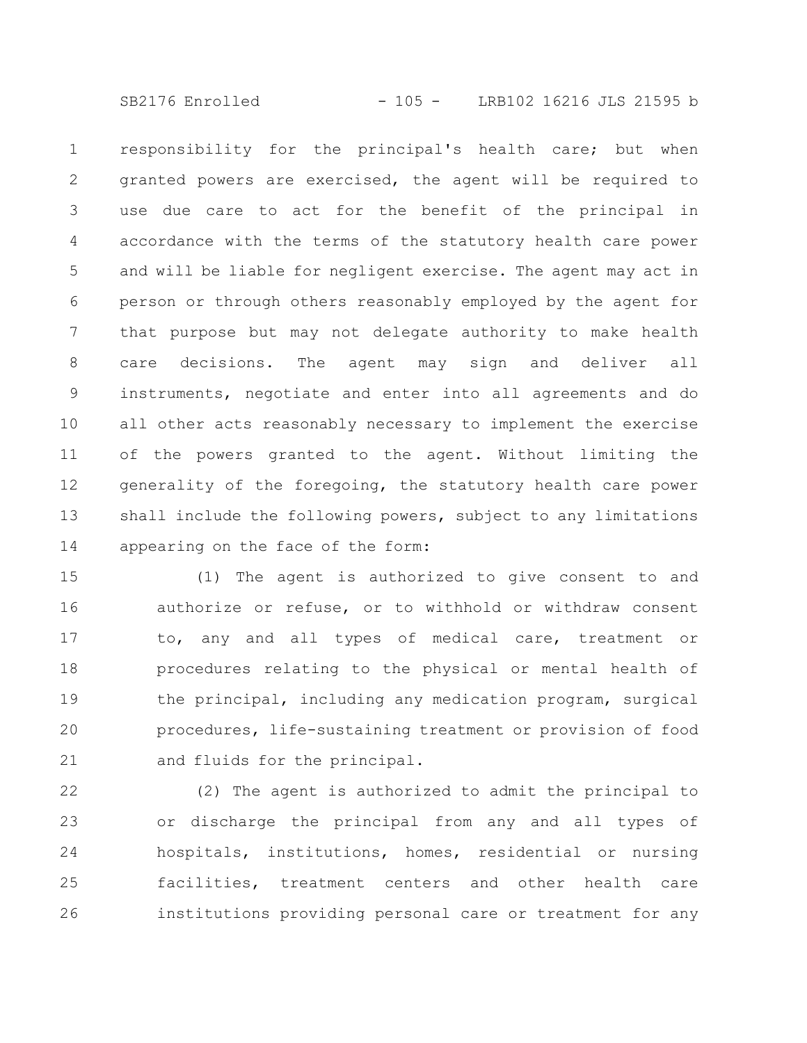SB2176 Enrolled - 105 - LRB102 16216 JLS 21595 b

responsibility for the principal's health care; but when granted powers are exercised, the agent will be required to use due care to act for the benefit of the principal in accordance with the terms of the statutory health care power and will be liable for negligent exercise. The agent may act in person or through others reasonably employed by the agent for that purpose but may not delegate authority to make health care decisions. The agent may sign and deliver all instruments, negotiate and enter into all agreements and do all other acts reasonably necessary to implement the exercise of the powers granted to the agent. Without limiting the generality of the foregoing, the statutory health care power shall include the following powers, subject to any limitations appearing on the face of the form: 1 2 3 4 5 6 7 8 9 10 11 12 13 14

(1) The agent is authorized to give consent to and authorize or refuse, or to withhold or withdraw consent to, any and all types of medical care, treatment or procedures relating to the physical or mental health of the principal, including any medication program, surgical procedures, life-sustaining treatment or provision of food and fluids for the principal. 15 16 17 18 19 20 21

(2) The agent is authorized to admit the principal to or discharge the principal from any and all types of hospitals, institutions, homes, residential or nursing facilities, treatment centers and other health care institutions providing personal care or treatment for any 22 23 24 25 26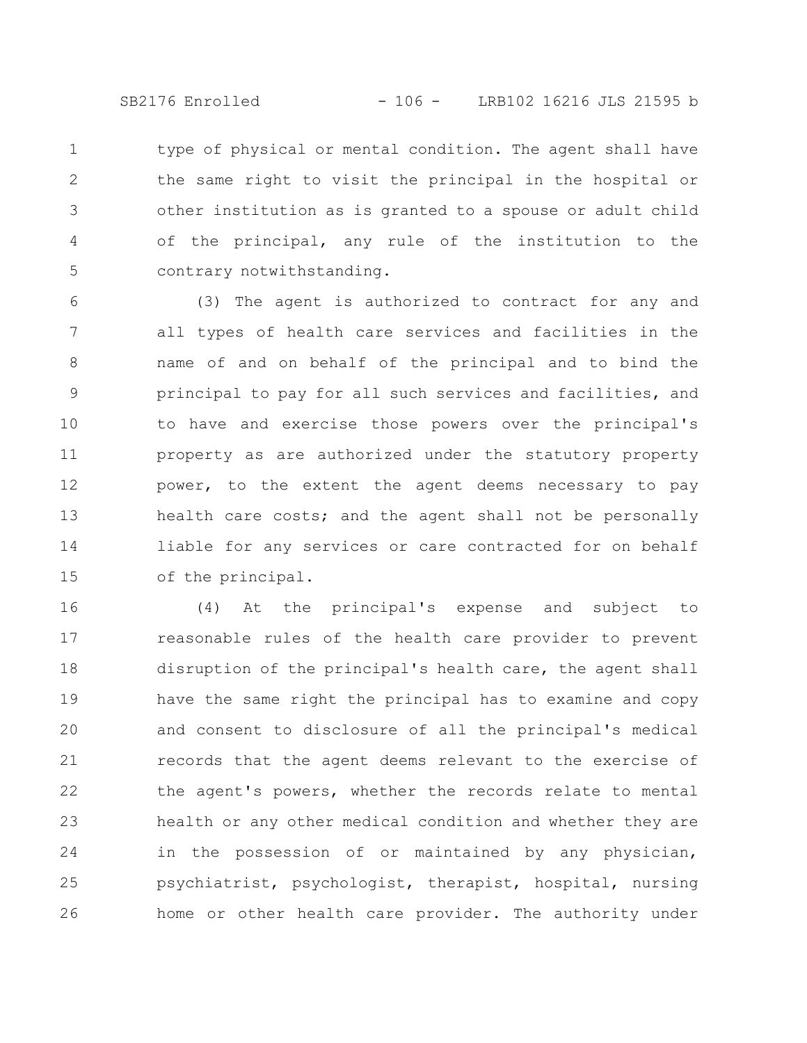SB2176 Enrolled - 106 - LRB102 16216 JLS 21595 b

type of physical or mental condition. The agent shall have the same right to visit the principal in the hospital or other institution as is granted to a spouse or adult child of the principal, any rule of the institution to the contrary notwithstanding. 1 2 3 4 5

(3) The agent is authorized to contract for any and all types of health care services and facilities in the name of and on behalf of the principal and to bind the principal to pay for all such services and facilities, and to have and exercise those powers over the principal's property as are authorized under the statutory property power, to the extent the agent deems necessary to pay health care costs; and the agent shall not be personally liable for any services or care contracted for on behalf of the principal. 6 7 8 9 10 11 12 13 14 15

(4) At the principal's expense and subject to reasonable rules of the health care provider to prevent disruption of the principal's health care, the agent shall have the same right the principal has to examine and copy and consent to disclosure of all the principal's medical records that the agent deems relevant to the exercise of the agent's powers, whether the records relate to mental health or any other medical condition and whether they are in the possession of or maintained by any physician, psychiatrist, psychologist, therapist, hospital, nursing home or other health care provider. The authority under 16 17 18 19 20 21 22 23 24 25 26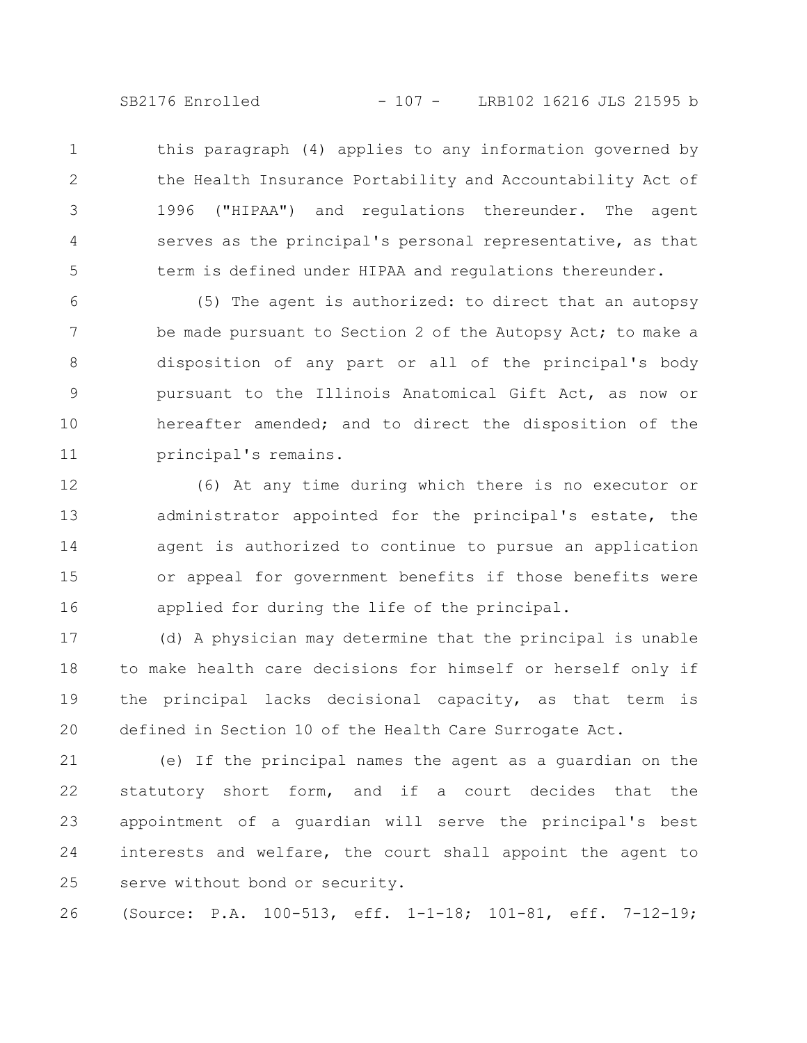SB2176 Enrolled - 107 - LRB102 16216 JLS 21595 b

this paragraph (4) applies to any information governed by the Health Insurance Portability and Accountability Act of 1996 ("HIPAA") and regulations thereunder. The agent serves as the principal's personal representative, as that term is defined under HIPAA and regulations thereunder. 1 2 3 4 5

(5) The agent is authorized: to direct that an autopsy be made pursuant to Section 2 of the Autopsy Act; to make a disposition of any part or all of the principal's body pursuant to the Illinois Anatomical Gift Act, as now or hereafter amended; and to direct the disposition of the principal's remains. 6 7 8 9 10 11

(6) At any time during which there is no executor or administrator appointed for the principal's estate, the agent is authorized to continue to pursue an application or appeal for government benefits if those benefits were applied for during the life of the principal. 12 13 14 15 16

(d) A physician may determine that the principal is unable to make health care decisions for himself or herself only if the principal lacks decisional capacity, as that term is defined in Section 10 of the Health Care Surrogate Act. 17 18 19 20

(e) If the principal names the agent as a guardian on the statutory short form, and if a court decides that the appointment of a guardian will serve the principal's best interests and welfare, the court shall appoint the agent to serve without bond or security. 21 22 23 24 25

(Source: P.A. 100-513, eff. 1-1-18; 101-81, eff. 7-12-19; 26